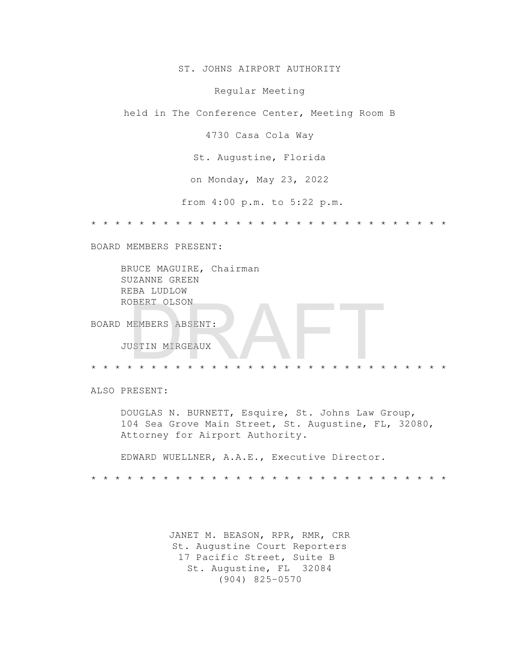ST. JOHNS AIRPORT AUTHORITY

Regular Meeting

held in The Conference Center, Meeting Room B

4730 Casa Cola Way

St. Augustine, Florida

on Monday, May 23, 2022

from 4:00 p.m. to 5:22 p.m.

\* \* \* \* \* \* \* \* \* \* \* \* \* \* \* \* \* \* \* \* \* \* \* \* \* \* \* \* \* \*

BOARD MEMBERS PRESENT:

 BRUCE MAGUIRE, Chairman SUZANNE GREEN REBA LUDLOW ROBERT OLSON

BOARD MEMBERS ABSENT:

JUSTIN MIRGEAUX

\* \* \* \* \* \* \* \* \* \* \* \* \* \* \* \* \* \* \* \* \* \* \* \* \* \* \* \* \* \* DRAFT

ALSO PRESENT:

 DOUGLAS N. BURNETT, Esquire, St. Johns Law Group, 104 Sea Grove Main Street, St. Augustine, FL, 32080, Attorney for Airport Authority.

EDWARD WUELLNER, A.A.E., Executive Director.

\* \* \* \* \* \* \* \* \* \* \* \* \* \* \* \* \* \* \* \* \* \* \* \* \* \* \* \* \* \*

JANET M. BEASON, RPR, RMR, CRR St. Augustine Court Reporters 17 Pacific Street, Suite B St. Augustine, FL 32084 (904) 825-0570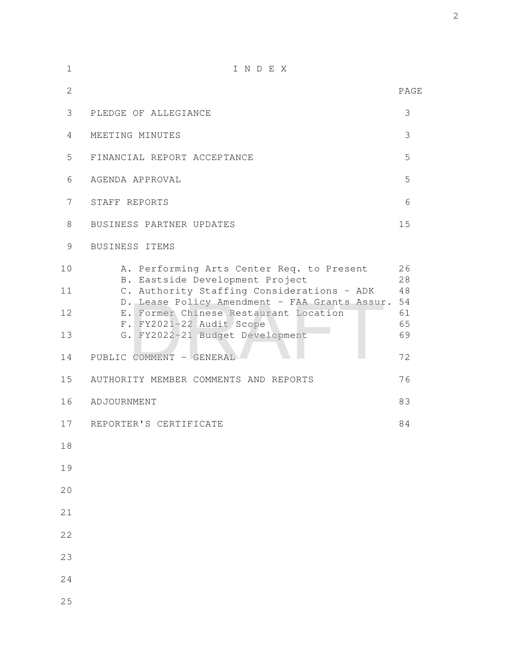| $\mathbf 1$    | INDEX                                                                                                                                                                       |                      |
|----------------|-----------------------------------------------------------------------------------------------------------------------------------------------------------------------------|----------------------|
| $\overline{2}$ |                                                                                                                                                                             | PAGE                 |
| 3              | PLEDGE OF ALLEGIANCE                                                                                                                                                        | 3                    |
| 4              | MEETING MINUTES                                                                                                                                                             | 3                    |
| 5              | FINANCIAL REPORT ACCEPTANCE                                                                                                                                                 | 5                    |
| 6              | AGENDA APPROVAL                                                                                                                                                             | 5                    |
| 7              | STAFF REPORTS                                                                                                                                                               | 6                    |
| 8              | BUSINESS PARTNER UPDATES                                                                                                                                                    | 15                   |
| 9              | BUSINESS ITEMS                                                                                                                                                              |                      |
| 10<br>11       | A. Performing Arts Center Req. to Present<br>B. Eastside Development Project<br>C. Authority Staffing Considerations - ADK<br>D. Lease Policy Amendment - FAA Grants Assur. | 26<br>28<br>48<br>54 |
| 12             | E. Former Chinese Restaurant Location<br>F. FY2021-22 Audit Scope                                                                                                           | 61<br>65             |
| 13             | G. FY2022-21 Budget Development                                                                                                                                             | 69                   |
| 14             | PUBLIC COMMENT - GENERAL                                                                                                                                                    | 72                   |
| 15             | AUTHORITY MEMBER COMMENTS AND REPORTS                                                                                                                                       | 76                   |
| 16             | ADJOURNMENT                                                                                                                                                                 | 83                   |
| 17             | REPORTER'S CERTIFICATE                                                                                                                                                      | 84                   |
| 18             |                                                                                                                                                                             |                      |
| 19             |                                                                                                                                                                             |                      |
| 20             |                                                                                                                                                                             |                      |
| 21             |                                                                                                                                                                             |                      |
| 22             |                                                                                                                                                                             |                      |
| 23             |                                                                                                                                                                             |                      |
| 24             |                                                                                                                                                                             |                      |
| 25             |                                                                                                                                                                             |                      |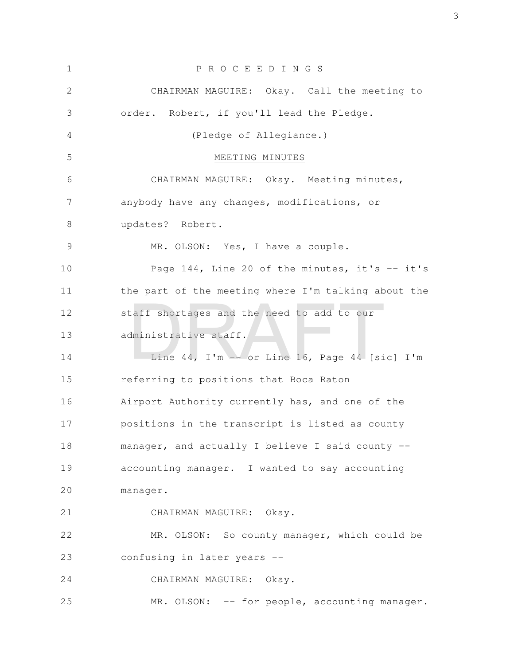| $\mathbf 1$ | P R O C E E D I N G S                               |
|-------------|-----------------------------------------------------|
| 2           | CHAIRMAN MAGUIRE: Okay. Call the meeting to         |
| 3           | order. Robert, if you'll lead the Pledge.           |
| 4           | (Pledge of Allegiance.)                             |
| 5           | MEETING MINUTES                                     |
| 6           | CHAIRMAN MAGUIRE: Okay. Meeting minutes,            |
| 7           | anybody have any changes, modifications, or         |
| 8           | updates? Robert.                                    |
| 9           | MR. OLSON: Yes, I have a couple.                    |
| 10          | Page 144, Line 20 of the minutes, it's -- it's      |
| 11          | the part of the meeting where I'm talking about the |
| 12          | staff shortages and the need to add to our          |
| 13          | administrative staff.                               |
| 14          | Line 44, I'm $-$ or Line 16, Page 44 [sic] I'm      |
| 15          | referring to positions that Boca Raton              |
| 16          | Airport Authority currently has, and one of the     |
| 17          | positions in the transcript is listed as county     |
| 18          | manager, and actually I believe I said county --    |
| 19          | accounting manager. I wanted to say accounting      |
| 20          | manager.                                            |
| 21          | CHAIRMAN MAGUIRE: Okay.                             |
| 22          | MR. OLSON: So county manager, which could be        |
| 23          | confusing in later years --                         |
| 24          | CHAIRMAN MAGUIRE: Okay.                             |
| 25          | MR. OLSON: -- for people, accounting manager.       |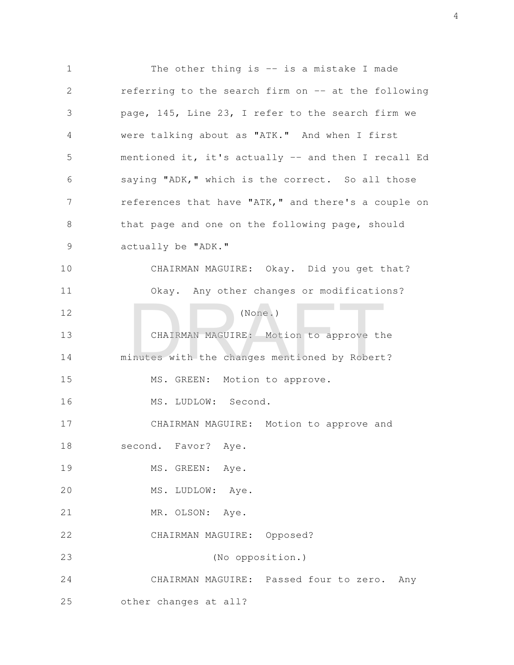The other thing is  $-$  is a mistake I made referring to the search firm on -- at the following page, 145, Line 23, I refer to the search firm we were talking about as "ATK." And when I first mentioned it, it's actually -- and then I recall Ed saying "ADK," which is the correct. So all those references that have "ATK," and there's a couple on that page and one on the following page, should actually be "ADK." CHAIRMAN MAGUIRE: Okay. Did you get that? Okay. Any other changes or modifications? (None.) CHAIRMAN MAGUIRE: Motion to approve the minutes with the changes mentioned by Robert? MS. GREEN: Motion to approve. MS. LUDLOW: Second. CHAIRMAN MAGUIRE: Motion to approve and second. Favor? Aye. MS. GREEN: Aye. MS. LUDLOW: Aye. MR. OLSON: Aye. CHAIRMAN MAGUIRE: Opposed? (No opposition.) CHAIRMAN MAGUIRE: Passed four to zero. Any other changes at all? 1 2 3 4 5 6 7 8 9 10 11 12 13 14 15 16 17 18 19 20 21 22 23 24 25 (None.)<br>CHAIRMAN MAGUIRE: Motion to approve the<br>inutes with the changes mentioned by Robert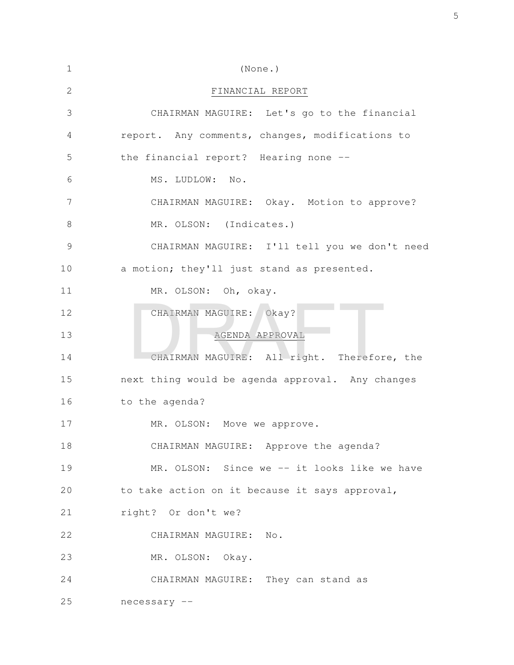| $\mathbf 1$   | (None.)                                          |
|---------------|--------------------------------------------------|
| 2             | FINANCIAL REPORT                                 |
| 3             | CHAIRMAN MAGUIRE: Let's go to the financial      |
| 4             | report. Any comments, changes, modifications to  |
| 5             | the financial report? Hearing none --            |
| 6             | MS. LUDLOW: No.                                  |
| 7             | CHAIRMAN MAGUIRE: Okay. Motion to approve?       |
| 8             | MR. OLSON: (Indicates.)                          |
| $\mathcal{G}$ | CHAIRMAN MAGUIRE: I'll tell you we don't need    |
| 10            | a motion; they'll just stand as presented.       |
| 11            | MR. OLSON: Oh, okay.                             |
| 12            | CHAIRMAN MAGUIRE: Okay?                          |
| 13            | AGENDA APPROVAL                                  |
| 14            | CHAIRMAN MAGUIRE: All right. Therefore, the      |
| 15            | next thing would be agenda approval. Any changes |
| 16            | to the agenda?                                   |
| 17            | MR. OLSON: Move we approve.                      |
| 18            | CHAIRMAN MAGUIRE: Approve the agenda?            |
| 19            | MR. OLSON: Since we -- it looks like we have     |
| 20            | to take action on it because it says approval,   |
| 21            | right? Or don't we?                              |
| 22            | CHAIRMAN MAGUIRE: No.                            |
| 23            | MR. OLSON: Okay.                                 |
| 24            | CHAIRMAN MAGUIRE: They can stand as              |
| 25            | necessary --                                     |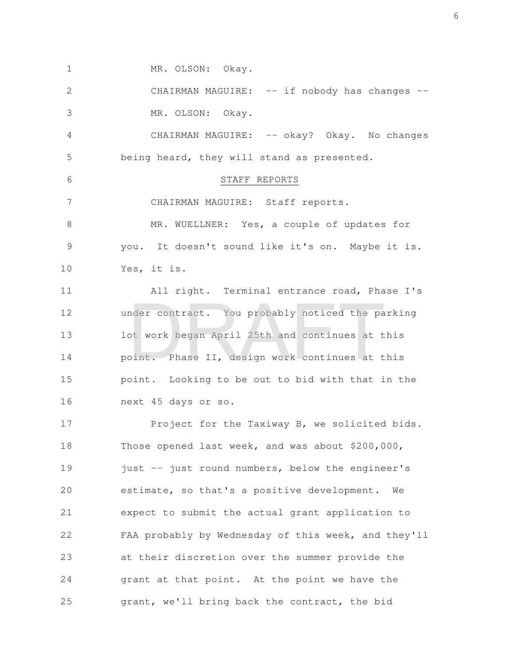MR. OLSON: Okay. 1

CHAIRMAN MAGUIRE: -- if nobody has changes --MR. OLSON: Okay. 2 3

CHAIRMAN MAGUIRE: -- okay? Okay. No changes being heard, they will stand as presented. 4 5

STAFF REPORTS

CHAIRMAN MAGUIRE: Staff reports. MR. WUELLNER: Yes, a couple of updates for you. It doesn't sound like it's on. Maybe it is. 7 8 9

Yes, it is. 10

6

All right. Terminal entrance road, Phase I's under contract. You probably noticed the parking lot work began April 25th and continues at this point. Phase II, design work continues at this point. Looking to be out to bid with that in the next 45 days or so. 11 12 13 14 15 16 nder contract. You probably noticed the pa<br>bt work began April 25th and continues at t<br>bint. Phase II, design work continues at t

Project for the Taxiway B, we solicited bids. Those opened last week, and was about \$200,000, just -- just round numbers, below the engineer's estimate, so that's a positive development. We expect to submit the actual grant application to FAA probably by Wednesday of this week, and they'll at their discretion over the summer provide the grant at that point. At the point we have the grant, we'll bring back the contract, the bid 17 18 19 20 21 22 23 24 25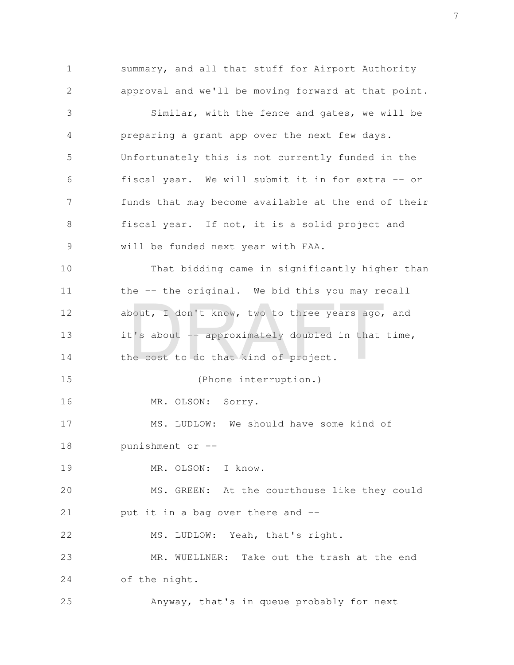summary, and all that stuff for Airport Authority approval and we'll be moving forward at that point. Similar, with the fence and gates, we will be preparing a grant app over the next few days. Unfortunately this is not currently funded in the fiscal year. We will submit it in for extra -- or funds that may become available at the end of their fiscal year. If not, it is a solid project and will be funded next year with FAA. That bidding came in significantly higher than the -- the original. We bid this you may recall about, I don't know, two to three years ago, and it's about  $-\frac{1}{2}$  approximately doubled in that time, the cost to do that kind of project. (Phone interruption.) MR. OLSON: Sorry. MS. LUDLOW: We should have some kind of punishment or -- MR. OLSON: I know. MS. GREEN: At the courthouse like they could put it in a bag over there and -- MS. LUDLOW: Yeah, that's right. MR. WUELLNER: Take out the trash at the end of the night. Anyway, that's in queue probably for next 1 2 3 4 5 6 7 8 9 10 11 12 13 14 15 16 17 18 19 20 21 22 23 24 25 bout, I don't know, two to three years ago,<br>t's about -- approximately doubled in that<br>ne cost to do that kind of project.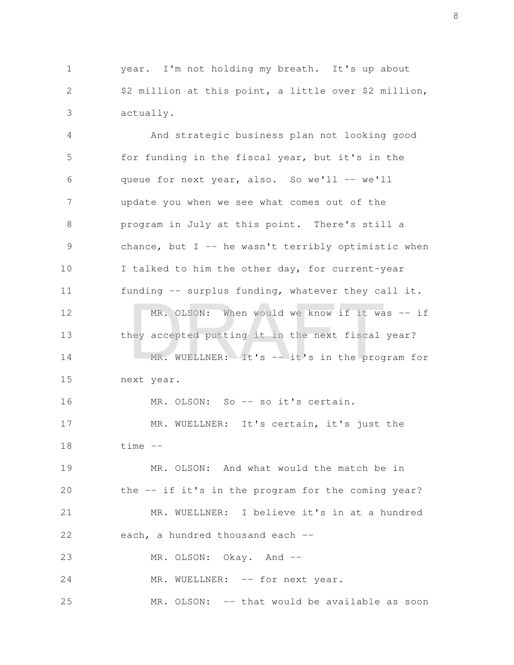year. I'm not holding my breath. It's up about \$2 million at this point, a little over \$2 million, actually. 1 2 3

And strategic business plan not looking good for funding in the fiscal year, but it's in the queue for next year, also. So we'll -- we'll update you when we see what comes out of the program in July at this point. There's still a chance, but  $I$  -- he wasn't terribly optimistic when I talked to him the other day, for current-year funding -- surplus funding, whatever they call it. MR. OLSON: When would we know if it was -- if they accepted putting it in the next fiscal year? MR. WUELLNER: It's -- it's in the program for next year. MR. OLSON: So -- so it's certain. MR. WUELLNER: It's certain, it's just the time -- MR. OLSON: And what would the match be in the -- if it's in the program for the coming year? MR. WUELLNER: I believe it's in at a hundred each, a hundred thousand each --MR. OLSON: Okay. And -- 4 5 6 7 8 9 10 11 12 13 14 15 16 17 18 19 20 21 22 23 MR. OLSON: When would we know if it wa<br>ney accepted putting it in the next fiscal<br>MR. WUELLNER: It's -- it's in the prog

MR. WUELLNER: -- for next year. 24

MR. OLSON: -- that would be available as soon 25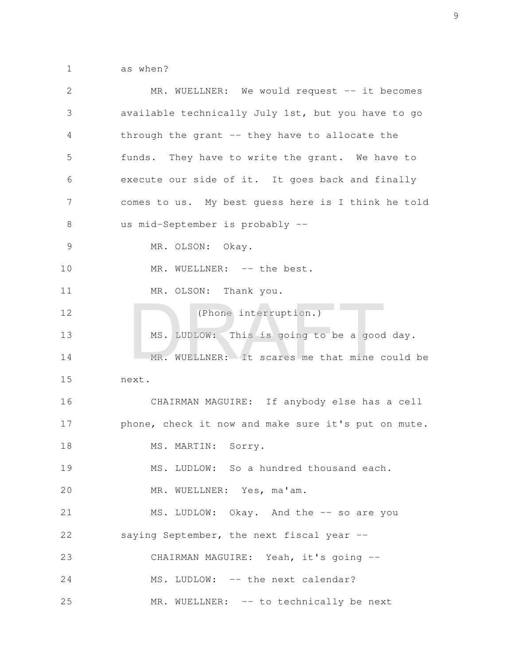as when? 1

| 2             | MR. WUELLNER: We would request -- it becomes        |
|---------------|-----------------------------------------------------|
| 3             | available technically July 1st, but you have to go  |
| 4             | through the grant -- they have to allocate the      |
| 5             | funds. They have to write the grant. We have to     |
| 6             | execute our side of it. It goes back and finally    |
| 7             | comes to us. My best quess here is I think he told  |
| 8             | us mid-September is probably --                     |
| $\mathcal{G}$ | MR. OLSON: Okay.                                    |
| 10            | MR. WUELLNER: -- the best.                          |
| 11            | MR. OLSON: Thank you.                               |
| 12            | (Phone interruption.)                               |
| 13            | MS. LUDLOW: This is going to be a good day.         |
| 14            | MR. WUELLNER: It scares me that mine could be       |
| 15            | next.                                               |
| 16            | CHAIRMAN MAGUIRE: If anybody else has a cell        |
| 17            | phone, check it now and make sure it's put on mute. |
| 18            | MS. MARTIN: Sorry.                                  |
| 19            | MS. LUDLOW: So a hundred thousand each.             |
| 20            | MR. WUELLNER: Yes, ma'am.                           |
| 21            | MS. LUDLOW: Okay. And the -- so are you             |
| 22            | saying September, the next fiscal year --           |
| 23            | CHAIRMAN MAGUIRE: Yeah, it's going --               |
| 24            | MS. LUDLOW: -- the next calendar?                   |
| 25            | MR. WUELLNER: -- to technically be next             |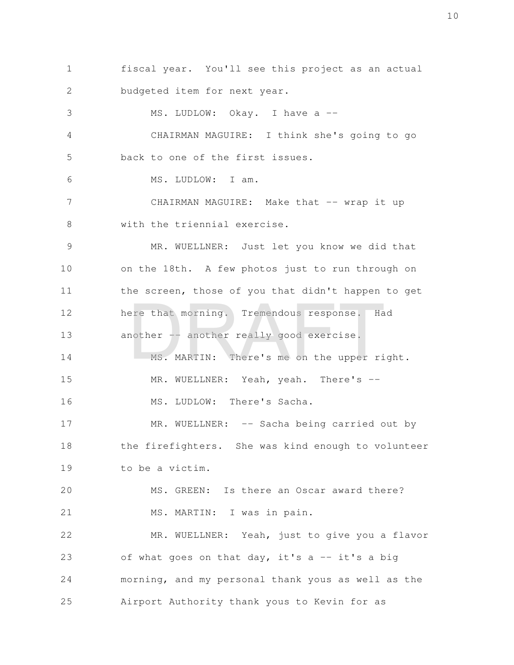fiscal year. You'll see this project as an actual budgeted item for next year. MS. LUDLOW: Okay. I have a --CHAIRMAN MAGUIRE: I think she's going to go back to one of the first issues. MS. LUDLOW: I am. CHAIRMAN MAGUIRE: Make that -- wrap it up with the triennial exercise. MR. WUELLNER: Just let you know we did that on the 18th. A few photos just to run through on the screen, those of you that didn't happen to get here that morning. Tremendous response. Had another -- another really good exercise. MS. MARTIN: There's me on the upper right. MR. WUELLNER: Yeah, yeah. There's --MS. LUDLOW: There's Sacha. MR. WUELLNER: -- Sacha being carried out by the firefighters. She was kind enough to volunteer to be a victim. MS. GREEN: Is there an Oscar award there? MS. MARTIN: I was in pain. MR. WUELLNER: Yeah, just to give you a flavor of what goes on that day, it's a -- it's a big morning, and my personal thank yous as well as the Airport Authority thank yous to Kevin for as 1 2 3 4 5 6 7 8 9 10 11 12 13 14 15 16 17 18 19 20 21 22 23 24 25 ere that morning. Tremendous response. Ha<br>nother -- another really good exercise.<br>MS. MARTIN: There's me on the upper ri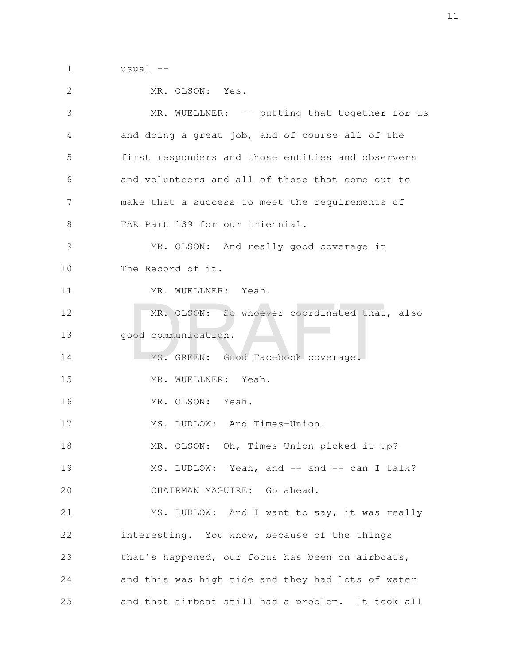usual -- 1

| 2             | MR. OLSON: Yes.                                   |
|---------------|---------------------------------------------------|
| 3             | MR. WUELLNER: -- putting that together for us     |
| 4             | and doing a great job, and of course all of the   |
| 5             | first responders and those entities and observers |
| 6             | and volunteers and all of those that come out to  |
| 7             | make that a success to meet the requirements of   |
| 8             | FAR Part 139 for our triennial.                   |
| $\mathcal{G}$ | MR. OLSON: And really good coverage in            |
| 10            | The Record of it.                                 |
| 11            | MR. WUELLNER: Yeah.                               |
| 12            | MR. OLSON: So whoever coordinated that, also      |
| 13            | good communication.                               |
| 14            | MS. GREEN: Good Facebook coverage.                |
| 15            | MR. WUELLNER: Yeah.                               |
| 16            | MR. OLSON: Yeah.                                  |
| 17            | MS. LUDLOW: And Times-Union.                      |
| 18            | MR. OLSON: Oh, Times-Union picked it up?          |
| 19            | MS. LUDLOW: Yeah, and -- and -- can I talk?       |
| 20            | CHAIRMAN MAGUIRE: Go ahead.                       |
| 21            | MS. LUDLOW: And I want to say, it was really      |
| 22            | interesting. You know, because of the things      |
| 23            | that's happened, our focus has been on airboats,  |
| 24            | and this was high tide and they had lots of water |
| 25            | and that airboat still had a problem. It took all |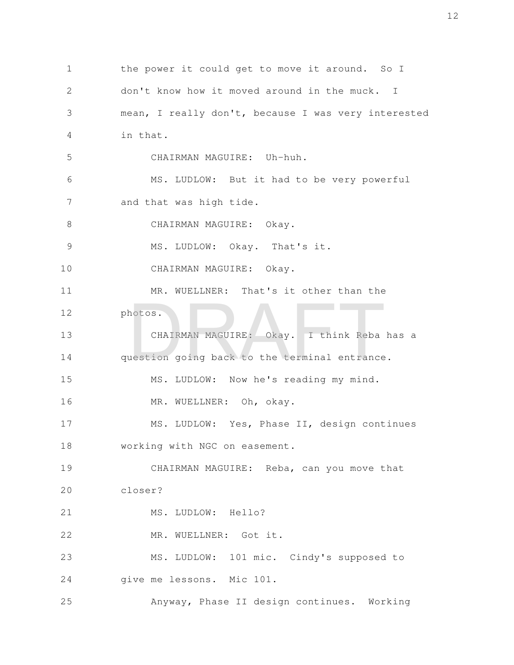the power it could get to move it around. So I don't know how it moved around in the muck. I mean, I really don't, because I was very interested in that. CHAIRMAN MAGUIRE: Uh-huh. MS. LUDLOW: But it had to be very powerful and that was high tide. CHAIRMAN MAGUIRE: Okay. MS. LUDLOW: Okay. That's it. CHAIRMAN MAGUIRE: Okay. MR. WUELLNER: That's it other than the photos. CHAIRMAN MAGUIRE: Okay. I think Reba has a question going back to the terminal entrance. MS. LUDLOW: Now he's reading my mind. MR. WUELLNER: Oh, okay. MS. LUDLOW: Yes, Phase II, design continues working with NGC on easement. CHAIRMAN MAGUIRE: Reba, can you move that closer? MS. LUDLOW: Hello? MR. WUELLNER: Got it. MS. LUDLOW: 101 mic. Cindy's supposed to give me lessons. Mic 101. Anyway, Phase II design continues. Working 1 2 3 4 5 6 7 8 9 10 11 12 13 14 15 16 17 18 19 20 21 22 23 24 25 CHAIRMAN MAGUIRE: Okay. I think Reba<br>uestion going back to the terminal entrance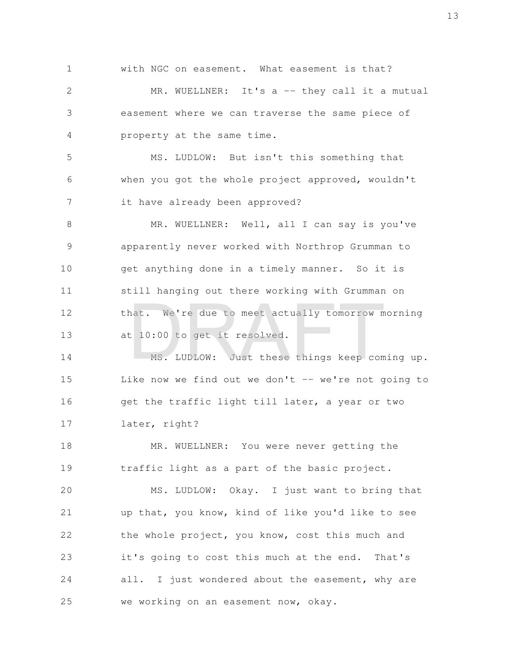with NGC on easement. What easement is that? MR. WUELLNER: It's a -- they call it a mutual easement where we can traverse the same piece of property at the same time. 1 2 3 4

MS. LUDLOW: But isn't this something that when you got the whole project approved, wouldn't it have already been approved? 5 6 7

MR. WUELLNER: Well, all I can say is you've apparently never worked with Northrop Grumman to get anything done in a timely manner. So it is still hanging out there working with Grumman on that. We're due to meet actually tomorrow morning at 10:00 to get it resolved. 8 9 10 11 12 13 nat. We're due to meet actually tomorrow m<br>
t 10:00 to get it resolved.<br>
MS. LUDLOW: Just these things keep com

MS. LUDLOW: Just these things keep coming up. Like now we find out we don't  $-$ - we're not going to get the traffic light till later, a year or two later, right? 14 15 16 17

MR. WUELLNER: You were never getting the traffic light as a part of the basic project. 18 19

MS. LUDLOW: Okay. I just want to bring that up that, you know, kind of like you'd like to see the whole project, you know, cost this much and it's going to cost this much at the end. That's all. I just wondered about the easement, why are we working on an easement now, okay. 20 21 22 23 24 25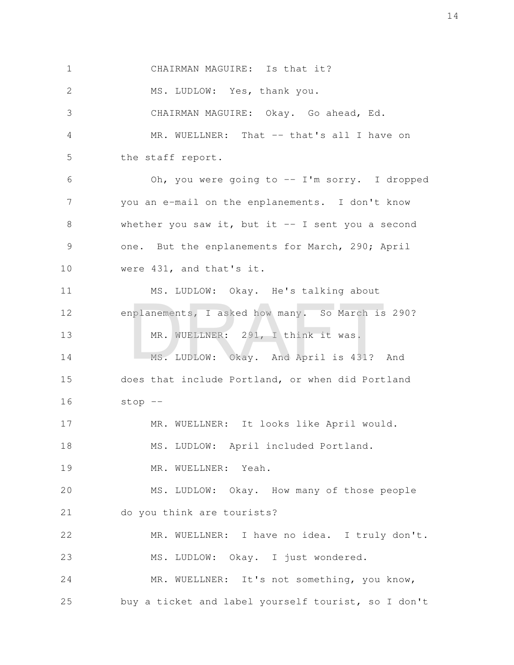CHAIRMAN MAGUIRE: Is that it? MS. LUDLOW: Yes, thank you. CHAIRMAN MAGUIRE: Okay. Go ahead, Ed. MR. WUELLNER: That -- that's all I have on the staff report. Oh, you were going to -- I'm sorry. I dropped you an e-mail on the enplanements. I don't know whether you saw it, but it  $-$  I sent you a second one. But the enplanements for March, 290; April were 431, and that's it. MS. LUDLOW: Okay. He's talking about enplanements, I asked how many. So March is 290? MR. WUELLNER: 291, I think it was. MS. LUDLOW: Okay. And April is 431? And does that include Portland, or when did Portland stop -- MR. WUELLNER: It looks like April would. MS. LUDLOW: April included Portland. MR. WUELLNER: Yeah. MS. LUDLOW: Okay. How many of those people do you think are tourists? MR. WUELLNER: I have no idea. I truly don't. MS. LUDLOW: Okay. I just wondered. MR. WUELLNER: It's not something, you know, buy a ticket and label yourself tourist, so I don't 1 2 3 4 5 6 7 8 9 10 11 12 13 14 15 16 17 18 19 20 21 22 23 24 25 mplanements, I asked how many. So March is<br>MR. WUELLNER: 291, I think it was.<br>MS. LUDLOW: Okay. And April is 431?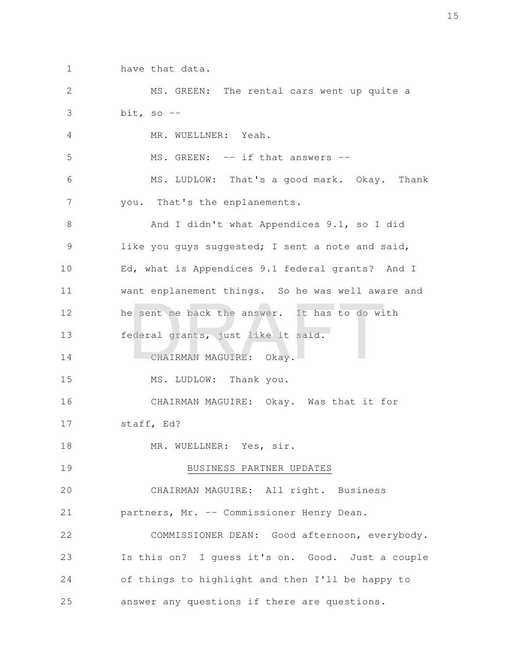have that data. 1

MS. GREEN: The rental cars went up quite a bit, so  $-$ MR. WUELLNER: Yeah. MS. GREEN: -- if that answers --MS. LUDLOW: That's a good mark. Okay. Thank you. That's the enplanements. And I didn't what Appendices 9.1, so I did like you guys suggested; I sent a note and said, Ed, what is Appendices 9.1 federal grants? And I want enplanement things. So he was well aware and he sent me back the answer. It has to do with federal grants, just like it said. CHAIRMAN MAGUIRE: Okay. MS. LUDLOW: Thank you. CHAIRMAN MAGUIRE: Okay. Was that it for staff, Ed? MR. WUELLNER: Yes, sir. BUSINESS PARTNER UPDATES CHAIRMAN MAGUIRE: All right. Business partners, Mr. -- Commissioner Henry Dean. COMMISSIONER DEAN: Good afternoon, everybody. Is this on? I guess it's on. Good. Just a couple of things to highlight and then I'll be happy to answer any questions if there are questions. 2 3 4 5 6 7 8 9 10 11 12 13 14 15 16 17 18 19 20 21 22 23 24 25 e sent me back the answer. It has to do with<br>ederal grants, just like it said.<br>CHAIRMAN MAGUIRE: Okay.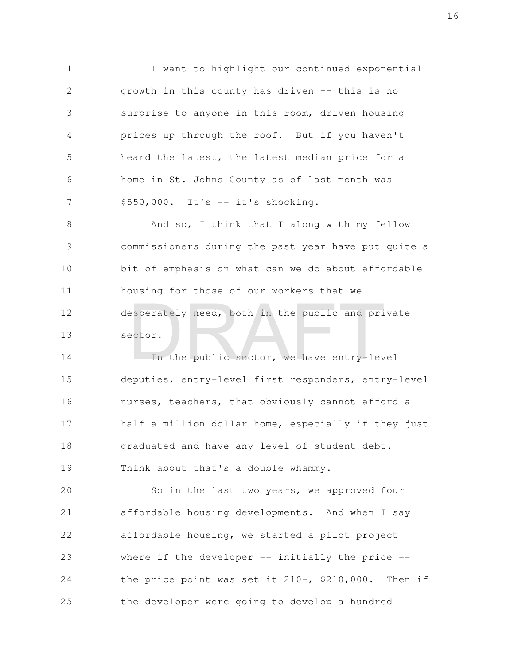I want to highlight our continued exponential growth in this county has driven -- this is no surprise to anyone in this room, driven housing prices up through the roof. But if you haven't heard the latest, the latest median price for a home in St. Johns County as of last month was  $$550,000.$  It's  $-$  it's shocking. 1 2 3 4 5 6 7

And so, I think that I along with my fellow commissioners during the past year have put quite a bit of emphasis on what can we do about affordable housing for those of our workers that we desperately need, both in the public and private sector. 8 9 10 11 12 13 esperately need, both in the public and pri<br>actor.<br>In the public sector, we have entry-lev

In the public sector, we have entry-level deputies, entry-level first responders, entry-level nurses, teachers, that obviously cannot afford a half a million dollar home, especially if they just graduated and have any level of student debt. Think about that's a double whammy. 14 15 16 17 18 19

So in the last two years, we approved four affordable housing developments. And when I say affordable housing, we started a pilot project where if the developer  $-$  initially the price  $$ the price point was set it 210-, \$210,000. Then if the developer were going to develop a hundred 20 21 22 23 24 25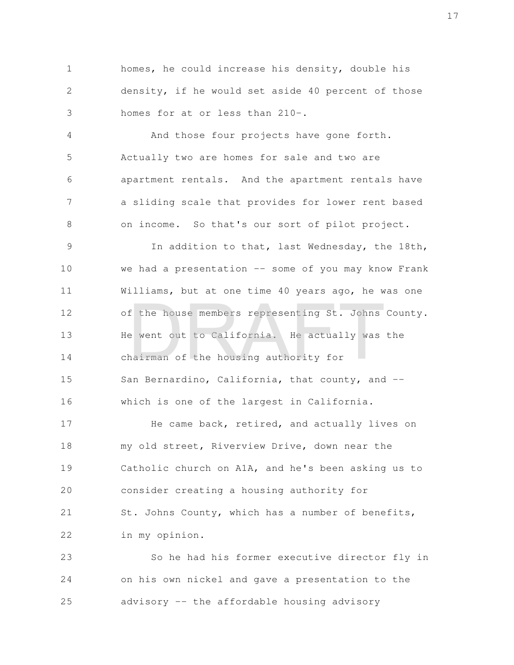homes, he could increase his density, double his density, if he would set aside 40 percent of those homes for at or less than 210-. 1 2 3

And those four projects have gone forth. Actually two are homes for sale and two are apartment rentals. And the apartment rentals have a sliding scale that provides for lower rent based on income. So that's our sort of pilot project. 4 5 6 7 8

In addition to that, last Wednesday, the 18th, we had a presentation -- some of you may know Frank Williams, but at one time 40 years ago, he was one of the house members representing St. Johns County. He went out to California. He actually was the chairman of the housing authority for San Bernardino, California, that county, and -which is one of the largest in California. 9 10 11 12 13 14 15 16 f the house members representing St. Johns<br>a went out to California. He actually was<br>nairman of the housing authority for

He came back, retired, and actually lives on my old street, Riverview Drive, down near the Catholic church on A1A, and he's been asking us to consider creating a housing authority for St. Johns County, which has a number of benefits, in my opinion. 17 18 19 20 21 22

So he had his former executive director fly in on his own nickel and gave a presentation to the advisory -- the affordable housing advisory 23 24 25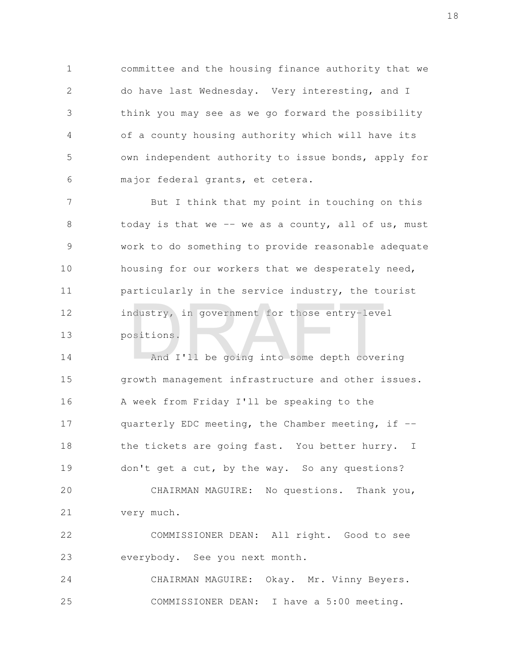committee and the housing finance authority that we do have last Wednesday. Very interesting, and I think you may see as we go forward the possibility of a county housing authority which will have its own independent authority to issue bonds, apply for major federal grants, et cetera. 1 2 3 4 5 6

But I think that my point in touching on this today is that we  $-$  we as a county, all of us, must work to do something to provide reasonable adequate housing for our workers that we desperately need, particularly in the service industry, the tourist industry, in government for those entry-level positions. 7 8 9 10 11 12 13 ndustry, in government for those entry-lever<br>bositions.<br>And I'll be going into some depth cover

And I'll be going into some depth covering growth management infrastructure and other issues. A week from Friday I'll be speaking to the quarterly EDC meeting, the Chamber meeting, if - the tickets are going fast. You better hurry. I don't get a cut, by the way. So any questions? CHAIRMAN MAGUIRE: No questions. Thank you, very much. 14 15 16 17 18 19 20 21

COMMISSIONER DEAN: All right. Good to see everybody. See you next month. 22 23

CHAIRMAN MAGUIRE: Okay. Mr. Vinny Beyers. COMMISSIONER DEAN: I have a 5:00 meeting. 24 25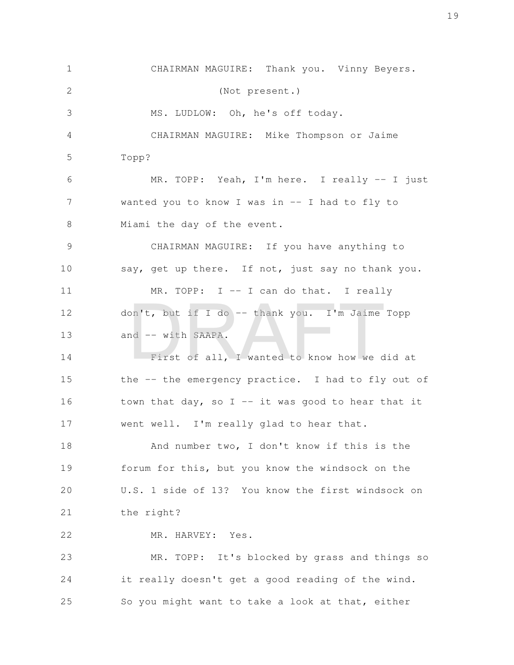CHAIRMAN MAGUIRE: Thank you. Vinny Beyers. (Not present.) MS. LUDLOW: Oh, he's off today. CHAIRMAN MAGUIRE: Mike Thompson or Jaime Topp? MR. TOPP: Yeah, I'm here. I really -- I just wanted you to know I was in -- I had to fly to Miami the day of the event. CHAIRMAN MAGUIRE: If you have anything to say, get up there. If not, just say no thank you. MR. TOPP: I -- I can do that. I really don't, but if I do -- thank you. I'm Jaime Topp and -- with SAAPA. First of all, I wanted to know how we did at the -- the emergency practice. I had to fly out of town that day, so I  $-$  it was good to hear that it went well. I'm really glad to hear that. And number two, I don't know if this is the forum for this, but you know the windsock on the U.S. 1 side of 13? You know the first windsock on the right? MR. HARVEY: Yes. MR. TOPP: It's blocked by grass and things so it really doesn't get a good reading of the wind. So you might want to take a look at that, either 1 2 3 4 5 6 7 8 9 10 11 12 13 14 15 16 17 18 19 20 21 22 23 24 25 on't, but if I do -- thank you. I'm Jaime<br>
nd -- with SAAPA.<br>
First of all, I wanted to know how we d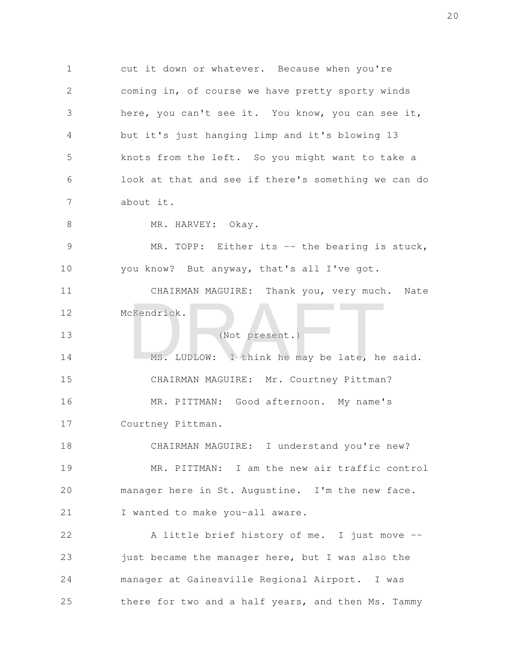cut it down or whatever. Because when you're coming in, of course we have pretty sporty winds here, you can't see it. You know, you can see it, but it's just hanging limp and it's blowing 13 knots from the left. So you might want to take a look at that and see if there's something we can do about it. MR. HARVEY: Okay. MR. TOPP: Either its -- the bearing is stuck, you know? But anyway, that's all I've got. CHAIRMAN MAGUIRE: Thank you, very much. Nate McKendrick. (Not present.) MS. LUDLOW: I think he may be late, he said. CHAIRMAN MAGUIRE: Mr. Courtney Pittman? MR. PITTMAN: Good afternoon. My name's Courtney Pittman. CHAIRMAN MAGUIRE: I understand you're new? MR. PITTMAN: I am the new air traffic control manager here in St. Augustine. I'm the new face. I wanted to make you-all aware. A little brief history of me. I just move - just became the manager here, but I was also the manager at Gainesville Regional Airport. I was there for two and a half years, and then Ms. Tammy 1 2 3 4 5 6 7 8 9 10 11 12 13 14 15 16 17 18 19 20 21 22 23 24 25 CKendrick.<br>
(Not present.)<br>
MS. LUDLOW: I think he may be late, he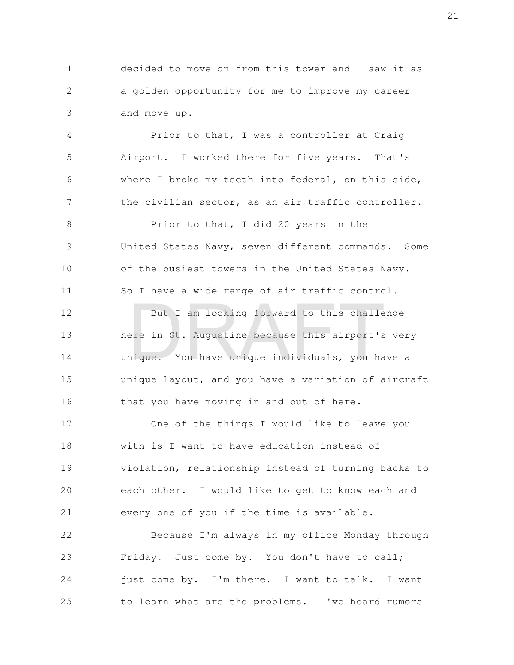decided to move on from this tower and I saw it as a golden opportunity for me to improve my career and move up. 1 2 3

Prior to that, I was a controller at Craig Airport. I worked there for five years. That's where I broke my teeth into federal, on this side, the civilian sector, as an air traffic controller. 4 5 6 7

Prior to that, I did 20 years in the United States Navy, seven different commands. Some of the busiest towers in the United States Navy. So I have a wide range of air traffic control. 8 9 10 11

But I am looking forward to this challenge here in St. Augustine because this airport's very unique. You have unique individuals, you have a unique layout, and you have a variation of aircraft that you have moving in and out of here. 12 13 14 15 16 But I am looking forward to this challe<br>ere in St. Augustine because this airport's<br>nique. You have unique individuals, you ha

One of the things I would like to leave you with is I want to have education instead of violation, relationship instead of turning backs to each other. I would like to get to know each and every one of you if the time is available. 17 18 19 20 21

Because I'm always in my office Monday through Friday. Just come by. You don't have to call; just come by. I'm there. I want to talk. I want to learn what are the problems. I've heard rumors 22 23 24 25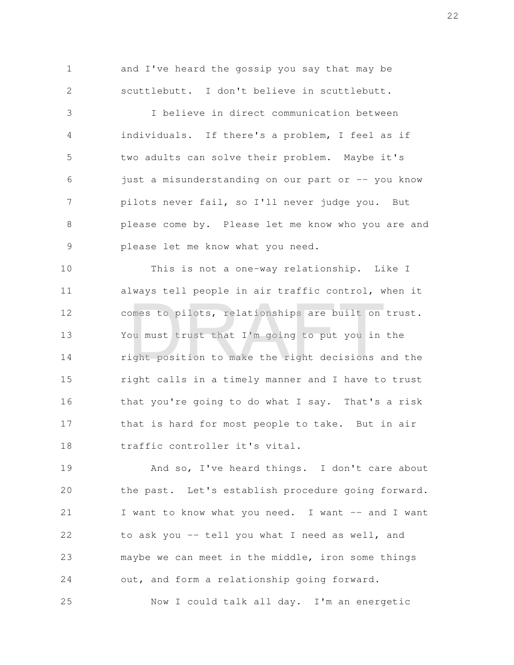and I've heard the gossip you say that may be scuttlebutt. I don't believe in scuttlebutt. 1 2

I believe in direct communication between individuals. If there's a problem, I feel as if two adults can solve their problem. Maybe it's just a misunderstanding on our part or -- you know pilots never fail, so I'll never judge you. But please come by. Please let me know who you are and please let me know what you need. 3 4 5 6 7 8 9

This is not a one-way relationship. Like I always tell people in air traffic control, when it comes to pilots, relationships are built on trust. You must trust that I'm going to put you in the right position to make the right decisions and the right calls in a timely manner and I have to trust that you're going to do what I say. That's a risk that is hard for most people to take. But in air traffic controller it's vital. 10 11 12 13 14 15 16 17 18 omes to pilots, relationships are built on<br>bu must trust that I'm going to put you in<br>ight position to make the right decisions a

And so, I've heard things. I don't care about the past. Let's establish procedure going forward. I want to know what you need. I want -- and I want to ask you -- tell you what I need as well, and maybe we can meet in the middle, iron some things out, and form a relationship going forward. 19 20 21 22 23 24

Now I could talk all day. I'm an energetic 25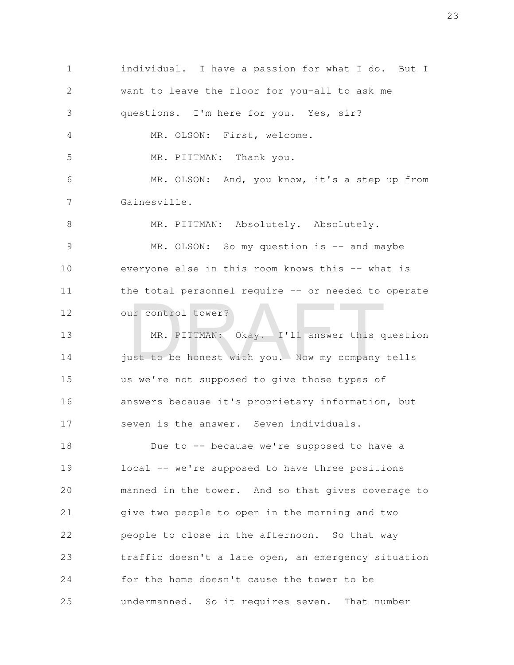individual. I have a passion for what I do. But I want to leave the floor for you-all to ask me questions. I'm here for you. Yes, sir? MR. OLSON: First, welcome. MR. PITTMAN: Thank you. MR. OLSON: And, you know, it's a step up from Gainesville. MR. PITTMAN: Absolutely. Absolutely. MR. OLSON: So my question is -- and maybe everyone else in this room knows this -- what is the total personnel require -- or needed to operate our control tower? MR. PITTMAN: Okay. I'll answer this question just to be honest with you. Now my company tells us we're not supposed to give those types of answers because it's proprietary information, but seven is the answer. Seven individuals. Due to -- because we're supposed to have a local -- we're supposed to have three positions manned in the tower. And so that gives coverage to give two people to open in the morning and two people to close in the afternoon. So that way traffic doesn't a late open, an emergency situation for the home doesn't cause the tower to be undermanned. So it requires seven. That number 1 2 3 4 5 6 7 8 9 10 11 12 13 14 15 16 17 18 19 20 21 22 23 24 25 MR. PITTMAN: Okay. I'll answer this quantities be honest with you. Now my company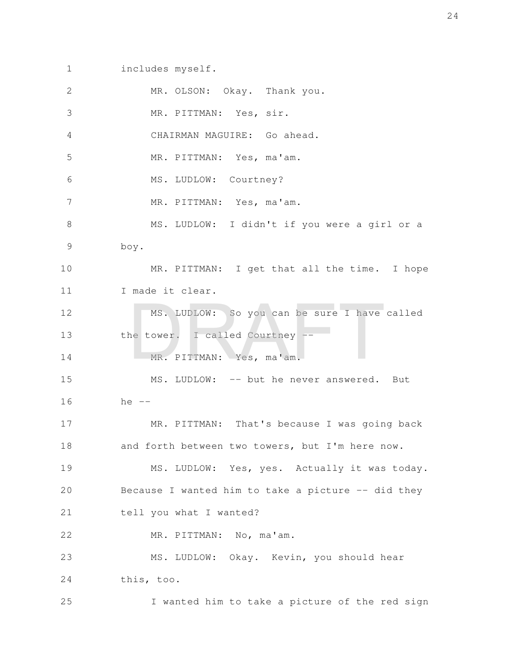includes myself. 1

| $\mathbf{2}$ | MR. OLSON: Okay. Thank you.                        |
|--------------|----------------------------------------------------|
| 3            | MR. PITTMAN: Yes, sir.                             |
| 4            | CHAIRMAN MAGUIRE: Go ahead.                        |
| 5            | MR. PITTMAN: Yes, ma'am.                           |
| 6            | MS. LUDLOW: Courtney?                              |
| 7            | MR. PITTMAN: Yes, ma'am.                           |
| $8\,$        | MS. LUDLOW: I didn't if you were a girl or a       |
| 9            | boy.                                               |
| 10           | MR. PITTMAN: I get that all the time. I hope       |
| 11           | I made it clear.                                   |
| 12           | MS. LUDLOW: So you can be sure I have called       |
| 13           | the tower. I called Courtney --                    |
| 14           | MR. PITTMAN: Yes, ma'am.                           |
| 15           | MS. LUDLOW: -- but he never answered. But          |
| 16           | he $--$                                            |
| 17           | MR. PITTMAN: That's because I was going back       |
| 18           | and forth between two towers, but I'm here now.    |
| 19           | MS. LUDLOW: Yes, yes. Actually it was today.       |
| 20           | Because I wanted him to take a picture -- did they |
| 21           | tell you what I wanted?                            |
| 22           | MR. PITTMAN: No, ma'am.                            |
| 23           | MS. LUDLOW: Okay. Kevin, you should hear           |
| 24           | this, too.                                         |
| 25           | I wanted him to take a picture of the red sign     |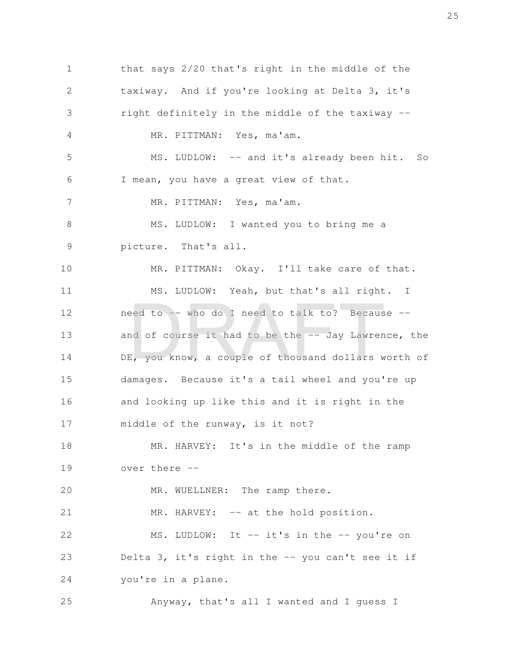that says 2/20 that's right in the middle of the taxiway. And if you're looking at Delta 3, it's right definitely in the middle of the taxiway -- MR. PITTMAN: Yes, ma'am. MS. LUDLOW: -- and it's already been hit. So I mean, you have a great view of that. MR. PITTMAN: Yes, ma'am. MS. LUDLOW: I wanted you to bring me a picture. That's all. MR. PITTMAN: Okay. I'll take care of that. MS. LUDLOW: Yeah, but that's all right. I need to -- who do I need to talk to? Because - and of course it had to be the -- Jay Lawrence, the DE, you know, a couple of thousand dollars worth of damages. Because it's a tail wheel and you're up and looking up like this and it is right in the middle of the runway, is it not? MR. HARVEY: It's in the middle of the ramp over there -- MR. WUELLNER: The ramp there. MR. HARVEY: -- at the hold position. MS. LUDLOW: It -- it's in the -- you're on Delta 3, it's right in the -- you can't see it if you're in a plane. Anyway, that's all I wanted and I guess I 1 2 3 4 5 6 7 8 9 10 11 12 13 14 15 16 17 18 19 20 21 22 23 24 25 eed to -- who do I need to talk to? Becaus<br>ad of course it had to be the -- Jay Lawren<br>E, you know, a couple of thousand dollars w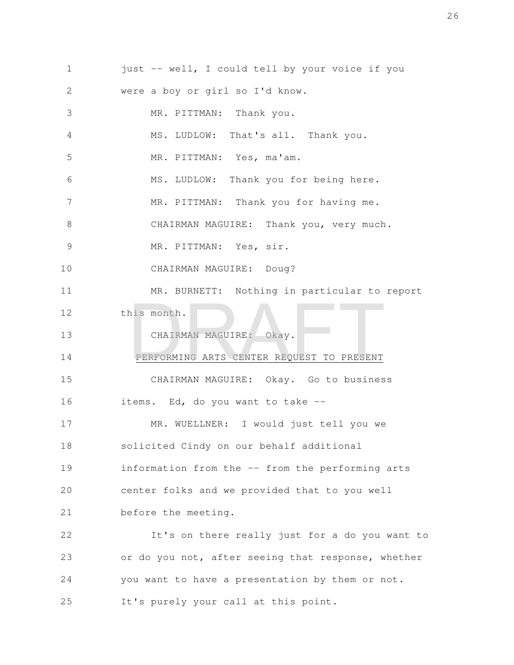just -- well, I could tell by your voice if you were a boy or girl so I'd know. MR. PITTMAN: Thank you. MS. LUDLOW: That's all. Thank you. MR. PITTMAN: Yes, ma'am. MS. LUDLOW: Thank you for being here. MR. PITTMAN: Thank you for having me. CHAIRMAN MAGUIRE: Thank you, very much. MR. PITTMAN: Yes, sir. CHAIRMAN MAGUIRE: Doug? MR. BURNETT: Nothing in particular to report this month. CHAIRMAN MAGUIRE: Okay. PERFORMING ARTS CENTER REQUEST TO PRESENT CHAIRMAN MAGUIRE: Okay. Go to business items. Ed, do you want to take -- MR. WUELLNER: I would just tell you we solicited Cindy on our behalf additional information from the -- from the performing arts center folks and we provided that to you well before the meeting. It's on there really just for a do you want to or do you not, after seeing that response, whether you want to have a presentation by them or not. It's purely your call at this point. 1 2 3 4 5 6 7 8 9 10 11 12 13 14 15 16 17 18 19 20 21 22 23 24 25 NIS MONTH.<br>CHAIRMAN MAGUIRE: Okay.<br>PERFORMING ARTS CENTER REQUEST TO PRESENT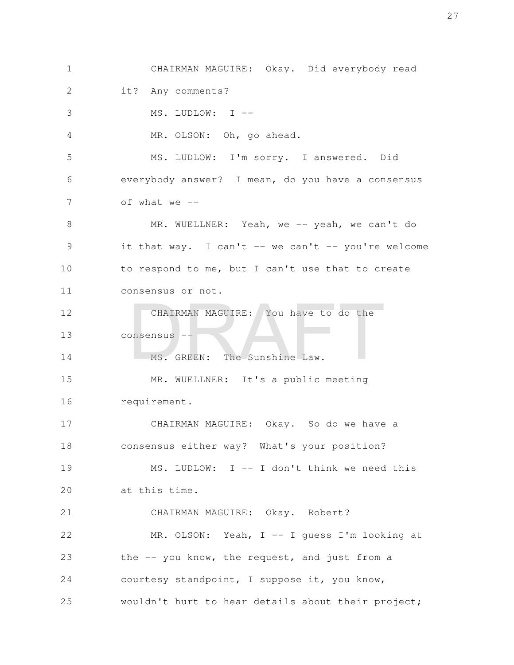CHAIRMAN MAGUIRE: Okay. Did everybody read it? Any comments? MS. LUDLOW: I -- MR. OLSON: Oh, go ahead. MS. LUDLOW: I'm sorry. I answered. Did everybody answer? I mean, do you have a consensus of what we  $-$ MR. WUELLNER: Yeah, we -- yeah, we can't do it that way. I can't  $-$  we can't  $-$  you're welcome to respond to me, but I can't use that to create consensus or not. CHAIRMAN MAGUIRE: You have to do the consensus -- MS. GREEN: The Sunshine Law. MR. WUELLNER: It's a public meeting requirement. CHAIRMAN MAGUIRE: Okay. So do we have a consensus either way? What's your position? MS. LUDLOW: I -- I don't think we need this at this time. CHAIRMAN MAGUIRE: Okay. Robert? MR. OLSON: Yeah, I -- I guess I'm looking at the -- you know, the request, and just from a courtesy standpoint, I suppose it, you know, 1 2 3 4 5 6 7 8 9 10 11 12 13 14 15 16 17 18 19 20 21 22 23 24 CHAIRMAN MAGUIRE: You have to do the<br>DRAFT --<br>MS. GREEN: The Sunshine Law.

wouldn't hurt to hear details about their project;

25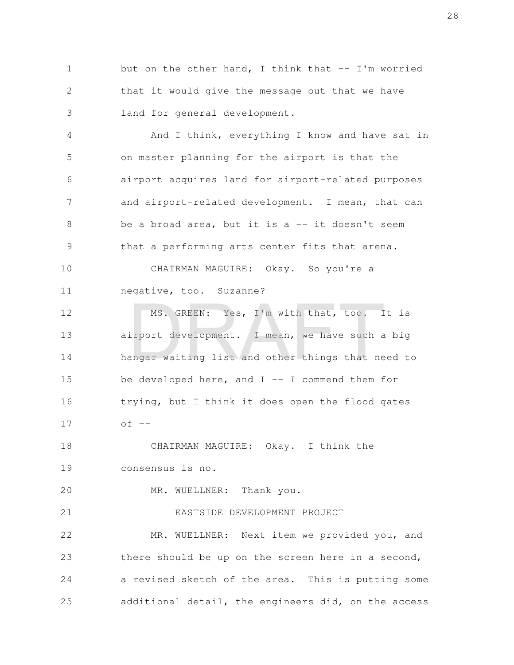but on the other hand, I think that  $--$  I'm worried that it would give the message out that we have land for general development. 1 2 3

And I think, everything I know and have sat in on master planning for the airport is that the airport acquires land for airport-related purposes and airport-related development. I mean, that can be a broad area, but it is a  $--$  it doesn't seem that a performing arts center fits that arena. CHAIRMAN MAGUIRE: Okay. So you're a negative, too. Suzanne? MS. GREEN: Yes, I'm with that, too. It is airport development. I mean, we have such a big hangar waiting list and other things that need to be developed here, and  $I$  -- I commend them for trying, but I think it does open the flood gates  $of --$ CHAIRMAN MAGUIRE: Okay. I think the 4 5 6 7 8 9 10 11 12 13 14 15 16 17 18 MS. GREEN: Yes, I'm with that, too. I<br>irport development. I mean, we have such a<br>angar waiting list and other things that ne

consensus is no. 19

21

MR. WUELLNER: Thank you. 20

## EASTSIDE DEVELOPMENT PROJECT

MR. WUELLNER: Next item we provided you, and there should be up on the screen here in a second, a revised sketch of the area. This is putting some additional detail, the engineers did, on the access 22 23 24 25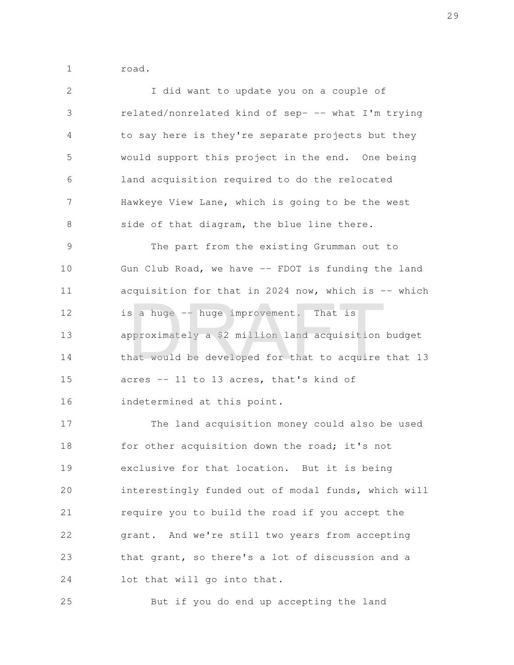road. 1

I did want to update you on a couple of related/nonrelated kind of sep- -- what I'm trying to say here is they're separate projects but they would support this project in the end. One being land acquisition required to do the relocated Hawkeye View Lane, which is going to be the west side of that diagram, the blue line there. The part from the existing Grumman out to Gun Club Road, we have -- FDOT is funding the land acquisition for that in 2024 now, which is  $-$ - which is a huge -- huge improvement. That is approximately a \$2 million land acquisition budget that would be developed for that to acquire that 13 acres -- 11 to 13 acres, that's kind of indetermined at this point. 2 3 4 5 6 7 8 9 10 11 12 13 14 15 16 s a huge -- huge improvement. That is<br>pproximately a \$2 million land acquisition<br>nat would be developed for that to acquire

The land acquisition money could also be used for other acquisition down the road; it's not exclusive for that location. But it is being interestingly funded out of modal funds, which will require you to build the road if you accept the grant. And we're still two years from accepting that grant, so there's a lot of discussion and a lot that will go into that. 17 18 19 20 21 22 23 24

But if you do end up accepting the land 25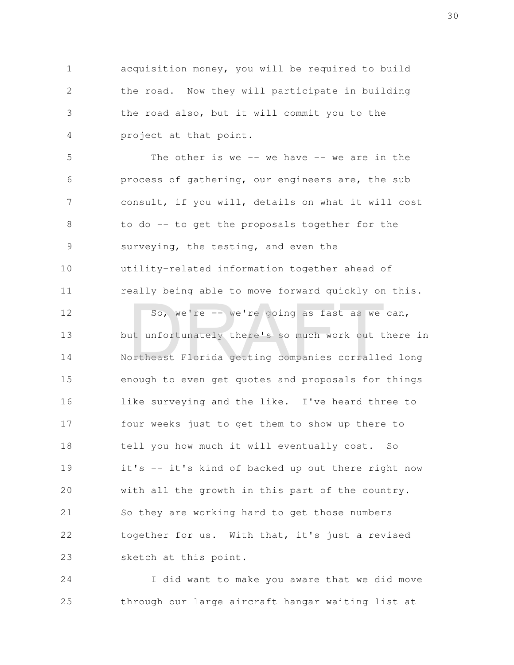acquisition money, you will be required to build the road. Now they will participate in building the road also, but it will commit you to the project at that point. 1 2 3 4

The other is we  $--$  we have  $--$  we are in the process of gathering, our engineers are, the sub consult, if you will, details on what it will cost to do -- to get the proposals together for the surveying, the testing, and even the utility-related information together ahead of really being able to move forward quickly on this. 5 6 7 8 9 10 11

So, we're -- we're going as fast as we can, but unfortunately there's so much work out there in Northeast Florida getting companies corralled long enough to even get quotes and proposals for things like surveying and the like. I've heard three to four weeks just to get them to show up there to tell you how much it will eventually cost. So it's -- it's kind of backed up out there right now with all the growth in this part of the country. So they are working hard to get those numbers together for us. With that, it's just a revised sketch at this point. 12 13 14 15 16 17 18 19 20 21 22 23 So, we're -- we're going as fast as we<br>at unfortunately there's so much work out to<br>priheast Florida getting companies corralle

I did want to make you aware that we did move through our large aircraft hangar waiting list at 24 25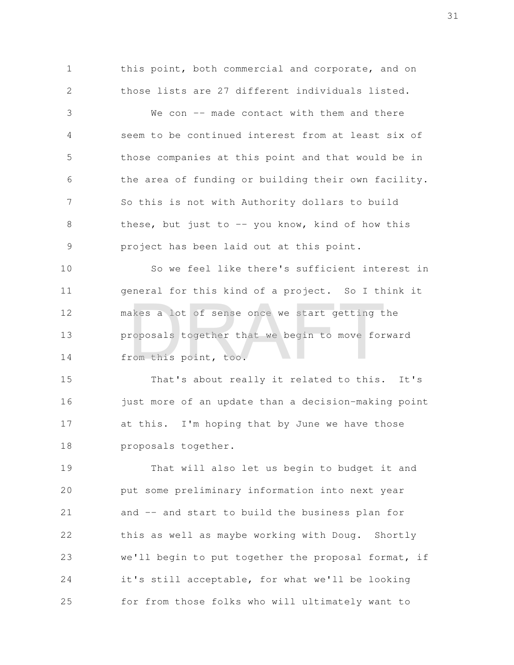this point, both commercial and corporate, and on those lists are 27 different individuals listed. 1 2

We con -- made contact with them and there seem to be continued interest from at least six of those companies at this point and that would be in the area of funding or building their own facility. So this is not with Authority dollars to build these, but just to  $-$ - you know, kind of how this project has been laid out at this point. 3 4 5 6 7 8 9

So we feel like there's sufficient interest in general for this kind of a project. So I think it makes a lot of sense once we start getting the proposals together that we begin to move forward from this point, too. 10 11 12 13 14 akes a lot of sense once we start getting to<br>roposals together that we begin to move for<br>rom this point, too.

That's about really it related to this. It's just more of an update than a decision-making point at this. I'm hoping that by June we have those proposals together. 15 16 17 18

That will also let us begin to budget it and put some preliminary information into next year and -- and start to build the business plan for this as well as maybe working with Doug. Shortly we'll begin to put together the proposal format, if it's still acceptable, for what we'll be looking for from those folks who will ultimately want to 19 20 21 22 23 24 25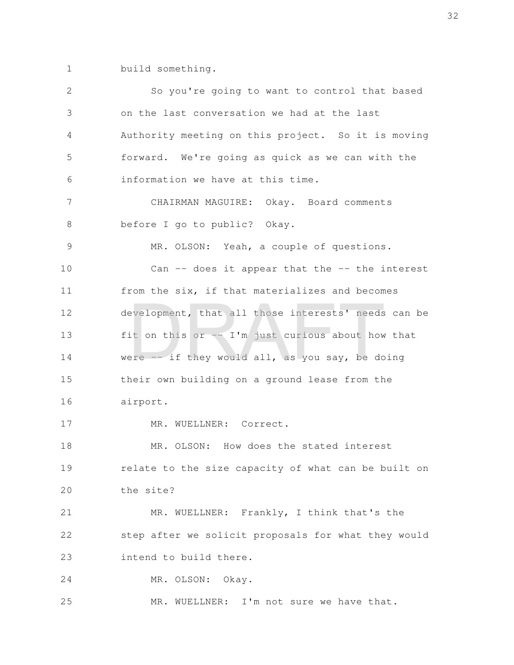build something. 1

| $\mathbf{2}$  | So you're going to want to control that based       |
|---------------|-----------------------------------------------------|
| 3             | on the last conversation we had at the last         |
| 4             | Authority meeting on this project. So it is moving  |
| 5             | forward. We're going as quick as we can with the    |
| 6             | information we have at this time.                   |
| 7             | CHAIRMAN MAGUIRE: Okay. Board comments              |
| 8             | before I go to public? Okay.                        |
| $\mathcal{G}$ | MR. OLSON: Yeah, a couple of questions.             |
| 10            | Can $-$ does it appear that the $-$ the interest    |
| 11            | from the six, if that materializes and becomes      |
| 12            | development, that all those interests' needs can be |
| 13            | fit on this or -- I'm just curious about how that   |
| 14            | were $-$ if they would all, as you say, be doing    |
| 15            | their own building on a ground lease from the       |
| 16            | airport.                                            |
| 17            | MR. WUELLNER: Correct.                              |
| 18            | MR. OLSON: How does the stated interest             |
| 19            | relate to the size capacity of what can be built on |
| 20            | the site?                                           |
| 21            | MR. WUELLNER: Frankly, I think that's the           |
| 22            | step after we solicit proposals for what they would |
| 23            | intend to build there.                              |
| 24            | MR. OLSON: Okay.                                    |
| 25            | MR. WUELLNER: I'm not sure we have that.            |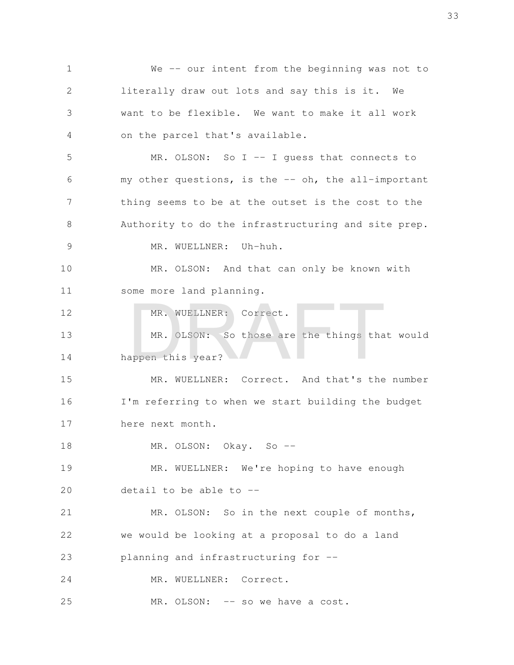We -- our intent from the beginning was not to literally draw out lots and say this is it. We want to be flexible. We want to make it all work on the parcel that's available. MR. OLSON: So I -- I quess that connects to my other questions, is the -- oh, the all-important thing seems to be at the outset is the cost to the Authority to do the infrastructuring and site prep. MR. WUELLNER: Uh-huh. MR. OLSON: And that can only be known with some more land planning. MR. WUELLNER: Correct. MR. OLSON: So those are the things that would happen this year? MR. WUELLNER: Correct. And that's the number I'm referring to when we start building the budget here next month. MR. OLSON: Okay. So -- MR. WUELLNER: We're hoping to have enough detail to be able to -- MR. OLSON: So in the next couple of months, we would be looking at a proposal to do a land planning and infrastructuring for -- MR. WUELLNER: Correct. MR. OLSON: -- so we have a cost. 1 2 3 4 5 6 7 8 9 10 11 12 13 14 15 16 17 18 19 20 21 22 23 24 25 MR. WUELLNER: Correct.<br>MR. OLSON: So those are the things that<br>appen this year?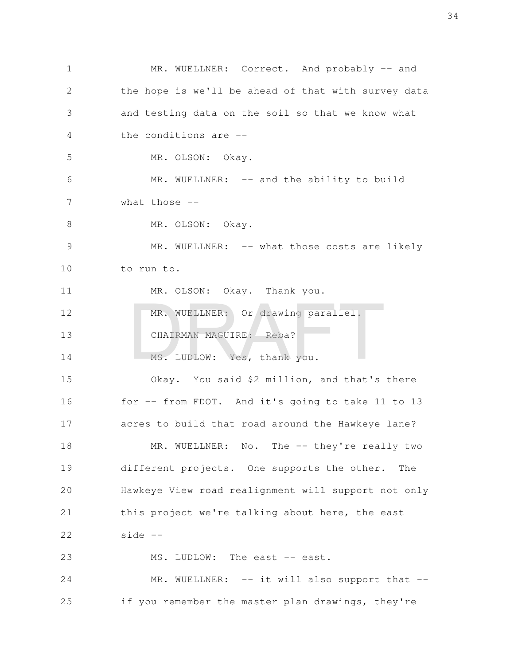MR. WUELLNER: Correct. And probably -- and the hope is we'll be ahead of that with survey data and testing data on the soil so that we know what the conditions are -- MR. OLSON: Okay. MR. WUELLNER: -- and the ability to build what those  $-$ MR. OLSON: Okay. MR. WUELLNER: -- what those costs are likely to run to. MR. OLSON: Okay. Thank you. MR. WUELLNER: Or drawing parallel. CHAIRMAN MAGUIRE: Reba? MS. LUDLOW: Yes, thank you. Okay. You said \$2 million, and that's there for -- from FDOT. And it's going to take 11 to 13 acres to build that road around the Hawkeye lane? MR. WUELLNER: No. The -- they're really two different projects. One supports the other. The Hawkeye View road realignment will support not only this project we're talking about here, the east side -- MS. LUDLOW: The east -- east. MR. WUELLNER: -- it will also support that -if you remember the master plan drawings, they're 1 2 3 4 5 6 7 8 9 10 11 12 13 14 15 16 17 18 19 20 21 22 23 24 25 MR. WUELLNER: Or drawing parallel.<br>CHAIRMAN MAGUIRE: Reba?<br>MS. LUDLOW: Yes, thank you.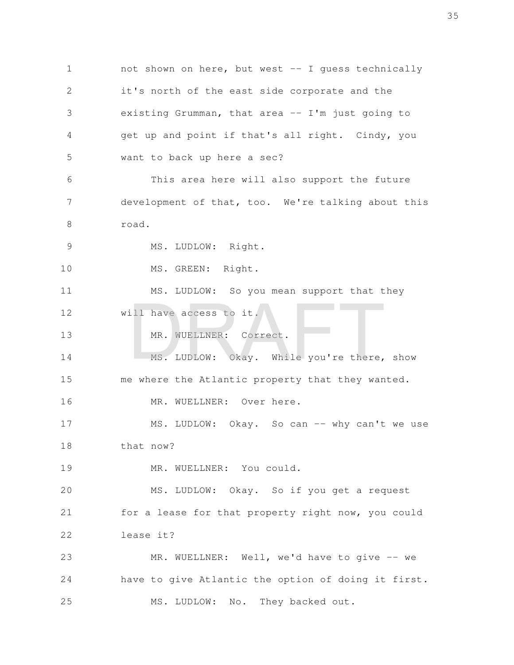not shown on here, but west -- I guess technically it's north of the east side corporate and the existing Grumman, that area -- I'm just going to get up and point if that's all right. Cindy, you want to back up here a sec? This area here will also support the future development of that, too. We're talking about this road. MS. LUDLOW: Right. MS. GREEN: Right. MS. LUDLOW: So you mean support that they will have access to it. MR. WUELLNER: Correct. MS. LUDLOW: Okay. While you're there, show me where the Atlantic property that they wanted. MR. WUELLNER: Over here. MS. LUDLOW: Okay. So can -- why can't we use that now? MR. WUELLNER: You could. MS. LUDLOW: Okay. So if you get a request for a lease for that property right now, you could lease it? MR. WUELLNER: Well, we'd have to give -- we have to give Atlantic the option of doing it first. MS. LUDLOW: No. They backed out. 1 2 3 4 5 6 7 8 9 10 11 12 13 14 15 16 17 18 19 20 21 22 23 24 25 Ill have access to it.<br>
MR. WUELLNER: Correct.<br>
MS. LUDLOW: Okay. While you're there,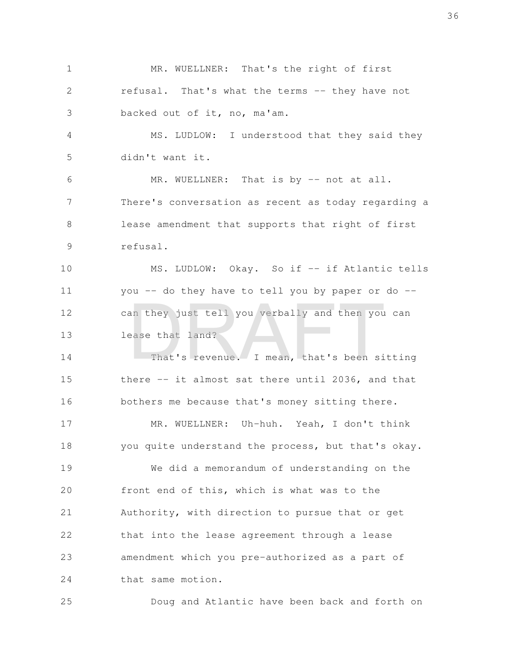MR. WUELLNER: That's the right of first refusal. That's what the terms -- they have not backed out of it, no, ma'am. 1 2 3

MS. LUDLOW: I understood that they said they didn't want it. 4 5

MR. WUELLNER: That is by -- not at all. There's conversation as recent as today regarding a lease amendment that supports that right of first refusal. 6 7 8 9

MS. LUDLOW: Okay. So if -- if Atlantic tells you -- do they have to tell you by paper or do - can they just tell you verbally and then you can lease that land? 10 11 12 13 an they just tell you verbally and then you<br>ease that land?<br>That's revenue. I mean, that's been si

That's revenue. I mean, that's been sitting there -- it almost sat there until 2036, and that bothers me because that's money sitting there. 14 15 16

MR. WUELLNER: Uh-huh. Yeah, I don't think you quite understand the process, but that's okay. 17 18

We did a memorandum of understanding on the front end of this, which is what was to the Authority, with direction to pursue that or get that into the lease agreement through a lease amendment which you pre-authorized as a part of that same motion. 19 20 21 22 23 24

Doug and Atlantic have been back and forth on 25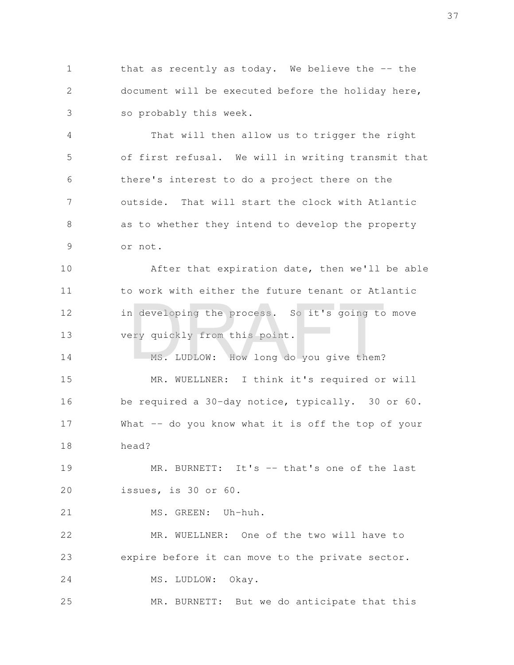that as recently as today. We believe the  $-$ - the document will be executed before the holiday here, so probably this week. 1 2 3

That will then allow us to trigger the right of first refusal. We will in writing transmit that there's interest to do a project there on the outside. That will start the clock with Atlantic as to whether they intend to develop the property or not. 4 5 6 7 8 9

After that expiration date, then we'll be able to work with either the future tenant or Atlantic in developing the process. So it's going to move very quickly from this point. 10 11 12 13 A developing the process. So it's going to<br>ery quickly from this point.<br>MS. LUDLOW: How long do you give them?

MS. LUDLOW: How long do you give them? MR. WUELLNER: I think it's required or will be required a 30-day notice, typically. 30 or 60. What -- do you know what it is off the top of your head? 14 15 16 17 18

MR. BURNETT: It's -- that's one of the last issues, is 30 or 60. 19 20

MS. GREEN: Uh-huh. 21

MR. WUELLNER: One of the two will have to expire before it can move to the private sector. 22 23

MS. LUDLOW: Okay. 24

MR. BURNETT: But we do anticipate that this 25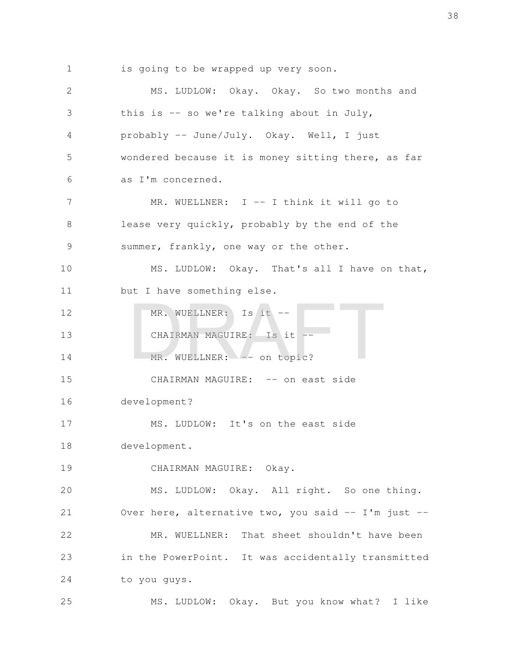is going to be wrapped up very soon. 1

MS. LUDLOW: Okay. Okay. So two months and this is  $-$  so we're talking about in July, probably -- June/July. Okay. Well, I just wondered because it is money sitting there, as far as I'm concerned. MR. WUELLNER: I -- I think it will go to lease very quickly, probably by the end of the summer, frankly, one way or the other. MS. LUDLOW: Okay. That's all I have on that, but I have something else. MR. WUELLNER: Is it -- CHAIRMAN MAGUIRE: Is it --MR. WUELLNER: -- on topic? CHAIRMAN MAGUIRE: -- on east side development? MS. LUDLOW: It's on the east side development. CHAIRMAN MAGUIRE: Okay. MS. LUDLOW: Okay. All right. So one thing. Over here, alternative two, you said -- I'm just --MR. WUELLNER: That sheet shouldn't have been in the PowerPoint. It was accidentally transmitted to you guys. MS. LUDLOW: Okay. But you know what? I like 2 3 4 5 6 7 8 9 10 11 12 13 14 15 16 17 18 19 20 21 22 23 24 25 MR. WUELLNER: Is it --<br>CHAIRMAN MAGUIRE: Is it --<br>MR. WUELLNER: -- on topic?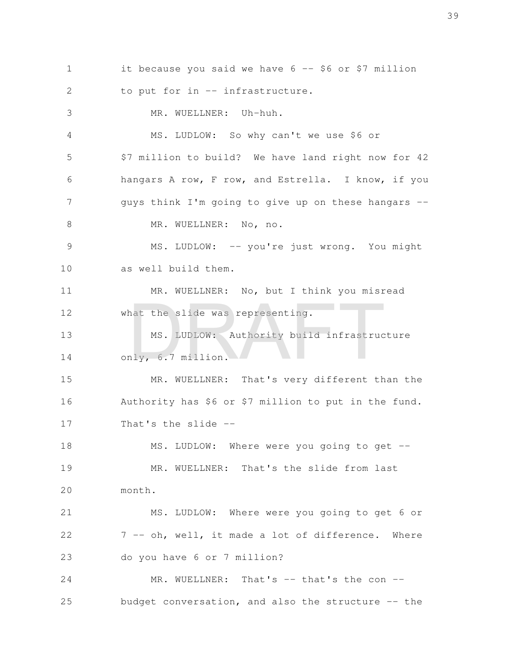it because you said we have 6 -- \$6 or \$7 million to put for in -- infrastructure. MR. WUELLNER: Uh-huh. MS. LUDLOW: So why can't we use \$6 or \$7 million to build? We have land right now for 42 hangars A row, F row, and Estrella. I know, if you guys think I'm going to give up on these hangars -- MR. WUELLNER: No, no. MS. LUDLOW: -- you're just wrong. You might as well build them. MR. WUELLNER: No, but I think you misread what the slide was representing. MS. LUDLOW: Authority build infrastructure only, 6.7 million. MR. WUELLNER: That's very different than the Authority has \$6 or \$7 million to put in the fund. That's the slide -- MS. LUDLOW: Where were you going to get --MR. WUELLNER: That's the slide from last month. MS. LUDLOW: Where were you going to get 6 or 7 -- oh, well, it made a lot of difference. Where do you have 6 or 7 million? MR. WUELLNER: That's -- that's the con -budget conversation, and also the structure -- the 1 2 3 4 5 6 7 8 9 10 11 12 13 14 15 16 17 18 19 20 21 22 23 24 25 nat the slide was representing.<br>
MS. LUDLOW: Authority build infrastruc<br>
nly, 6.7 million.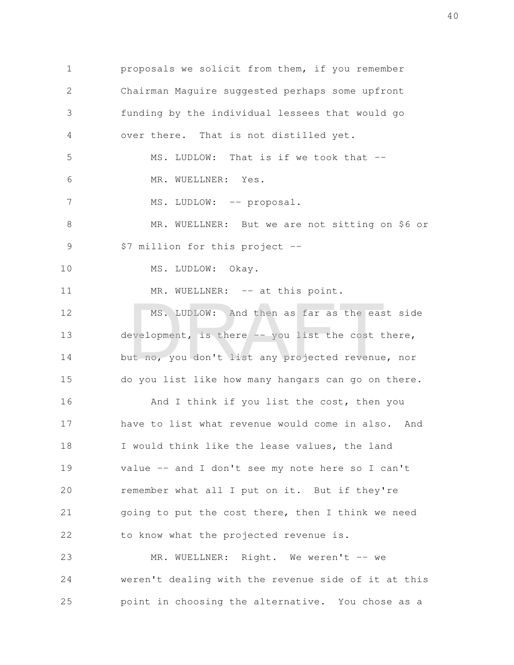proposals we solicit from them, if you remember Chairman Maguire suggested perhaps some upfront funding by the individual lessees that would go over there. That is not distilled yet. MS. LUDLOW: That is if we took that --MR. WUELLNER: Yes. MS. LUDLOW: -- proposal. MR. WUELLNER: But we are not sitting on \$6 or \$7 million for this project -- MS. LUDLOW: Okay. MR. WUELLNER: -- at this point. MS. LUDLOW: And then as far as the east side development, is there -- you list the cost there, but no, you don't list any projected revenue, nor do you list like how many hangars can go on there. And I think if you list the cost, then you have to list what revenue would come in also. And I would think like the lease values, the land value -- and I don't see my note here so I can't remember what all I put on it. But if they're going to put the cost there, then I think we need to know what the projected revenue is. MR. WUELLNER: Right. We weren't -- we weren't dealing with the revenue side of it at this point in choosing the alternative. You chose as a 1 2 3 4 5 6 7 8 9 10 11 12 13 14 15 16 17 18 19 20 21 22 23 24 25 MS. LUDLOW: And then as far as the ease<br>evelopment, is there -- you list the cost t<br>at no, you don't list any projected revenue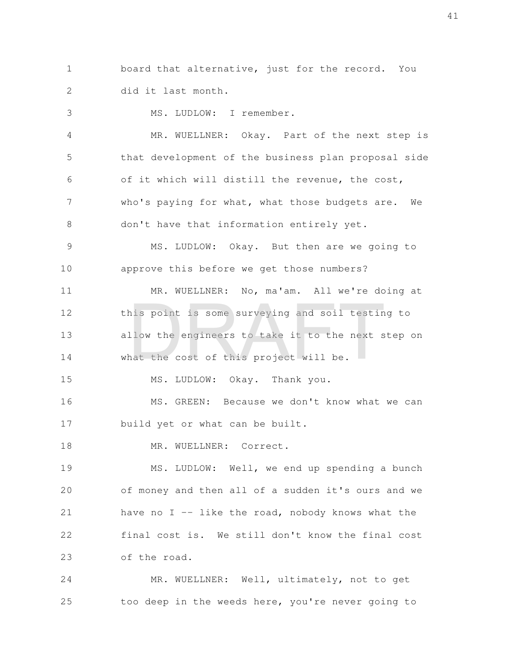board that alternative, just for the record. You did it last month. 1 2

MS. LUDLOW: I remember. 3

MR. WUELLNER: Okay. Part of the next step is that development of the business plan proposal side of it which will distill the revenue, the cost, who's paying for what, what those budgets are. We don't have that information entirely yet. 4 5 6 7 8

MS. LUDLOW: Okay. But then are we going to approve this before we get those numbers? 9 10

MR. WUELLNER: No, ma'am. All we're doing at this point is some surveying and soil testing to allow the engineers to take it to the next step on what the cost of this project will be. 11 12 13 14 nis point is some surveying and soil testin<br>llow the engineers to take it to the next s<br>nat the cost of this project will be.

MS. LUDLOW: Okay. Thank you. 15

MS. GREEN: Because we don't know what we can build yet or what can be built. 16 17

MR. WUELLNER: Correct. 18

MS. LUDLOW: Well, we end up spending a bunch of money and then all of a sudden it's ours and we have no  $I$  -- like the road, nobody knows what the final cost is. We still don't know the final cost of the road. 19 20 21 22 23

MR. WUELLNER: Well, ultimately, not to get too deep in the weeds here, you're never going to 24 25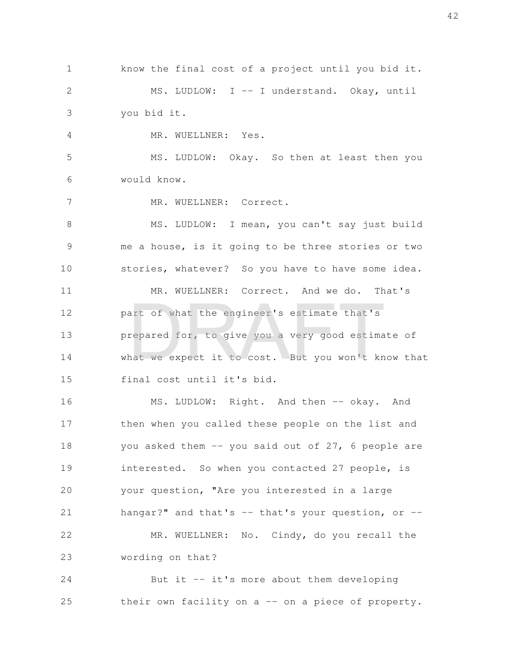know the final cost of a project until you bid it. MS. LUDLOW: I -- I understand. Okay, until you bid it. 1 2 3

MR. WUELLNER: Yes. 4

MS. LUDLOW: Okay. So then at least then you would know. 5 6

MR. WUELLNER: Correct. 7

MS. LUDLOW: I mean, you can't say just build me a house, is it going to be three stories or two stories, whatever? So you have to have some idea. MR. WUELLNER: Correct. And we do. That's part of what the engineer's estimate that's prepared for, to give you a very good estimate of what we expect it to cost. But you won't know that final cost until it's bid. 8 9 10 11 12 13 14 15 art of what the engineer's estimate that's<br>repared for, to give you a very good estima<br>nat we expect it to cost. But you won't kn

MS. LUDLOW: Right. And then -- okay. And then when you called these people on the list and you asked them  $-$  you said out of 27, 6 people are interested. So when you contacted 27 people, is your question, "Are you interested in a large hangar?" and that's  $--$  that's your question, or  $--$ MR. WUELLNER: No. Cindy, do you recall the wording on that? 16 17 18 19 20 21 22 23

But it  $-$  it's more about them developing their own facility on a -- on a piece of property. 24 25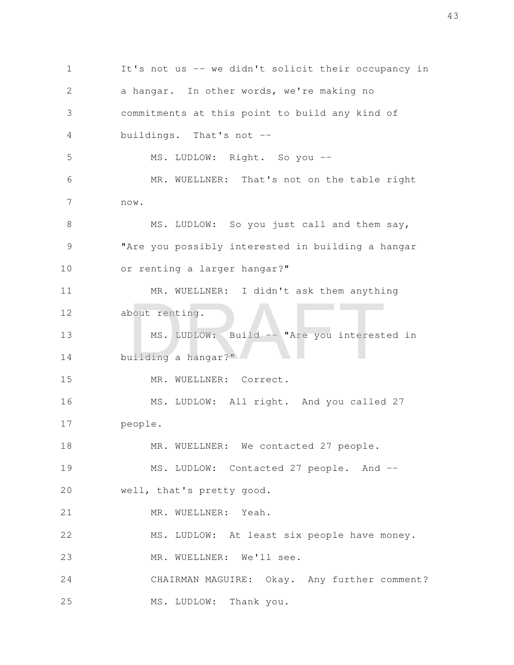It's not us -- we didn't solicit their occupancy in a hangar. In other words, we're making no commitments at this point to build any kind of buildings. That's not -- MS. LUDLOW: Right. So you -- MR. WUELLNER: That's not on the table right now. MS. LUDLOW: So you just call and them say, "Are you possibly interested in building a hangar or renting a larger hangar?" MR. WUELLNER: I didn't ask them anything about renting. MS. LUDLOW: Build -- "Are you interested in building a hangar?" MR. WUELLNER: Correct. MS. LUDLOW: All right. And you called 27 people. MR. WUELLNER: We contacted 27 people. MS. LUDLOW: Contacted 27 people. And -well, that's pretty good. MR. WUELLNER: Yeah. MS. LUDLOW: At least six people have money. MR. WUELLNER: We'll see. CHAIRMAN MAGUIRE: Okay. Any further comment? MS. LUDLOW: Thank you. 1 2 3 4 5 6 7 8 9 10 11 12 13 14 15 16 17 18 19 20 21 22 23 24 25 NS. LUDLOW: Build -- "Are you interest<br>uilding a hangar?"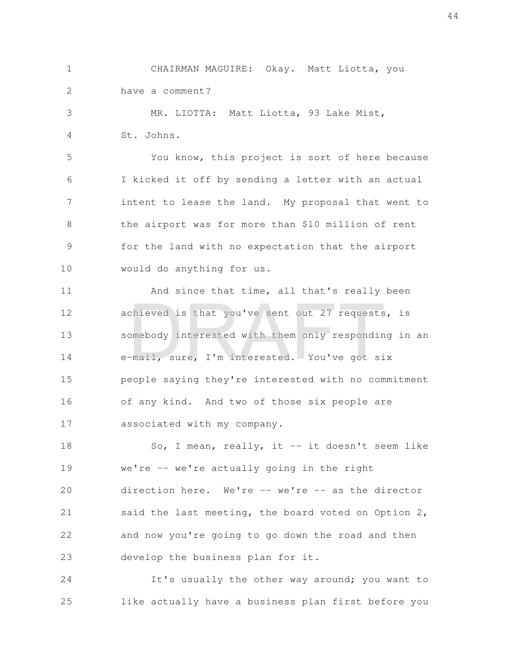CHAIRMAN MAGUIRE: Okay. Matt Liotta, you have a comment? 1 2

MR. LIOTTA: Matt Liotta, 93 Lake Mist, St. Johns. 3 4

You know, this project is sort of here because I kicked it off by sending a letter with an actual intent to lease the land. My proposal that went to the airport was for more than \$10 million of rent for the land with no expectation that the airport would do anything for us. 5 6 7 8 9 10

And since that time, all that's really been achieved is that you've sent out 27 requests, is somebody interested with them only responding in an e-mail, sure, I'm interested. You've got six people saying they're interested with no commitment of any kind. And two of those six people are associated with my company. 11 12 13 14 15 16 17 chieved is that you've sent out 27 requests<br>omebody interested with them only respondin<br>-mail, sure, I'm interested. You've got si

So, I mean, really, it  $-$  it doesn't seem like we're -- we're actually going in the right direction here. We're -- we're -- as the director said the last meeting, the board voted on Option 2, and now you're going to go down the road and then develop the business plan for it. 18 19 20 21 22 23

It's usually the other way around; you want to like actually have a business plan first before you 24 25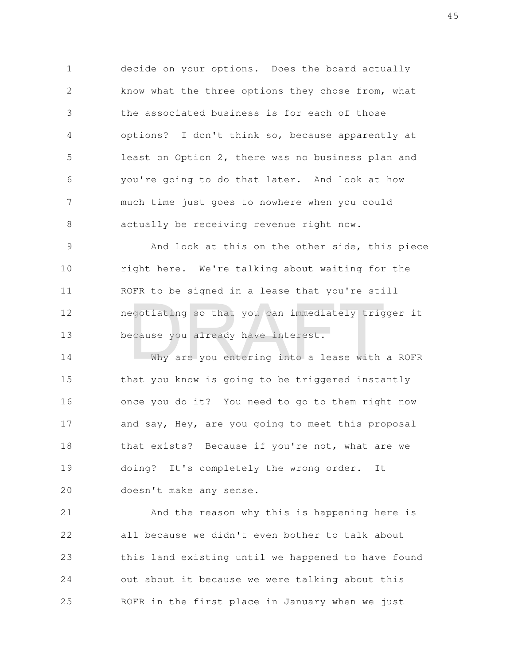decide on your options. Does the board actually know what the three options they chose from, what the associated business is for each of those options? I don't think so, because apparently at least on Option 2, there was no business plan and you're going to do that later. And look at how much time just goes to nowhere when you could actually be receiving revenue right now. 1 2 3 4 5 6 7 8

And look at this on the other side, this piece right here. We're talking about waiting for the ROFR to be signed in a lease that you're still negotiating so that you can immediately trigger it because you already have interest. 9 10 11 12 13 egotiating so that you can immediately trig<br>ecause you already have interest.<br>Why are you entering into a lease with

Why are you entering into a lease with a ROFR that you know is going to be triggered instantly once you do it? You need to go to them right now and say, Hey, are you going to meet this proposal that exists? Because if you're not, what are we doing? It's completely the wrong order. It doesn't make any sense. 14 15 16 17 18 19 20

And the reason why this is happening here is all because we didn't even bother to talk about this land existing until we happened to have found out about it because we were talking about this ROFR in the first place in January when we just 21 22 23 24 25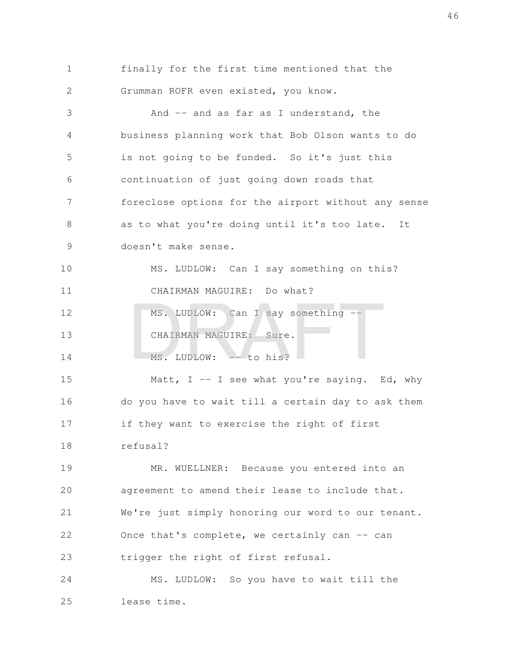| $\mathbf{1}$  | finally for the first time mentioned that the       |
|---------------|-----------------------------------------------------|
| $\mathcal{L}$ | Grumman ROFR even existed, you know.                |
| 3             | And -- and as far as I understand, the              |
| 4             | business planning work that Bob Olson wants to do   |
| 5             | is not going to be funded. So it's just this        |
| 6             | continuation of just going down roads that          |
| 7             | foreclose options for the airport without any sense |
| 8             | as to what you're doing until it's too late. It     |
| 9             | doesn't make sense.                                 |
|               |                                                     |

MS. LUDLOW: Can I say something on this? CHAIRMAN MAGUIRE: Do what? 10 11

MS. LUDLOW: Can I say something --CHAIRMAN MAGUIRE: Sure. MS. LUDLOW:  $-$  to his? 12 13 14 MS. LUDLOW: Can I say something --<br>CHAIRMAN MAGUIRE: Sure.<br>MS. LUDLOW: -- to his?

Matt,  $I - - I$  see what you're saying. Ed, why do you have to wait till a certain day to ask them if they want to exercise the right of first refusal? 15 16 17 18

MR. WUELLNER: Because you entered into an agreement to amend their lease to include that. We're just simply honoring our word to our tenant. Once that's complete, we certainly can -- can trigger the right of first refusal. 19 20 21 22 23

MS. LUDLOW: So you have to wait till the lease time. 24 25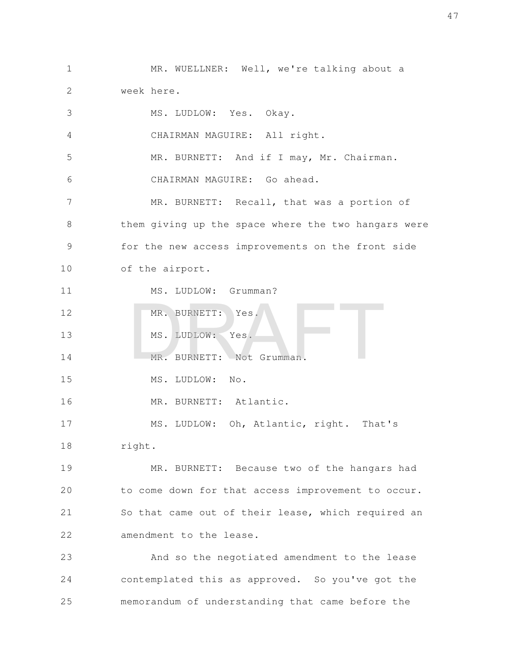MR. WUELLNER: Well, we're talking about a week here. 1 2

MS. LUDLOW: Yes. Okay. CHAIRMAN MAGUIRE: All right. MR. BURNETT: And if I may, Mr. Chairman. CHAIRMAN MAGUIRE: Go ahead. MR. BURNETT: Recall, that was a portion of them giving up the space where the two hangars were for the new access improvements on the front side of the airport. MS. LUDLOW: Grumman? MR. BURNETT: Yes. MS. LUDLOW: Yes. MR. BURNETT: Not Grumman. MS. LUDLOW: No. MR. BURNETT: Atlantic. 3 4 5 6 7 8 9 10 11 12 13 14 15 16 MR. BURNETT: Yes.<br>MS. LUDLOW: Yes.<br>MR. BURNETT: Not Grumman.

MS. LUDLOW: Oh, Atlantic, right. That's right. 17 18

MR. BURNETT: Because two of the hangars had to come down for that access improvement to occur. So that came out of their lease, which required an amendment to the lease. 19 20 21 22

And so the negotiated amendment to the lease contemplated this as approved. So you've got the memorandum of understanding that came before the 23 24 25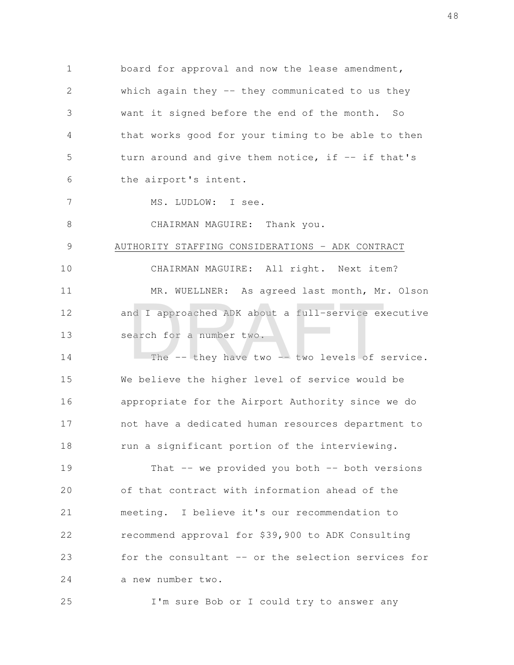board for approval and now the lease amendment, which again they  $-$  they communicated to us they want it signed before the end of the month. So that works good for your timing to be able to then turn around and give them notice, if  $-$ - if that's the airport's intent. MS. LUDLOW: I see. 1 2 3 4 5 6 7

8

CHAIRMAN MAGUIRE: Thank you.

## AUTHORITY STAFFING CONSIDERATIONS - ADK CONTRACT 9

CHAIRMAN MAGUIRE: All right. Next item? MR. WUELLNER: As agreed last month, Mr. Olson and I approached ADK about a full-service executive search for a number two. 10 11 12 13 nd I approached ADK about a full-service exerch for a number two.<br>The -- they have two -- two levels of s

The  $-$  they have two  $-$  two levels of service. We believe the higher level of service would be appropriate for the Airport Authority since we do not have a dedicated human resources department to run a significant portion of the interviewing. 14 15 16 17 18

That  $-$  we provided you both  $-$  both versions of that contract with information ahead of the meeting. I believe it's our recommendation to recommend approval for \$39,900 to ADK Consulting for the consultant -- or the selection services for a new number two. 19 20 21 22 23 24

I'm sure Bob or I could try to answer any 25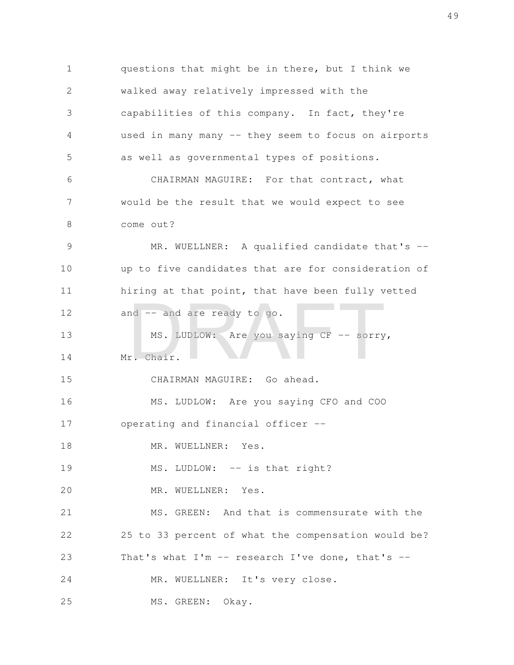questions that might be in there, but I think we walked away relatively impressed with the capabilities of this company. In fact, they're used in many many -- they seem to focus on airports as well as governmental types of positions. CHAIRMAN MAGUIRE: For that contract, what would be the result that we would expect to see come out? MR. WUELLNER: A qualified candidate that's -up to five candidates that are for consideration of hiring at that point, that have been fully vetted and -- and are ready to go. MS. LUDLOW: Are you saying CF -- sorry, Mr. Chair. CHAIRMAN MAGUIRE: Go ahead. MS. LUDLOW: Are you saying CFO and COO operating and financial officer -- MR. WUELLNER: Yes. MS. LUDLOW: -- is that right? MR. WUELLNER: Yes. MS. GREEN: And that is commensurate with the 25 to 33 percent of what the compensation would be? That's what  $I'm -- research I've done, that's --$ MR. WUELLNER: It's very close. MS. GREEN: Okay. 1 2 3 4 5 6 7 8 9 10 11 12 13 14 15 16 17 18 19 20 21 22 23 24 25 nd -- and are ready to go.<br>
MS. LUDLOW: Are you saying CF -- sorry<br>
r. Chair.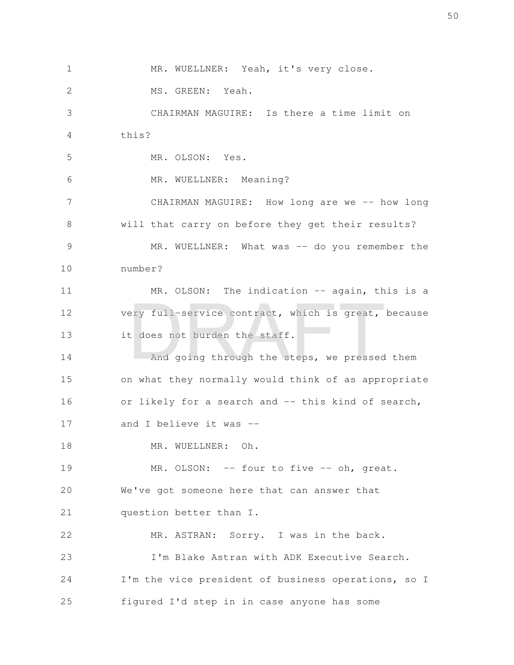MR. WUELLNER: Yeah, it's very close. MS. GREEN: Yeah. CHAIRMAN MAGUIRE: Is there a time limit on this? MR. OLSON: Yes. MR. WUELLNER: Meaning? CHAIRMAN MAGUIRE: How long are we -- how long will that carry on before they get their results? MR. WUELLNER: What was -- do you remember the number? MR. OLSON: The indication -- again, this is a very full-service contract, which is great, because it does not burden the staff. And going through the steps, we pressed them on what they normally would think of as appropriate or likely for a search and -- this kind of search, and I believe it was -- MR. WUELLNER: Oh. MR. OLSON: -- four to five -- oh, great. We've got someone here that can answer that question better than I. MR. ASTRAN: Sorry. I was in the back. I'm Blake Astran with ADK Executive Search. I'm the vice president of business operations, so I figured I'd step in in case anyone has some 1 2 3 4 5 6 7 8 9 10 11 12 13 14 15 16 17 18 19 20 21 22 23 24 25 ery full-service contract, which is great,<br>t does not burden the staff.<br>And going through the steps, we pressed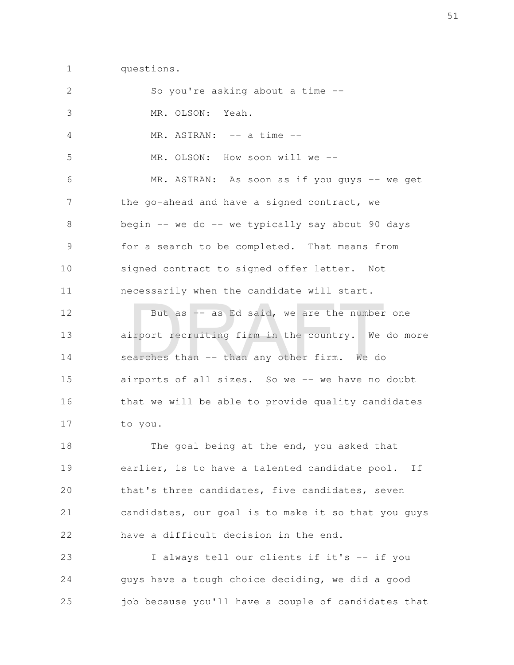questions. 1

| $\mathbf{2}$ | So you're asking about a time --                    |
|--------------|-----------------------------------------------------|
| 3            | MR. OLSON: Yeah.                                    |
| 4            | MR. ASTRAN: -- a time --                            |
| 5            | MR. OLSON: How soon will we --                      |
| 6            | MR. ASTRAN: As soon as if you guys -- we get        |
| 7            | the go-ahead and have a signed contract, we         |
| 8            | begin -- we do -- we typically say about 90 days    |
| 9            | for a search to be completed. That means from       |
| 10           | signed contract to signed offer letter. Not         |
| 11           | necessarily when the candidate will start.          |
| 12           | But as -- as Ed said, we are the number one         |
| 13           | airport recruiting firm in the country. We do more  |
| 14           | searches than -- than any other firm. We do         |
| 15           | airports of all sizes. So we -- we have no doubt    |
| 16           | that we will be able to provide quality candidates  |
| 17           | to you.                                             |
| 18           | The goal being at the end, you asked that           |
| 19           | earlier, is to have a talented candidate pool. If   |
| 20           | that's three candidates, five candidates, seven     |
| 21           | candidates, our goal is to make it so that you guys |
| 22           | have a difficult decision in the end.               |
| 23           | I always tell our clients if it's -- if you         |
| 24           | guys have a tough choice deciding, we did a good    |
| 25           | job because you'll have a couple of candidates that |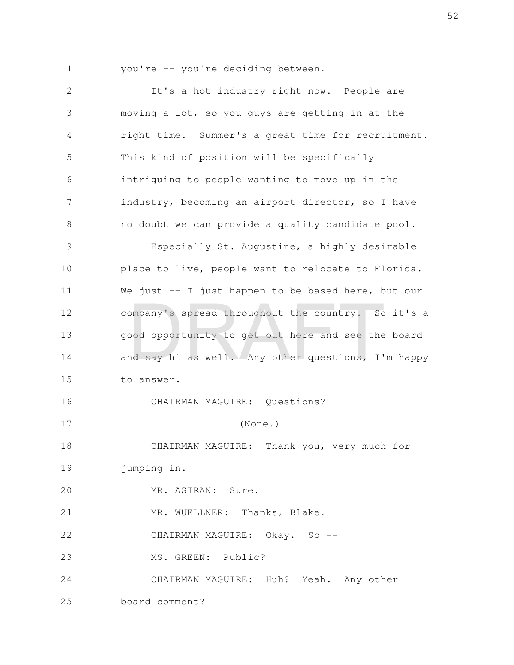you're -- you're deciding between.

It's a hot industry right now. People are moving a lot, so you guys are getting in at the right time. Summer's a great time for recruitment. This kind of position will be specifically intriguing to people wanting to move up in the industry, becoming an airport director, so I have no doubt we can provide a quality candidate pool. Especially St. Augustine, a highly desirable place to live, people want to relocate to Florida. We just -- I just happen to be based here, but our company's spread throughout the country. So it's a good opportunity to get out here and see the board and say hi as well. Any other questions, I'm happy to answer. CHAIRMAN MAGUIRE: Questions? (None.) CHAIRMAN MAGUIRE: Thank you, very much for jumping in. MR. ASTRAN: Sure. MR. WUELLNER: Thanks, Blake. CHAIRMAN MAGUIRE: Okay. So --MS. GREEN: Public? CHAIRMAN MAGUIRE: Huh? Yeah. Any other board comment? 2 3 4 5 6 7 8 9 10 11 12 13 14 15 16 17 18 19 20 21 22 23 24 25 ompany's spread throughout the country. So<br>bod opportunity to get out here and see the<br>nd say hi as well. Any other questions, I'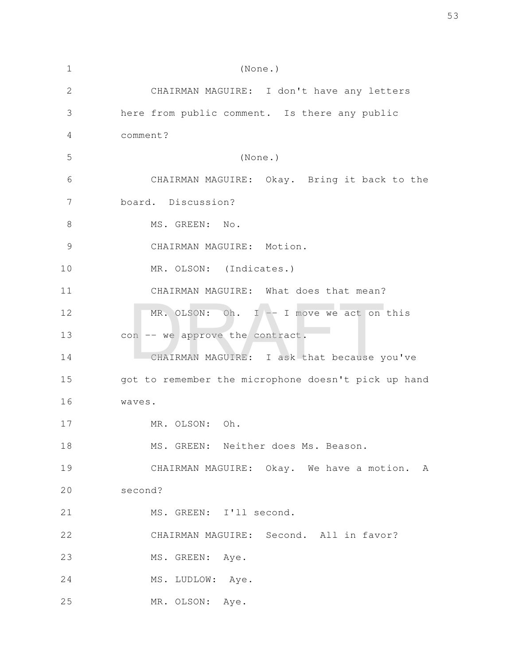| 1             | (None.)                                             |
|---------------|-----------------------------------------------------|
| 2             | CHAIRMAN MAGUIRE: I don't have any letters          |
| 3             | here from public comment. Is there any public       |
| 4             | comment?                                            |
| 5             | (None.)                                             |
| 6             | CHAIRMAN MAGUIRE: Okay. Bring it back to the        |
| 7             | board. Discussion?                                  |
| 8             | MS. GREEN: No.                                      |
| $\mathcal{G}$ | CHAIRMAN MAGUIRE: Motion.                           |
| 10            | MR. OLSON: (Indicates.)                             |
| 11            | CHAIRMAN MAGUIRE: What does that mean?              |
| 12            | MR. OLSON: Oh. I -- I move we act on this           |
| 13            | con -- we approve the contract.                     |
| 14            | CHAIRMAN MAGUIRE: I ask that because you've         |
| 15            | got to remember the microphone doesn't pick up hand |
| 16            | waves.                                              |
| 17            | MR. OLSON: Oh.                                      |
| 18            | MS. GREEN: Neither does Ms. Beason.                 |
| 19            | CHAIRMAN MAGUIRE: Okay. We have a motion. A         |
| 20            | second?                                             |
| 21            | MS. GREEN: I'll second.                             |
| 22            | CHAIRMAN MAGUIRE: Second. All in favor?             |
| 23            | MS. GREEN: Aye.                                     |
| 24            | MS. LUDLOW: Aye.                                    |
| 25            | MR. OLSON: Aye.                                     |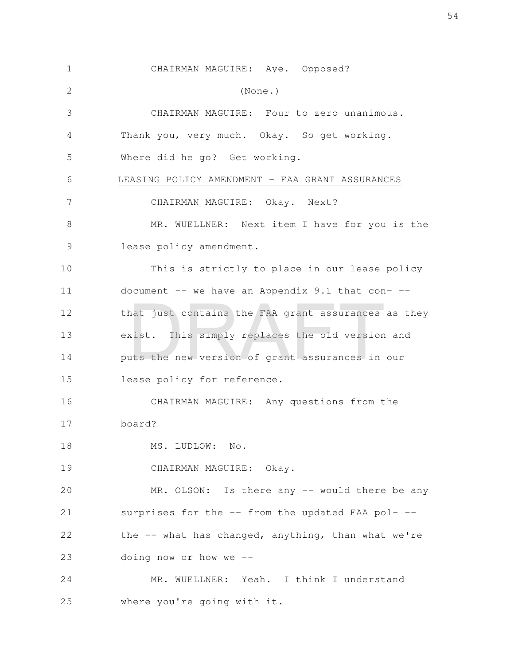| $\mathbf 1$  | CHAIRMAN MAGUIRE: Aye. Opposed?                      |
|--------------|------------------------------------------------------|
| $\mathbf{2}$ | (None.)                                              |
| 3            | CHAIRMAN MAGUIRE: Four to zero unanimous.            |
| 4            | Thank you, very much. Okay. So get working.          |
| 5            | Where did he go? Get working.                        |
| 6            | LEASING POLICY AMENDMENT - FAA GRANT ASSURANCES      |
| 7            | CHAIRMAN MAGUIRE: Okay. Next?                        |
| 8            | MR. WUELLNER: Next item I have for you is the        |
| 9            | lease policy amendment.                              |
| 10           | This is strictly to place in our lease policy        |
| 11           | document $--$ we have an Appendix 9.1 that con- $--$ |
| 12           | that just contains the FAA grant assurances as they  |
| 13           | exist. This simply replaces the old version and      |
| 14           | puts the new version of grant assurances in our      |
| 15           | lease policy for reference.                          |
| 16           | CHAIRMAN MAGUIRE: Any questions from the             |
| 17           | board?                                               |
| 18           | MS. LUDLOW: No.                                      |
| 19           | CHAIRMAN MAGUIRE: Okay.                              |
| 20           | MR. OLSON: Is there any -- would there be any        |
| 21           | surprises for the -- from the updated FAA pol- --    |
| 22           | the -- what has changed, anything, than what we're   |
| 23           | doing now or how we $-$ -                            |
| 24           | MR. WUELLNER: Yeah. I think I understand             |
| 25           | where you're going with it.                          |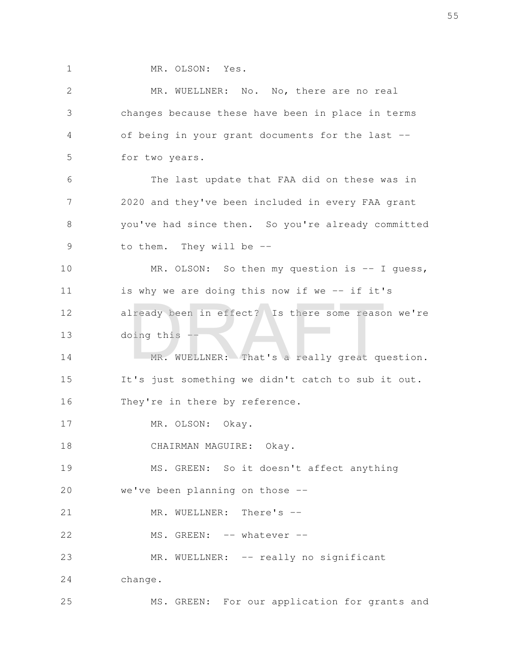MR. OLSON: Yes.

| $\mathbf{2}$ | MR. WUELLNER: No. No, there are no real            |
|--------------|----------------------------------------------------|
| 3            | changes because these have been in place in terms  |
| 4            | of being in your grant documents for the last --   |
| 5            | for two years.                                     |
| 6            | The last update that FAA did on these was in       |
| 7            | 2020 and they've been included in every FAA grant  |
| 8            | you've had since then. So you're already committed |
| 9            | to them. They will be --                           |
| 10           | MR. OLSON: So then my question is -- I guess,      |
| 11           | is why we are doing this now if we -- if it's      |
| 12           | already been in effect? Is there some reason we're |
| 13           | doing this --                                      |
| 14           | MR. WUELLNER: That's a really great question.      |
| 15           | It's just something we didn't catch to sub it out. |
| 16           | They're in there by reference.                     |
| 17           | MR. OLSON: Okay.                                   |
| 18           | CHAIRMAN MAGUIRE: Okay.                            |
| 19           | MS. GREEN: So it doesn't affect anything           |
| 20           | we've been planning on those --                    |
| 21           | MR. WUELLNER: There's --                           |
| 22           | MS. GREEN: -- whatever --                          |
| 23           | MR. WUELLNER: -- really no significant             |
| 24           | change.                                            |
| 25           | MS. GREEN: For our application for grants and      |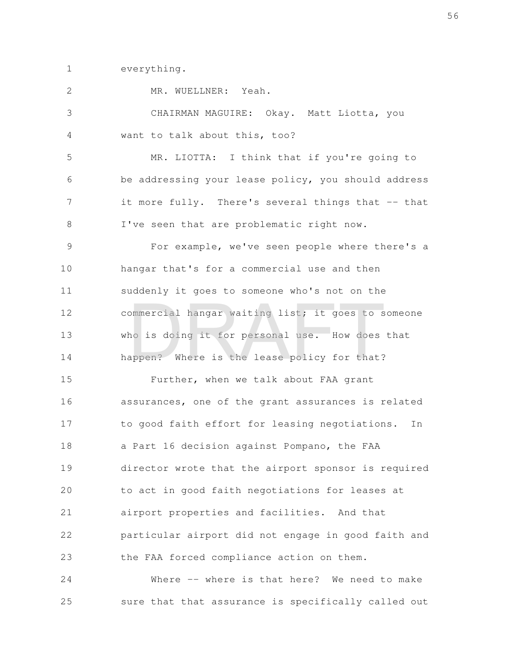everything. 1

MR. WUELLNER: Yeah. CHAIRMAN MAGUIRE: Okay. Matt Liotta, you want to talk about this, too? MR. LIOTTA: I think that if you're going to be addressing your lease policy, you should address it more fully. There's several things that -- that I've seen that are problematic right now. For example, we've seen people where there's a hangar that's for a commercial use and then suddenly it goes to someone who's not on the commercial hangar waiting list; it goes to someone who is doing it for personal use. How does that happen? Where is the lease policy for that? Further, when we talk about FAA grant assurances, one of the grant assurances is related to good faith effort for leasing negotiations. In a Part 16 decision against Pompano, the FAA director wrote that the airport sponsor is required to act in good faith negotiations for leases at airport properties and facilities. And that particular airport did not engage in good faith and the FAA forced compliance action on them. 2 3 4 5 6 7 8 9 10 11 12 13 14 15 16 17 18 19 20 21 22 23 ommercial hangar waiting list; it goes to s<br>no is doing it for personal use. How does<br>appen? Where is the lease policy for that?

Where -- where is that here? We need to make sure that that assurance is specifically called out 24 25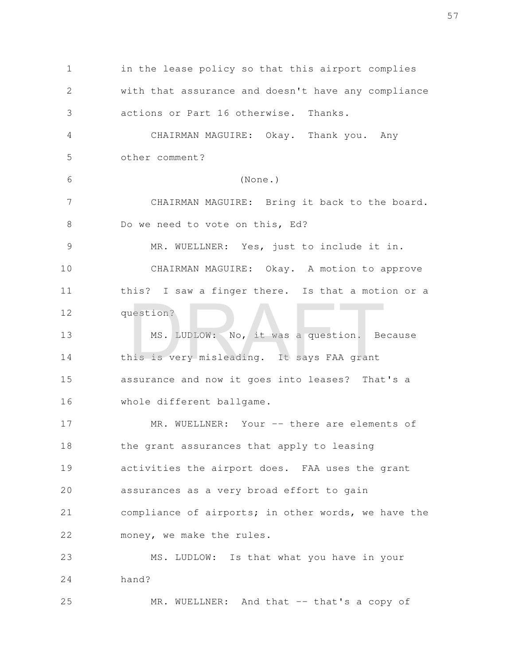in the lease policy so that this airport complies with that assurance and doesn't have any compliance actions or Part 16 otherwise. Thanks. CHAIRMAN MAGUIRE: Okay. Thank you. Any other comment? (None.) CHAIRMAN MAGUIRE: Bring it back to the board. Do we need to vote on this, Ed? MR. WUELLNER: Yes, just to include it in. CHAIRMAN MAGUIRE: Okay. A motion to approve this? I saw a finger there. Is that a motion or a question? MS. LUDLOW: No, it was a question. Because this is very misleading. It says FAA grant assurance and now it goes into leases? That's a whole different ballgame. MR. WUELLNER: Your -- there are elements of the grant assurances that apply to leasing activities the airport does. FAA uses the grant assurances as a very broad effort to gain compliance of airports; in other words, we have the money, we make the rules. MS. LUDLOW: Is that what you have in your hand? 1 2 3 4 5 6 7 8 9 10 11 12 13 14 15 16 17 18 19 20 21 22 23 24 MS. LUDLOW: No, it was a question. Be<br>his is very misleading. It says FAA grant

MR. WUELLNER: And that -- that's a copy of 25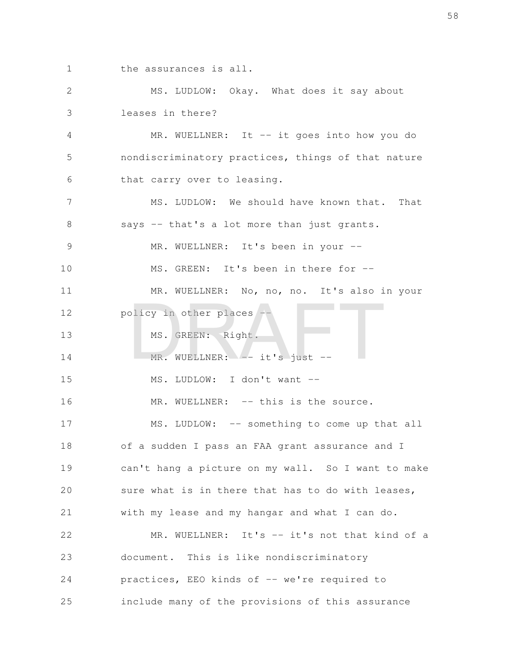the assurances is all. 1

MS. LUDLOW: Okay. What does it say about leases in there? 2 3

MR. WUELLNER: It -- it goes into how you do nondiscriminatory practices, things of that nature that carry over to leasing. 4 5 6

MS. LUDLOW: We should have known that. That says -- that's a lot more than just grants. 7 8

MR. WUELLNER: It's been in your --9

MS. GREEN: It's been in there for --10

MR. WUELLNER: No, no, no. It's also in your policy in other places --11 12 places --<br>
MS. GREEN: Right.<br>
MR. WUELLNER: -- it's just --

MS. GREEN: Right. 13

MR. WUELLNER: -- it's just --14

MS. LUDLOW: I don't want -- 15

MR. WUELLNER: -- this is the source. MS. LUDLOW: -- something to come up that all of a sudden I pass an FAA grant assurance and I can't hang a picture on my wall. So I want to make sure what is in there that has to do with leases, with my lease and my hangar and what I can do. MR. WUELLNER: It's -- it's not that kind of a document. This is like nondiscriminatory practices, EEO kinds of -- we're required to 16 17 18 19 20 21 22 23 24

include many of the provisions of this assurance 25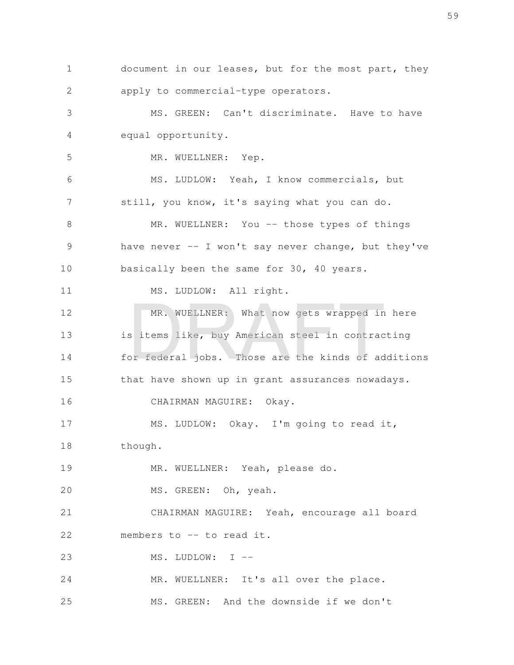document in our leases, but for the most part, they apply to commercial-type operators. 1 2

MS. GREEN: Can't discriminate. Have to have equal opportunity. 3 4

MR. WUELLNER: Yep.

5

MS. LUDLOW: Yeah, I know commercials, but still, you know, it's saying what you can do. 6 7

MR. WUELLNER: You -- those types of things have never  $-$  I won't say never change, but they've basically been the same for 30, 40 years. 8 9 10

MS. LUDLOW: All right. 11

MR. WUELLNER: What now gets wrapped in here is items like, buy American steel in contracting for federal jobs. Those are the kinds of additions that have shown up in grant assurances nowadays. CHAIRMAN MAGUIRE: Okay. 12 13 14 15 16 MR. WUELLNER: What now gets wrapped in<br>sitems like, buy American steel in contract<br>or federal jobs. Those are the kinds of ad

MS. LUDLOW: Okay. I'm going to read it, though. 17 18

MR. WUELLNER: Yeah, please do. 19

MS. GREEN: Oh, yeah. 20

CHAIRMAN MAGUIRE: Yeah, encourage all board members to -- to read it. 21 22

MS. LUDLOW: I -- 23

MR. WUELLNER: It's all over the place. 24

MS. GREEN: And the downside if we don't 25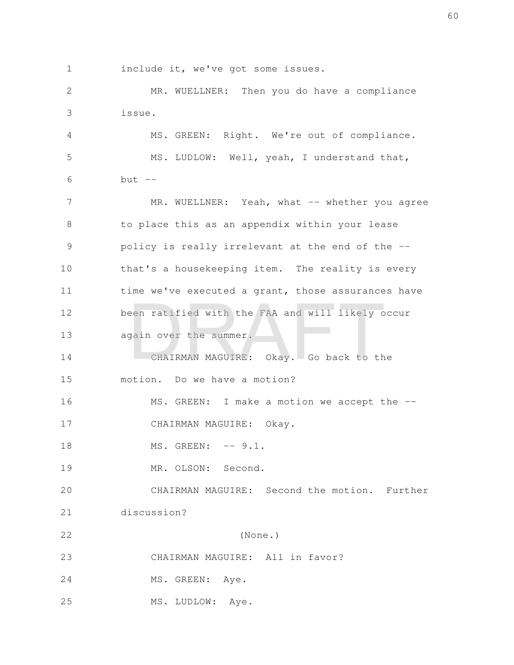include it, we've got some issues. 1

MR. WUELLNER: Then you do have a compliance issue. 2 3

MS. GREEN: Right. We're out of compliance. MS. LUDLOW: Well, yeah, I understand that,  $but --$  4 5 6

MR. WUELLNER: Yeah, what -- whether you agree to place this as an appendix within your lease policy is really irrelevant at the end of the - that's a housekeeping item. The reality is every time we've executed a grant, those assurances have been ratified with the FAA and will likely occur again over the summer. 7 8 9 10 11 12 13 een ratified with the FAA and will likely of<br>gain over the summer.<br>CHAIRMAN MAGUIRE: Okay. Go back to th

CHAIRMAN MAGUIRE: Okay. Go back to the motion. Do we have a motion? 14 15

MS. GREEN: I make a motion we accept the --CHAIRMAN MAGUIRE: Okay. 16 17

MS. GREEN: -- 9.1. 18

MR. OLSON: Second. 19

CHAIRMAN MAGUIRE: Second the motion. Further discussion? 20 21

(None.) CHAIRMAN MAGUIRE: All in favor? 22 23

MS. GREEN: Aye. 24

MS. LUDLOW: Aye. 25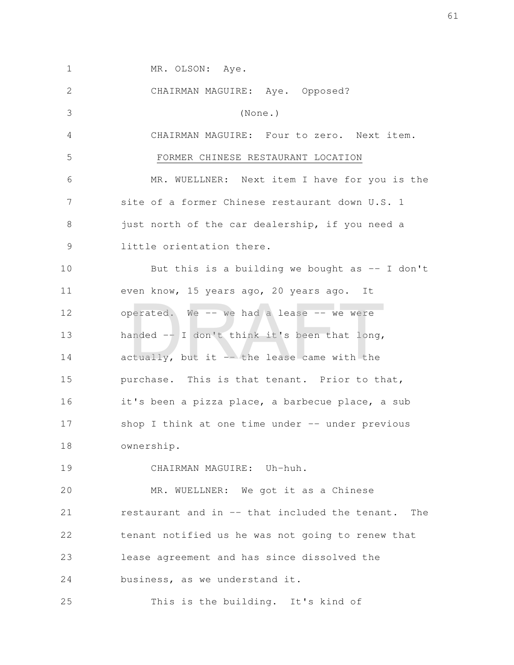| $\mathbf 1$ | MR. OLSON: Aye.                                    |
|-------------|----------------------------------------------------|
| 2           | CHAIRMAN MAGUIRE: Aye. Opposed?                    |
| 3           | (None.)                                            |
| 4           | CHAIRMAN MAGUIRE: Four to zero. Next item.         |
| 5           | FORMER CHINESE RESTAURANT LOCATION                 |
| 6           | MR. WUELLNER: Next item I have for you is the      |
| 7           | site of a former Chinese restaurant down U.S. 1    |
| 8           | just north of the car dealership, if you need a    |
| 9           | little orientation there.                          |
| 10          | But this is a building we bought as $-$ I don't    |
| 11          | even know, 15 years ago, 20 years ago. It          |
| 12          | operated. We -- we had a lease -- we were          |
| 13          | handed -- I don't think it's been that long,       |
| 14          | actually, but it -- the lease came with the        |
| 15          | purchase. This is that tenant. Prior to that,      |
| 16          | it's been a pizza place, a barbecue place, a sub   |
| 17          | shop I think at one time under -- under previous   |
| 18          | ownership.                                         |
| 19          | CHAIRMAN MAGUIRE: Uh-huh.                          |
| 20          | MR. WUELLNER: We got it as a Chinese               |
| 21          | restaurant and in -- that included the tenant. The |
| 22          | tenant notified us he was not going to renew that  |
| 23          | lease agreement and has since dissolved the        |
| 24          | business, as we understand it.                     |
| 25          | This is the building. It's kind of                 |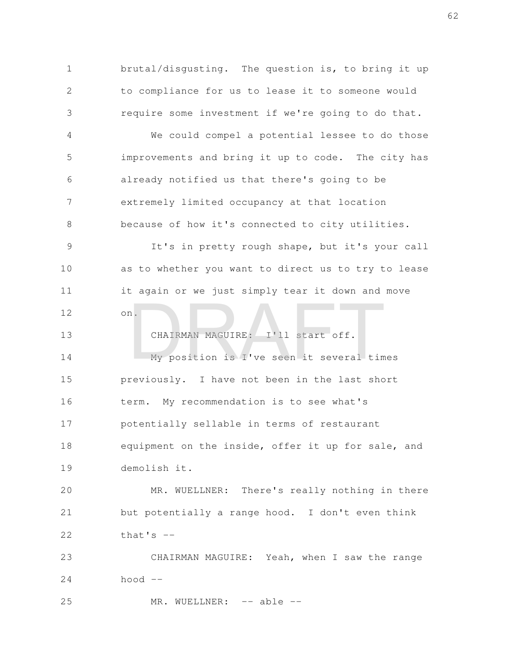brutal/disgusting. The question is, to bring it up to compliance for us to lease it to someone would require some investment if we're going to do that. 1 2 3

We could compel a potential lessee to do those improvements and bring it up to code. The city has already notified us that there's going to be extremely limited occupancy at that location because of how it's connected to city utilities. 4 5 6 7 8

It's in pretty rough shape, but it's your call as to whether you want to direct us to try to lease it again or we just simply tear it down and move on. 9 10 11 12

CHAIRMAN MAGUIRE: I'll start off. My position is I've seen it several times previously. I have not been in the last short term. My recommendation is to see what's potentially sellable in terms of restaurant equipment on the inside, offer it up for sale, and demolish it. 13 14 15 16 17 18 19 CHAIRMAN MAGUIRE: I'll start off.<br>My position is I've seen it several time

MR. WUELLNER: There's really nothing in there but potentially a range hood. I don't even think that's  $-$ 20 21 22

CHAIRMAN MAGUIRE: Yeah, when I saw the range hood  $--$ 23 24

MR. WUELLNER: -- able --25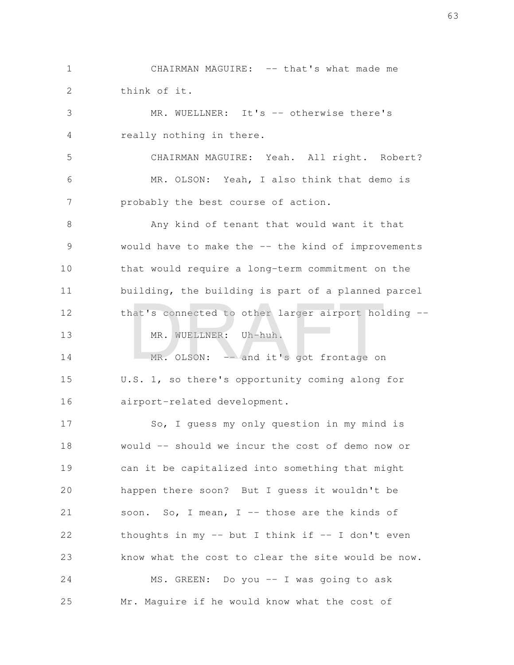CHAIRMAN MAGUIRE: -- that's what made me think of it. 1 2

MR. WUELLNER: It's -- otherwise there's really nothing in there. 3 4

CHAIRMAN MAGUIRE: Yeah. All right. Robert? MR. OLSON: Yeah, I also think that demo is probably the best course of action. 5 6 7

Any kind of tenant that would want it that would have to make the -- the kind of improvements that would require a long-term commitment on the building, the building is part of a planned parcel that's connected to other larger airport holding -- 8 9 10 11 12 nat's connected to other larger airport hol<br>MR. WUELLNER: Uh-huh.<br>MR. OLSON: -- and it's got frontage on

MR. OLSON:  $-$  and it's got frontage on U.S. 1, so there's opportunity coming along for airport-related development. 14 15 16

MR. WUELLNER: Uh-huh.

13

So, I guess my only question in my mind is would -- should we incur the cost of demo now or can it be capitalized into something that might happen there soon? But I guess it wouldn't be soon. So, I mean, I -- those are the kinds of thoughts in my  $-$  but I think if  $-$  I don't even know what the cost to clear the site would be now. MS. GREEN: Do you -- I was going to ask Mr. Maguire if he would know what the cost of 17 18 19 20 21 22 23 24 25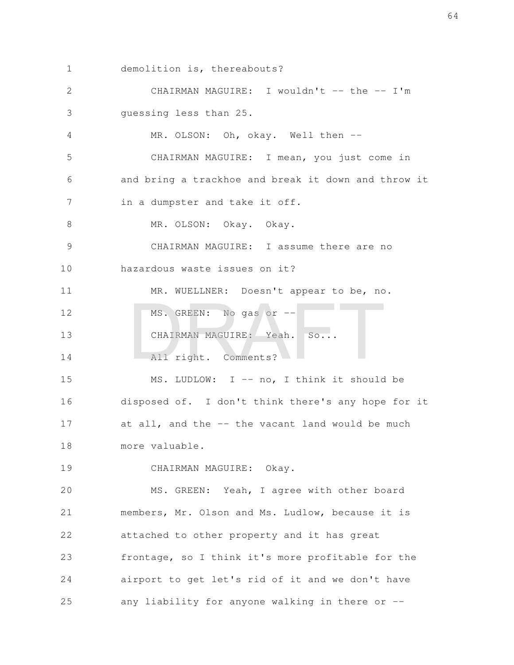demolition is, thereabouts? 1

CHAIRMAN MAGUIRE: I wouldn't -- the -- I'm guessing less than 25. 2 3

MR. OLSON: Oh, okay. Well then --4

CHAIRMAN MAGUIRE: I mean, you just come in and bring a trackhoe and break it down and throw it in a dumpster and take it off. 5 6 7

MR. OLSON: Okay. Okay. 8

CHAIRMAN MAGUIRE: I assume there are no hazardous waste issues on it? 9 10

MR. WUELLNER: Doesn't appear to be, no. MS. GREEN: No gas or --CHAIRMAN MAGUIRE: Yeah. So... All right. Comments? 11 12 13 14 MS. GREEN: No gas or --<br>CHAIRMAN MAGUIRE: Yeah. So...<br>All right. Comments?

MS. LUDLOW: I -- no, I think it should be disposed of. I don't think there's any hope for it at all, and the -- the vacant land would be much more valuable. 15 16 17 18

CHAIRMAN MAGUIRE: Okay. 19

MS. GREEN: Yeah, I agree with other board members, Mr. Olson and Ms. Ludlow, because it is attached to other property and it has great frontage, so I think it's more profitable for the airport to get let's rid of it and we don't have any liability for anyone walking in there or -- 20 21 22 23 24 25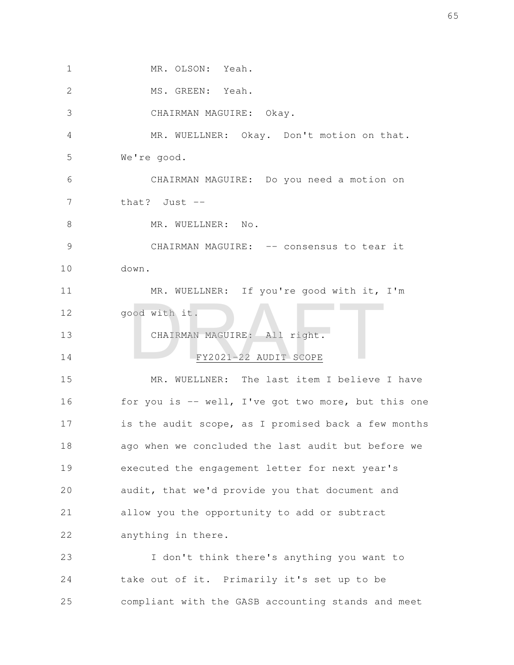MR. OLSON: Yeah. MS. GREEN: Yeah. CHAIRMAN MAGUIRE: Okay. MR. WUELLNER: Okay. Don't motion on that. We're good. CHAIRMAN MAGUIRE: Do you need a motion on that? Just -- MR. WUELLNER: No. CHAIRMAN MAGUIRE: -- consensus to tear it down. MR. WUELLNER: If you're good with it, I'm good with it. CHAIRMAN MAGUIRE: All right. FY2021-22 AUDIT SCOPE MR. WUELLNER: The last item I believe I have for you is -- well, I've got two more, but this one is the audit scope, as I promised back a few months ago when we concluded the last audit but before we executed the engagement letter for next year's audit, that we'd provide you that document and allow you the opportunity to add or subtract anything in there. I don't think there's anything you want to take out of it. Primarily it's set up to be compliant with the GASB accounting stands and meet 1 2 3 4 5 6 7 8 9 10 11 12 13 14 15 16 17 18 19 20 21 22 23 24 25 CHAIRMAN MAGUIRE: All right.<br>FY2021-22 AUDIT SCOPE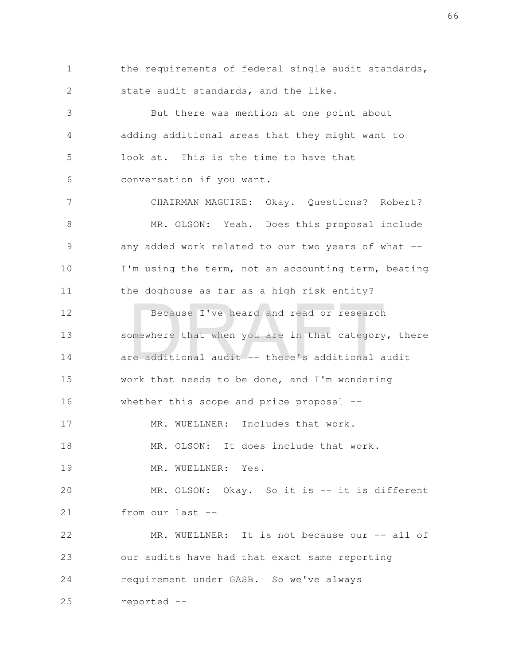the requirements of federal single audit standards, state audit standards, and the like. 1 2

But there was mention at one point about adding additional areas that they might want to look at. This is the time to have that conversation if you want. 3 4 5 6

CHAIRMAN MAGUIRE: Okay. Questions? Robert? MR. OLSON: Yeah. Does this proposal include any added work related to our two years of what --I'm using the term, not an accounting term, beating the doghouse as far as a high risk entity? 7 8 9 10 11

Because I've heard and read or research somewhere that when you are in that category, there are additional audit -- there's additional audit work that needs to be done, and I'm wondering whether this scope and price proposal --12 13 14 15 16 Because I've heard and read or research<br>omewhere that when you are in that category<br>re additional audit -- there's additional a

MR. WUELLNER: Includes that work. 17

MR. OLSON: It does include that work. 18

MR. WUELLNER: Yes. 19

MR. OLSON: Okay. So it is -- it is different from our last -- 20 21

MR. WUELLNER: It is not because our -- all of our audits have had that exact same reporting requirement under GASB. So we've always reported -- 22 23 24 25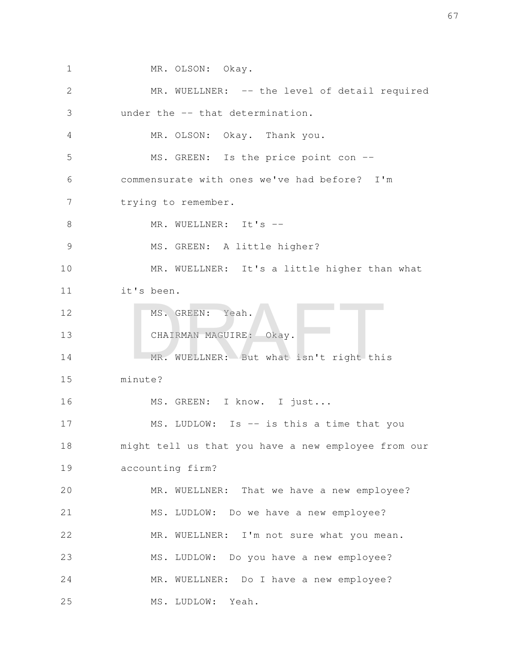MR. OLSON: Okay. MR. WUELLNER: -- the level of detail required under the -- that determination. MR. OLSON: Okay. Thank you. MS. GREEN: Is the price point con -commensurate with ones we've had before? I'm trying to remember. MR. WUELLNER: It's -- MS. GREEN: A little higher? MR. WUELLNER: It's a little higher than what it's been. MS. GREEN: Yeah. CHAIRMAN MAGUIRE: Okay. MR. WUELLNER: But what isn't right this minute? MS. GREEN: I know. I just... MS. LUDLOW: Is -- is this a time that you might tell us that you have a new employee from our accounting firm? MR. WUELLNER: That we have a new employee? MS. LUDLOW: Do we have a new employee? MR. WUELLNER: I'm not sure what you mean. MS. LUDLOW: Do you have a new employee? MR. WUELLNER: Do I have a new employee? MS. LUDLOW: Yeah. 1 2 3 4 5 6 7 8 9 10 11 12 13 14 15 16 17 18 19 20 21 22 23 24 25 MS. GREEN: Yeah.<br>CHAIRMAN MAGUIRE: Okay.<br>MR. WUELLNER: But what isn't right thi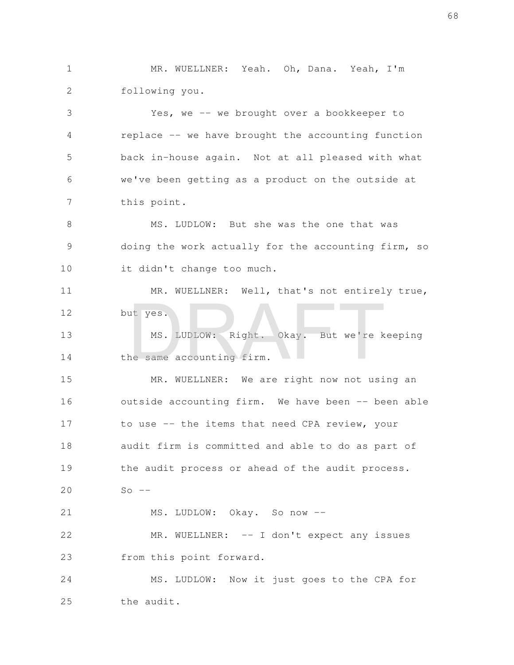MR. WUELLNER: Yeah. Oh, Dana. Yeah, I'm following you. 1 2

Yes, we -- we brought over a bookkeeper to replace -- we have brought the accounting function back in-house again. Not at all pleased with what we've been getting as a product on the outside at this point. 3 4 5 6 7

MS. LUDLOW: But she was the one that was doing the work actually for the accounting firm, so it didn't change too much. 8 9 10

MR. WUELLNER: Well, that's not entirely true, but yes. 11 12

MS. LUDLOW: Right. Okay. But we're keeping the same accounting firm. 13 14 ut yes.<br>MS. LUDLOW: Right. Okay. But we're k<br>ne same accounting firm.

MR. WUELLNER: We are right now not using an outside accounting firm. We have been -- been able to use -- the items that need CPA review, your audit firm is committed and able to do as part of the audit process or ahead of the audit process.  $So$   $--$ MS. LUDLOW: Okay. So now -- 15 16 17 18 19 20 21

MR. WUELLNER: -- I don't expect any issues from this point forward. 22 23

MS. LUDLOW: Now it just goes to the CPA for the audit. 24 25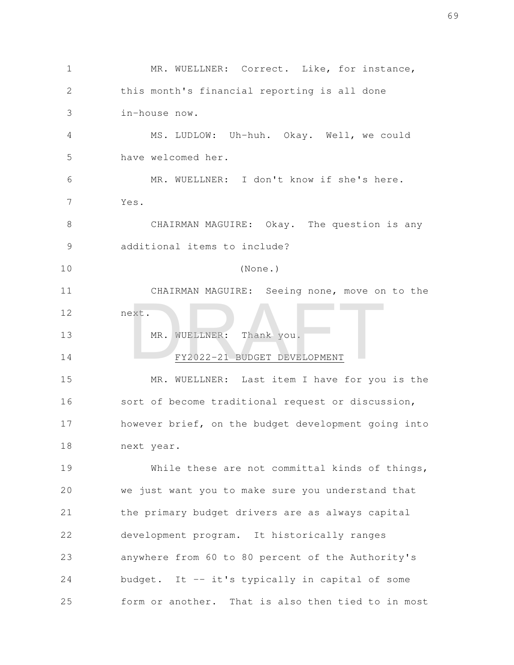MR. WUELLNER: Correct. Like, for instance, this month's financial reporting is all done in-house now. MS. LUDLOW: Uh-huh. Okay. Well, we could have welcomed her. MR. WUELLNER: I don't know if she's here. Yes. CHAIRMAN MAGUIRE: Okay. The question is any additional items to include? (None.) CHAIRMAN MAGUIRE: Seeing none, move on to the next. MR. WUELLNER: Thank you. FY2022-21 BUDGET DEVELOPMENT MR. WUELLNER: Last item I have for you is the sort of become traditional request or discussion, however brief, on the budget development going into next year. While these are not committal kinds of things, we just want you to make sure you understand that the primary budget drivers are as always capital development program. It historically ranges anywhere from 60 to 80 percent of the Authority's budget. It -- it's typically in capital of some form or another. That is also then tied to in most 1 2 3 4 5 6 7 8 9 10 11 12 13 14 15 16 17 18 19 20 21 22 23 24 25 NR. WUELLNER: Thank you.<br>FY2022-21 BUDGET DEVELOPMENT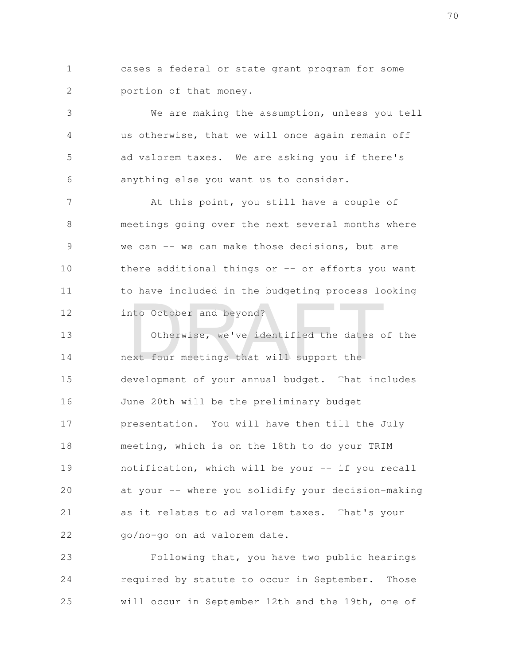cases a federal or state grant program for some portion of that money. 1 2

We are making the assumption, unless you tell us otherwise, that we will once again remain off ad valorem taxes. We are asking you if there's anything else you want us to consider. 3 4 5 6

At this point, you still have a couple of meetings going over the next several months where we can -- we can make those decisions, but are there additional things or  $-$  or efforts you want to have included in the budgeting process looking into October and beyond? 7 8 9 10 11 12

Otherwise, we've identified the dates of the next four meetings that will support the development of your annual budget. That includes June 20th will be the preliminary budget presentation. You will have then till the July meeting, which is on the 18th to do your TRIM notification, which will be your -- if you recall at your -- where you solidify your decision-making as it relates to ad valorem taxes. That's your go/no-go on ad valorem date. 13 14 15 16 17 18 19 20 21 22 nto October and beyond?<br>Otherwise, we've identified the dates of<br>ext four meetings that will support the

Following that, you have two public hearings required by statute to occur in September. Those will occur in September 12th and the 19th, one of 23 24 25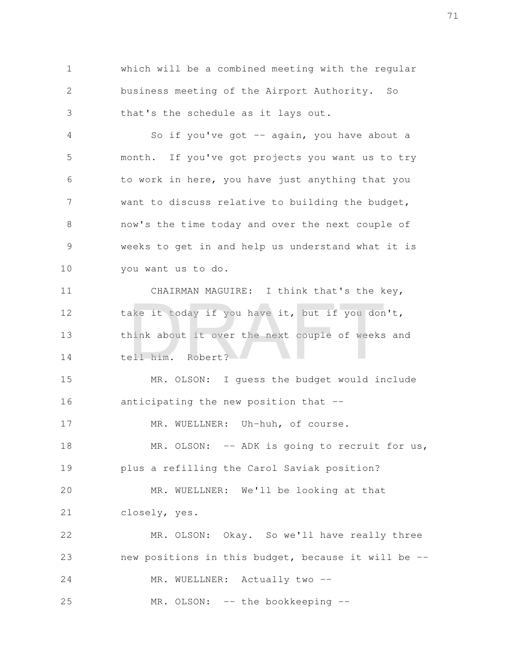which will be a combined meeting with the regular business meeting of the Airport Authority. So that's the schedule as it lays out. 1 2 3

So if you've got  $-$  again, you have about a month. If you've got projects you want us to try to work in here, you have just anything that you want to discuss relative to building the budget, now's the time today and over the next couple of weeks to get in and help us understand what it is you want us to do. 4 5 6 7 8 9 10

CHAIRMAN MAGUIRE: I think that's the key, take it today if you have it, but if you don't, think about it over the next couple of weeks and tell him. Robert? 11 12 13 14 ake it today if you have it, but if you don<br>hink about it over the next couple of weeks<br>ell him. Robert?

MR. OLSON: I guess the budget would include anticipating the new position that -- 15 16

MR. WUELLNER: Uh-huh, of course. 17

MR. OLSON: -- ADK is going to recruit for us, plus a refilling the Carol Saviak position? 18 19

MR. WUELLNER: We'll be looking at that closely, yes. 20 21

MR. OLSON: Okay. So we'll have really three new positions in this budget, because it will be -- MR. WUELLNER: Actually two --22 23 24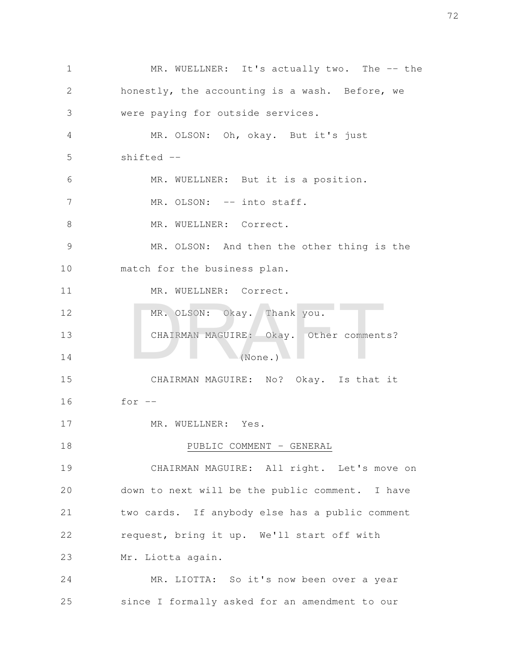MR. WUELLNER: It's actually two. The -- the honestly, the accounting is a wash. Before, we were paying for outside services. MR. OLSON: Oh, okay. But it's just shifted -- MR. WUELLNER: But it is a position. MR. OLSON: -- into staff. MR. WUELLNER: Correct. MR. OLSON: And then the other thing is the match for the business plan. MR. WUELLNER: Correct. MR. OLSON: Okay. Thank you. CHAIRMAN MAGUIRE: Okay. Other comments?  $(None.)$ CHAIRMAN MAGUIRE: No? Okay. Is that it for  $--$ MR. WUELLNER: Yes. PUBLIC COMMENT - GENERAL CHAIRMAN MAGUIRE: All right. Let's move on down to next will be the public comment. I have two cards. If anybody else has a public comment request, bring it up. We'll start off with Mr. Liotta again. MR. LIOTTA: So it's now been over a year since I formally asked for an amendment to our 1 2 3 4 5 6 7 8 9 10 11 12 13 14 15 16 17 18 19 20 21 22 23 24 25 MR. OLSON: Okay. Thank you.<br>CHAIRMAN MAGUIRE: Okay. Other comment<br>(None.)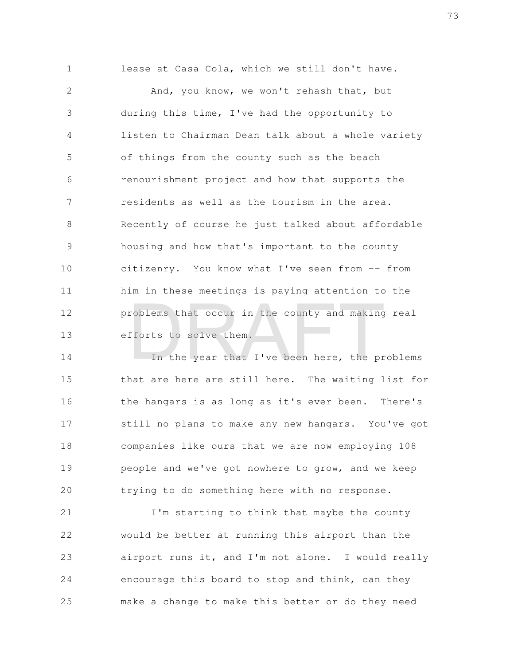lease at Casa Cola, which we still don't have. And, you know, we won't rehash that, but during this time, I've had the opportunity to listen to Chairman Dean talk about a whole variety of things from the county such as the beach renourishment project and how that supports the residents as well as the tourism in the area. Recently of course he just talked about affordable housing and how that's important to the county citizenry. You know what I've seen from -- from him in these meetings is paying attention to the problems that occur in the county and making real efforts to solve them. 1 2 3 4 5 6 7 8 9 10 11 12 13 roblems that occur in the county and making<br>fforts to solve them.<br>In the year that I've been here, the pr

In the year that I've been here, the problems that are here are still here. The waiting list for the hangars is as long as it's ever been. There's still no plans to make any new hangars. You've got companies like ours that we are now employing 108 people and we've got nowhere to grow, and we keep trying to do something here with no response. 14 15 16 17 18 19 20

I'm starting to think that maybe the county would be better at running this airport than the airport runs it, and I'm not alone. I would really encourage this board to stop and think, can they make a change to make this better or do they need 21 22 23 24 25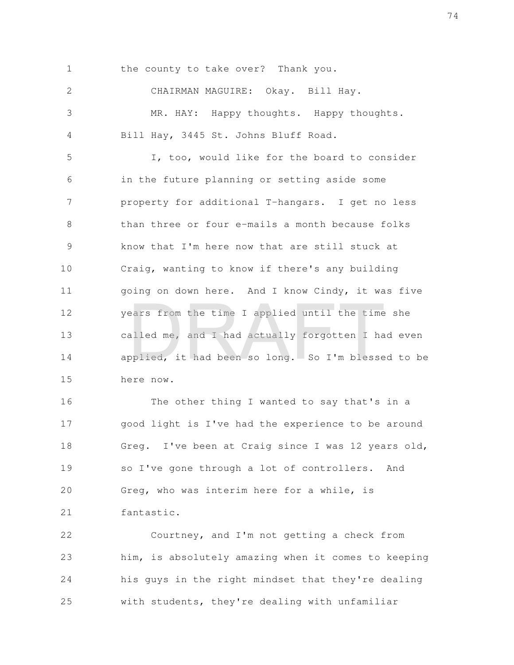the county to take over? Thank you. 1

CHAIRMAN MAGUIRE: Okay. Bill Hay. MR. HAY: Happy thoughts. Happy thoughts. Bill Hay, 3445 St. Johns Bluff Road. 2 3 4

I, too, would like for the board to consider in the future planning or setting aside some property for additional T-hangars. I get no less than three or four e-mails a month because folks know that I'm here now that are still stuck at Craig, wanting to know if there's any building going on down here. And I know Cindy, it was five years from the time I applied until the time she called me, and I had actually forgotten I had even applied, it had been so long. So I'm blessed to be here now. 5 6 7 8 9 10 11 12 13 14 15 ears from the time I applied until the time<br>alled me, and I had actually forgotten I ha<br>pplied, it had been so long. So I'm blesse

The other thing I wanted to say that's in a good light is I've had the experience to be around Greg. I've been at Craig since I was 12 years old, so I've gone through a lot of controllers. And Greg, who was interim here for a while, is fantastic. 16 17 18 19 20 21

Courtney, and I'm not getting a check from him, is absolutely amazing when it comes to keeping his guys in the right mindset that they're dealing with students, they're dealing with unfamiliar 22 23 24 25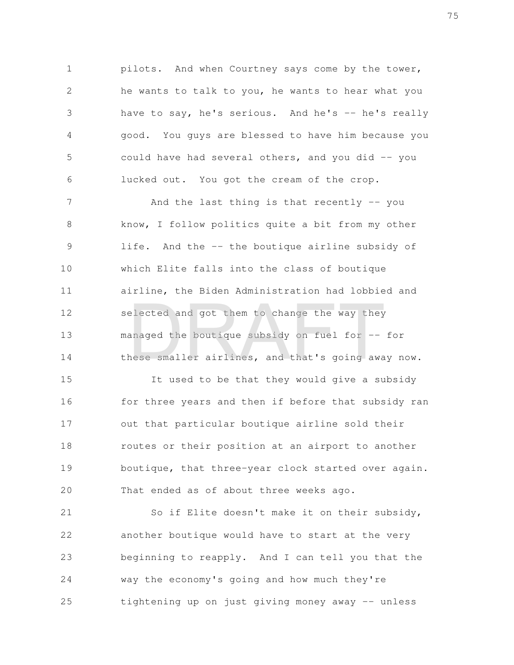pilots. And when Courtney says come by the tower, he wants to talk to you, he wants to hear what you have to say, he's serious. And he's -- he's really good. You guys are blessed to have him because you could have had several others, and you did  $-$  you lucked out. You got the cream of the crop. 1 2 3 4 5 6

And the last thing is that recently -- you know, I follow politics quite a bit from my other life. And the -- the boutique airline subsidy of which Elite falls into the class of boutique airline, the Biden Administration had lobbied and selected and got them to change the way they managed the boutique subsidy on fuel for -- for these smaller airlines, and that's going away now. 7 8 9 10 11 12 13 14 elected and got them to change the way they<br>anaged the boutique subsidy on fuel for --<br>nese smaller airlines, and that's going awa

It used to be that they would give a subsidy for three years and then if before that subsidy ran out that particular boutique airline sold their routes or their position at an airport to another boutique, that three-year clock started over again. That ended as of about three weeks ago. 15 16 17 18 19 20

So if Elite doesn't make it on their subsidy, another boutique would have to start at the very beginning to reapply. And I can tell you that the way the economy's going and how much they're tightening up on just giving money away -- unless 21 22 23 24 25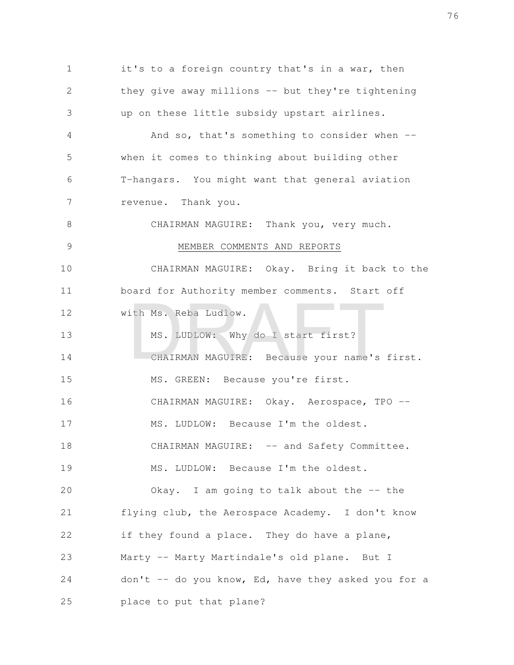it's to a foreign country that's in a war, then they give away millions -- but they're tightening up on these little subsidy upstart airlines. And so, that's something to consider when -when it comes to thinking about building other T-hangars. You might want that general aviation revenue. Thank you. CHAIRMAN MAGUIRE: Thank you, very much. MEMBER COMMENTS AND REPORTS CHAIRMAN MAGUIRE: Okay. Bring it back to the board for Authority member comments. Start off with Ms. Reba Ludlow. MS. LUDLOW: Why do I start first? CHAIRMAN MAGUIRE: Because your name's first. MS. GREEN: Because you're first. CHAIRMAN MAGUIRE: Okay. Aerospace, TPO --MS. LUDLOW: Because I'm the oldest. CHAIRMAN MAGUIRE: -- and Safety Committee. MS. LUDLOW: Because I'm the oldest. Okay. I am going to talk about the -- the flying club, the Aerospace Academy. I don't know if they found a place. They do have a plane, Marty -- Marty Martindale's old plane. But I don't  $-$  do you know, Ed, have they asked you for a place to put that plane? 1 2 3 4 5 6 7 8 9 10 11 12 13 14 15 16 17 18 19 20 21 22 23 24 25 ith Ms. Reba Ludlow.<br>
MS. LUDLOW: Why do I start first?<br>
CHAIRMAN MAGUIRE: Because your name's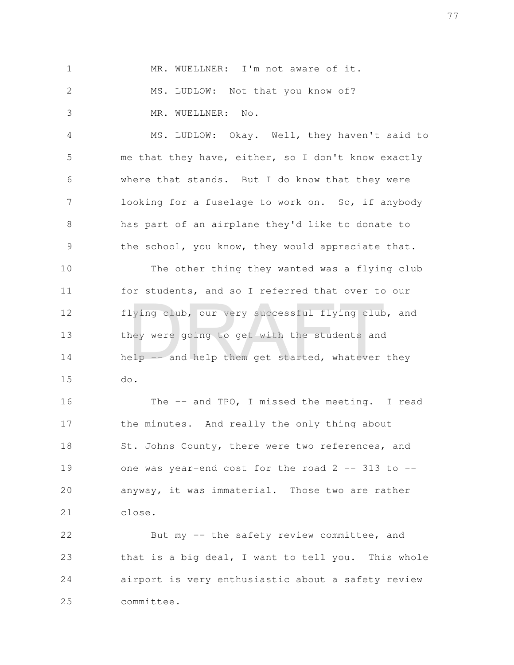MR. WUELLNER: I'm not aware of it. MS. LUDLOW: Not that you know of? MR. WUELLNER: No. 1 2 3

MS. LUDLOW: Okay. Well, they haven't said to me that they have, either, so I don't know exactly where that stands. But I do know that they were looking for a fuselage to work on. So, if anybody has part of an airplane they'd like to donate to the school, you know, they would appreciate that. 4 5 6 7 8 9

The other thing they wanted was a flying club for students, and so I referred that over to our flying club, our very successful flying club, and they were going to get with the students and help -- and help them get started, whatever they do. 10 11 12 13 14 15 lying club, our very successful flying club<br>hey were going to get with the students and<br>elp -- and help them get started, whatever

The -- and TPO, I missed the meeting. I read the minutes. And really the only thing about St. Johns County, there were two references, and one was year-end cost for the road  $2$  -- 313 to -anyway, it was immaterial. Those two are rather close. 16 17 18 19 20 21

But my -- the safety review committee, and that is a big deal, I want to tell you. This whole airport is very enthusiastic about a safety review committee. 22 23 24 25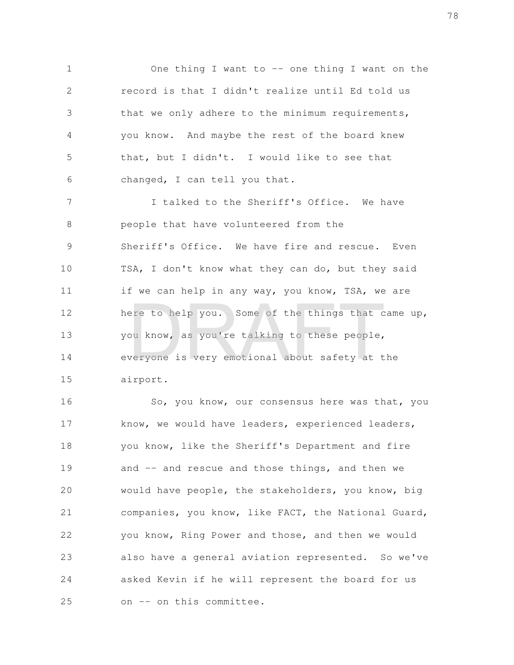One thing I want to -- one thing I want on the record is that I didn't realize until Ed told us that we only adhere to the minimum requirements, you know. And maybe the rest of the board knew that, but I didn't. I would like to see that changed, I can tell you that. 1 2 3 4 5 6

I talked to the Sheriff's Office. We have people that have volunteered from the Sheriff's Office. We have fire and rescue. Even TSA, I don't know what they can do, but they said if we can help in any way, you know, TSA, we are here to help you. Some of the things that came up, you know, as you're talking to these people, everyone is very emotional about safety at the airport. 7 8 9 10 11 12 13 14 15 ere to help you. Some of the things that c<br>bu know, as you're talking to these people,<br>weryone is very emotional about safety at t

So, you know, our consensus here was that, you know, we would have leaders, experienced leaders, you know, like the Sheriff's Department and fire and -- and rescue and those things, and then we would have people, the stakeholders, you know, big companies, you know, like FACT, the National Guard, you know, Ring Power and those, and then we would also have a general aviation represented. So we've asked Kevin if he will represent the board for us on -- on this committee. 16 17 18 19 20 21 22 23 24 25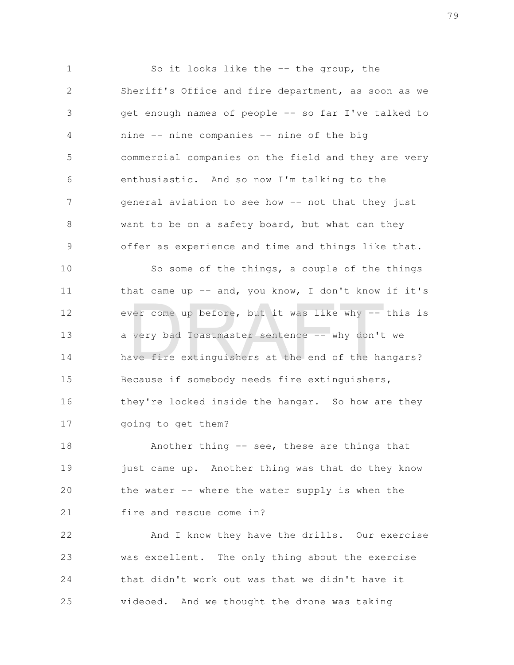So it looks like the -- the group, the Sheriff's Office and fire department, as soon as we get enough names of people -- so far I've talked to nine -- nine companies -- nine of the big commercial companies on the field and they are very enthusiastic. And so now I'm talking to the general aviation to see how -- not that they just want to be on a safety board, but what can they offer as experience and time and things like that. So some of the things, a couple of the things that came up  $-$  and, you know, I don't know if it's ever come up before, but it was like why -- this is a very bad Toastmaster sentence -- why don't we have fire extinguishers at the end of the hangars? Because if somebody needs fire extinguishers, they're locked inside the hangar. So how are they 1 2 3 4 5 6 7 8 9 10 11 12 13 14 15 16 ver come up before, but it was like why --<br>very bad Toastmaster sentence -- why don't<br>ave fire extinguishers at the end of the ha

going to get them? 17

Another thing -- see, these are things that just came up. Another thing was that do they know the water  $--$  where the water supply is when the fire and rescue come in? 18 19 20 21

And I know they have the drills. Our exercise was excellent. The only thing about the exercise that didn't work out was that we didn't have it videoed. And we thought the drone was taking 22 23 24 25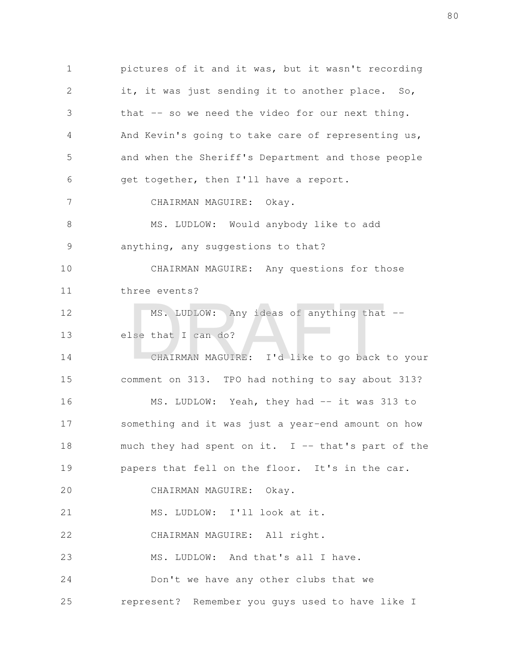pictures of it and it was, but it wasn't recording it, it was just sending it to another place. So, that -- so we need the video for our next thing. And Kevin's going to take care of representing us, and when the Sheriff's Department and those people get together, then I'll have a report. CHAIRMAN MAGUIRE: Okay. MS. LUDLOW: Would anybody like to add anything, any suggestions to that? CHAIRMAN MAGUIRE: Any questions for those three events? MS. LUDLOW: Any ideas of anything that - else that I can do? CHAIRMAN MAGUIRE: I'd like to go back to your comment on 313. TPO had nothing to say about 313? MS. LUDLOW: Yeah, they had -- it was 313 to something and it was just a year-end amount on how much they had spent on it.  $I$  -- that's part of the papers that fell on the floor. It's in the car. CHAIRMAN MAGUIRE: Okay. MS. LUDLOW: I'll look at it. CHAIRMAN MAGUIRE: All right. MS. LUDLOW: And that's all I have. Don't we have any other clubs that we represent? Remember you guys used to have like I 1 2 3 4 5 6 7 8 9 10 11 12 13 14 15 16 17 18 19 20 21 22 23 24 25 MS. LUDLOW: Any ideas of anything that<br>lse that I can do?<br>CHAIRMAN MAGUIRE: I'd like to go back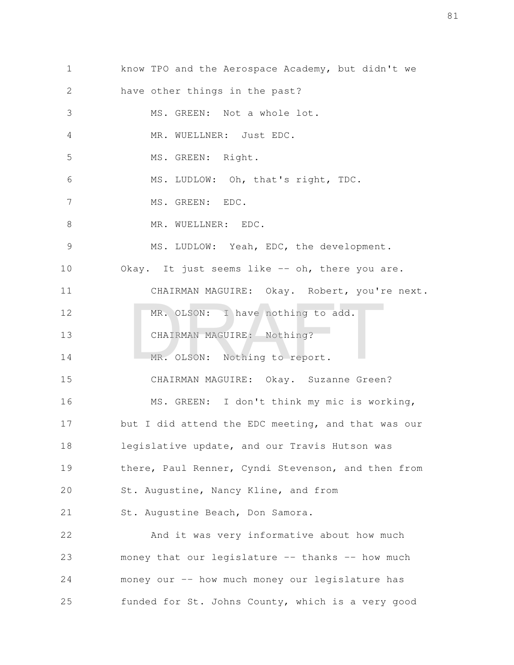| $\mathbf 1$ | know TPO and the Aerospace Academy, but didn't we  |
|-------------|----------------------------------------------------|
| 2           | have other things in the past?                     |
| 3           | MS. GREEN: Not a whole lot.                        |
| 4           | MR. WUELLNER: Just EDC.                            |
| 5           | MS. GREEN: Right.                                  |
| 6           | MS. LUDLOW: Oh, that's right, TDC.                 |
| 7           | MS. GREEN: EDC.                                    |
| 8           | MR. WUELLNER: EDC.                                 |
| 9           | MS. LUDLOW: Yeah, EDC, the development.            |
| 10          | Okay. It just seems like -- oh, there you are.     |
| 11          | CHAIRMAN MAGUIRE: Okay. Robert, you're next.       |
| 12          | MR. OLSON: I have nothing to add.                  |
| 13          | CHAIRMAN MAGUIRE: Nothing?                         |
| 14          | MR. OLSON: Nothing to report.                      |
| 15          | CHAIRMAN MAGUIRE: Okay. Suzanne Green?             |
| 16          | MS. GREEN: I don't think my mic is working,        |
| 17          | but I did attend the EDC meeting, and that was our |
| 18          | legislative update, and our Travis Hutson was      |
| 19          | there, Paul Renner, Cyndi Stevenson, and then from |
| 20          | St. Augustine, Nancy Kline, and from               |
| 21          | St. Augustine Beach, Don Samora.                   |
| 22          | And it was very informative about how much         |
| 23          | money that our legislature -- thanks -- how much   |
| 24          | money our -- how much money our legislature has    |
| 25          | funded for St. Johns County, which is a very good  |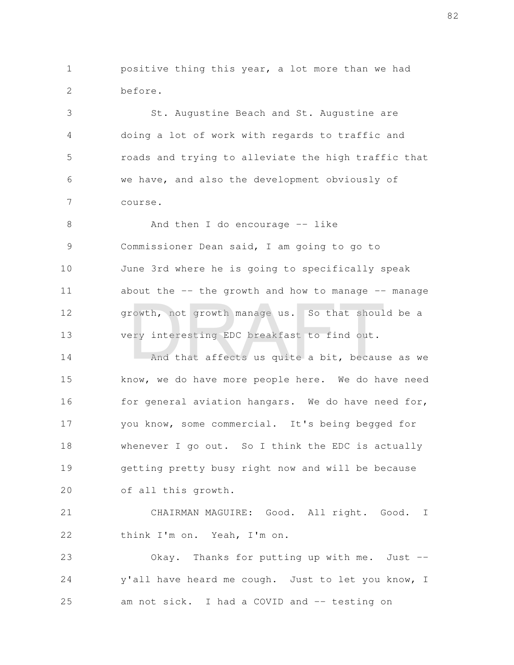positive thing this year, a lot more than we had before. 1 2

St. Augustine Beach and St. Augustine are doing a lot of work with regards to traffic and roads and trying to alleviate the high traffic that we have, and also the development obviously of course. 3 4 5 6 7

And then I do encourage  $-$  like Commissioner Dean said, I am going to go to June 3rd where he is going to specifically speak about the  $-$ - the growth and how to manage  $-$ - manage growth, not growth manage us. So that should be a very interesting EDC breakfast to find out. 8 9 10 11 12 13 rowth, not growth manage us. So that shoul<br>ery interesting EDC breakfast to find out.<br>And that affects us quite a bit, becaus

And that affects us quite a bit, because as we know, we do have more people here. We do have need for general aviation hangars. We do have need for, you know, some commercial. It's being begged for whenever I go out. So I think the EDC is actually getting pretty busy right now and will be because of all this growth. 14 15 16 17 18 19 20

CHAIRMAN MAGUIRE: Good. All right. Good. I think I'm on. Yeah, I'm on. 21 22

Okay. Thanks for putting up with me. Just -y'all have heard me cough. Just to let you know, I am not sick. I had a COVID and -- testing on 23 24 25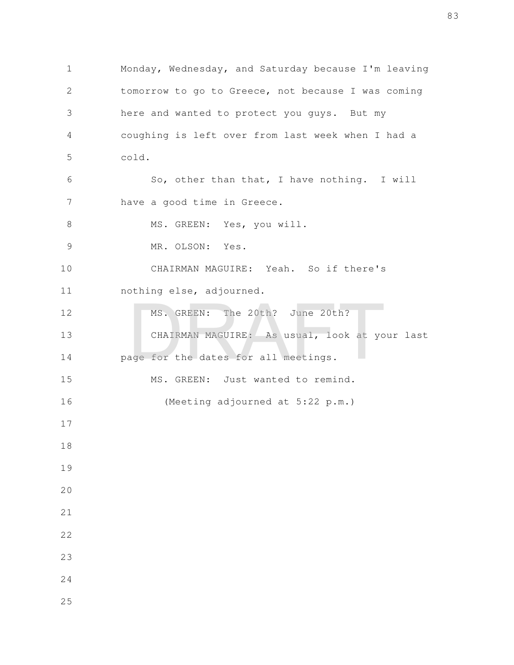Monday, Wednesday, and Saturday because I'm leaving tomorrow to go to Greece, not because I was coming here and wanted to protect you guys. But my coughing is left over from last week when I had a cold. So, other than that, I have nothing. I will have a good time in Greece. MS. GREEN: Yes, you will. MR. OLSON: Yes. CHAIRMAN MAGUIRE: Yeah. So if there's nothing else, adjourned. MS. GREEN: The 20th? June 20th? CHAIRMAN MAGUIRE: As usual, look at your last page for the dates for all meetings. MS. GREEN: Just wanted to remind. (Meeting adjourned at 5:22 p.m.) MS. GREEN: The 20th? June 20th?<br>CHAIRMAN MAGUIRE: As usual, look at younge for the dates for all meetings.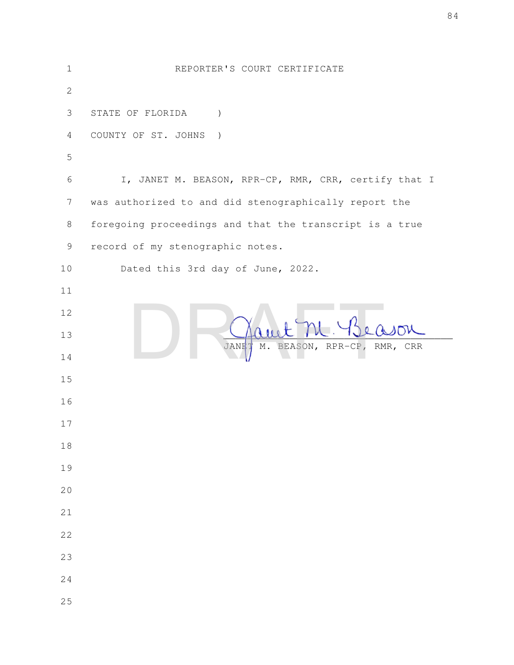| $\mathbf 1$     | REPORTER'S COURT CERTIFICATE                                 |
|-----------------|--------------------------------------------------------------|
| $\mathbf{2}$    |                                                              |
| 3               | STATE OF FLORIDA<br>$\lambda$                                |
| 4               | COUNTY OF ST. JOHNS<br>$\rightarrow$                         |
| 5               |                                                              |
| 6               | I, JANET M. BEASON, RPR-CP, RMR, CRR, certify that I         |
| $7\phantom{.0}$ | was authorized to and did stenographically report the        |
| $8\,$           | foregoing proceedings and that the transcript is a true      |
| $\mathcal{G}$   | record of my stenographic notes.                             |
| 10              | Dated this 3rd day of June, 2022.                            |
| 11              |                                                              |
| 12              |                                                              |
| 13              | BEASON, RPR-CP,<br>$\mathbb M$ .<br>RMR, CRR<br><b>JANET</b> |
| 14              |                                                              |
| 15              |                                                              |
| 16              |                                                              |
| 17              |                                                              |
| 18              |                                                              |
| 19              |                                                              |
| 20              |                                                              |
| 21              |                                                              |
| 22              |                                                              |
| 23              |                                                              |
| 24              |                                                              |
| 25              |                                                              |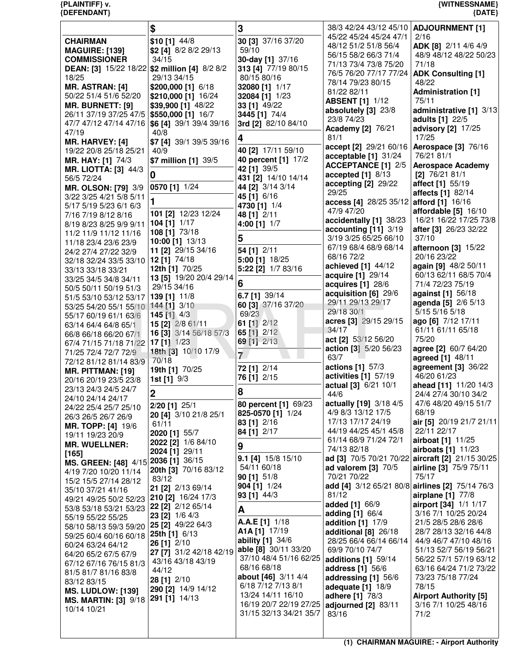|                                                       | \$                                     | 3                                         | 38/3 42/24 43/12 45/10   ADJOURNMENT [1]        |                                                  |
|-------------------------------------------------------|----------------------------------------|-------------------------------------------|-------------------------------------------------|--------------------------------------------------|
| <b>CHAIRMAN</b>                                       | $$10$ [1] $44/8$                       | 30 [3] 37/16 37/20                        | 45/22 45/24 45/24 47/1                          | 2/16                                             |
| <b>MAGUIRE: [139]</b>                                 | \$2 [4] 8/2 8/2 29/13                  | 59/10                                     | 48/12 51/2 51/8 56/4                            | ADK [8] 2/11 4/6 4/9                             |
| <b>COMMISSIONER</b>                                   | 34/15                                  | 30-day [1] 37/16                          | 56/15 58/2 66/3 71/4                            | 48/9 48/12 48/22 50/23                           |
| <b>DEAN: [3] 15/22 18/22 \$2 million [4] 8/2 8/2</b>  |                                        | 313 [4] 77/19 80/15                       | 71/13 73/4 73/8 75/20                           | 71/18                                            |
| 18/25                                                 | 29/13 34/15                            | 80/15 80/16                               | 76/5 76/20 77/17 77/24                          | <b>ADK Consulting [1]</b>                        |
| <b>MR. ASTRAN: [4]</b>                                | \$200,000 [1] 6/18                     | 32080 [1] 1/17                            | 78/14 79/23 80/15                               | 48/22                                            |
| 50/22 51/4 51/6 52/20                                 | \$210,000 [1] 16/24                    | 32084 [1] 1/23                            | 81/22 82/11                                     | <b>Administration [1]</b>                        |
| MR. BURNETT: [9]                                      | \$39,900 [1] 48/22                     | 33 [1] 49/22                              | <b>ABSENT [1] 1/12</b>                          | 75/11                                            |
| 26/11 37/19 37/25 47/5                                | \$550,000 [1] 16/7                     | 3445 [1] 74/4                             | absolutely [3] 23/8<br>23/8 74/23               | administrative [1] 3/13<br>adults [1] 22/5       |
| 47/7 47/12 47/14 47/16                                | \$6 [4] 39/1 39/4 39/16                | 3rd [2] 82/10 84/10                       | Academy [2] 76/21                               | advisory [2] 17/25                               |
| 47/19                                                 | 40/8                                   | 4                                         | 81/1                                            | 17/25                                            |
| <b>MR. HARVEY: [4]</b>                                | \$7 [4] 39/1 39/5 39/16                |                                           | accept [2] 29/21 60/16                          | Aerospace [3] 76/16                              |
| 19/22 20/8 25/18 25/21                                | 40/9                                   | 40 [2] 17/11 59/10                        | acceptable [1] 31/24                            | 76/21 81/1                                       |
| <b>MR. HAY: [1] 74/3</b>                              | \$7 million [1] 39/5                   | 40 percent [1] 17/2                       | <b>ACCEPTANCE [1] 2/5</b>                       | <b>Aerospace Academy</b>                         |
| <b>MR. LIOTTA: [3] 44/3</b>                           | 0                                      | 42 [1] 39/5                               | accepted $[1]$ 8/13                             | $[2]$ 76/21 81/1                                 |
| 56/5 72/24                                            |                                        | 431 [2] 14/10 14/14<br>44 [2] 3/14 3/14   | accepting [2] 29/22                             | affect [1] 55/19                                 |
| <b>MR. OLSON: [79] 3/9</b><br>3/22 3/25 4/21 5/8 5/11 | 0570 [1] 1/24                          | 45 [1] 6/16                               | 29/25                                           | affects [1] 82/14                                |
| 5/17 5/19 5/23 6/1 6/3                                |                                        | 4730 [1] 1/4                              | access [4] 28/25 35/12                          | afford [1] 16/16                                 |
| 7/16 7/19 8/12 8/16                                   | 101 [2] 12/23 12/24                    | 48 [1] 2/11                               | 47/9 47/20                                      | affordable [5] 16/10                             |
| 8/19 8/23 8/25 9/9 9/11                               | <b>104 [1]</b> $1/17$                  | 4:00 [1] 1/7                              | accidentally [1] 38/23                          | 16/21 16/22 17/25 73/8                           |
| 11/2 11/9 11/12 11/16                                 | 108 [1] 73/18                          |                                           | accounting [11] 3/19                            | after [3] 26/23 32/22                            |
| 11/18 23/4 23/6 23/9                                  | 10:00 [1] 13/13                        | 5                                         | 3/19 3/25 65/25 66/10                           | 37/10                                            |
| 24/2 27/4 27/22 32/9                                  | 11 [2] 29/15 34/16                     | 54 [1] 2/11                               | 67/19 68/4 68/9 68/14                           | afternoon [3] 15/22                              |
| 32/18 32/24 33/5 33/10                                | 12 [1] 74/18                           | 5:00 [1] 18/25                            | 68/16 72/2                                      | 20/16 23/22                                      |
| 33/13 33/18 33/21                                     | 12th [1] 70/25                         | 5:22 [2] 1/7 83/16                        | achieved [1] 44/12                              | again [9] 48/2 50/11                             |
| 33/25 34/5 34/8 34/11                                 | 13 [5] 19/20 20/4 29/14                | 6                                         | acquire [1] 29/14                               | 60/13 62/11 68/5 70/4<br>71/4 72/23 75/19        |
| 50/5 50/11 50/19 51/3                                 | 29/15 34/16                            |                                           | acquires [1] 28/6<br>acquisition [6] 29/6       | against [1] 56/18                                |
| 51/5 53/10 53/12 53/17                                | 139 [1] 11/8                           | 6.7 [1] 39/14                             | 29/11 29/13 29/17                               | agenda [5] 2/6 5/13                              |
| 53/25 54/20 55/1 55/10                                | 144 [1] 3/10                           | 60 [3] 37/16 37/20                        | 29/18 30/1                                      | 5/15 5/16 5/18                                   |
| 55/17 60/19 61/1 63/6                                 | 145 [1] 4/3                            | 69/23                                     | acres [3] 29/15 29/15                           | ago [6] 7/12 17/11                               |
| 63/14 64/4 64/8 65/1                                  | 15 [2] 2/8 61/11                       | 61 [1] 2/12                               | 34/17                                           | 61/11 61/11 65/18                                |
| 66/8 66/18 66/20 67/1                                 | 16 [3] 3/14 56/18 57/3                 | 65 [1] 2/12<br>69 [1] 2/13                | act [2] 53/12 56/20                             | 75/20                                            |
| 67/4 71/15 71/18 71/22                                | $17$ [1] $1/23$<br>18th [3] 10/10 17/9 |                                           | action [3] 5/20 56/23                           | agree [2] 60/7 64/20                             |
| 71/25 72/4 72/7 72/9                                  | 70/18                                  | $\overline{7}$                            | 63/7                                            | agreed [1] 48/11                                 |
| 72/12 81/12 81/14 83/9<br><b>MR. PITTMAN: [19]</b>    | 19th [1] 70/25                         | 72 [1] 2/14                               | actions [1] 57/3                                | agreement [3] 36/22                              |
| 20/16 20/19 23/5 23/8                                 | <b>1st [1]</b> 9/3                     | 76 [1] 2/15                               | activities [1] 57/19                            | 46/20 61/23                                      |
| 23/13 24/3 24/5 24/7                                  |                                        |                                           | actual [3] 6/21 10/1                            | ahead [11] 11/20 14/3                            |
| 24/10 24/14 24/17                                     | $\mathbf 2$                            | 8                                         | 44/6                                            | 24/4 27/4 30/10 34/2                             |
| 24/22 25/4 25/7 25/10                                 | 2/20 [1] 25/1                          | 80 percent [1] 69/23                      | actually [19] 3/18 4/5                          | 47/6 48/20 49/15 51/7                            |
| 26/3 26/5 26/7 26/9                                   | 20 [4] 3/10 21/8 25/1                  | 825-0570 [1] 1/24                         | 4/9 8/3 13/12 17/5                              | 68/19                                            |
| <b>MR. TOPP: [4] 19/6</b>                             | 61/11                                  | 83 [1] 2/16                               | 17/13 17/17 24/19                               | air [5] 20/19 21/7 21/11                         |
| 19/11 19/23 20/9                                      | 2020 [1] 55/7                          | 84 [1] 2/17                               | 44/19 44/25 45/1 45/8                           | 22/11 22/17                                      |
| <b>MR. WUELLNER:</b>                                  | 2022 [2] 1/6 84/10                     | 9                                         | 61/14 68/9 71/24 72/1<br>74/13 82/18            | airboat [1] 11/25<br>airboats [1] 11/23          |
| [165]                                                 | 2024 [1] 29/11                         | 9.1 [4] 15/8 15/10                        |                                                 | ad [3] 70/5 70/21 70/22 aircraft [2] 21/15 30/25 |
| MS. GREEN: [48] 4/15 2036 [1] 36/15                   |                                        | 54/11 60/18                               | ad valorem $[3]$ 70/5                           | <b>airline</b> [3] 75/9 75/11                    |
| 4/19 7/20 10/20 11/14                                 | 20th [3] 70/16 83/12<br>83/12          | 90 [1] 51/8                               | 70/21 70/22                                     | 75/17                                            |
| 15/2 15/5 27/14 28/12                                 | 21 [2] 2/13 69/14                      | 904 [1] 1/24                              | add [4] 3/12 65/21 80/8 airlines [2] 75/14 76/3 |                                                  |
| 35/10 37/21 41/16                                     | 210 [2] 16/24 17/3                     | 93 [1] 44/3                               | 81/12                                           | airplane [1] 77/8                                |
| 49/21 49/25 50/2 52/23<br>53/8 53/18 53/21 53/23      | 22 [2] 2/12 65/14                      |                                           | <b>added</b> [1] 66/9                           | airport [34] 1/1 1/17                            |
| 55/19 55/22 55/25                                     | 23 [2] 1/6 4/3                         | A                                         | <b>adding [1] 66/4</b>                          | 3/16 7/1 10/25 20/24                             |
| 58/10 58/13 59/3 59/20                                | 25 [2] 49/22 64/3                      | A.A.E [1] 1/18                            | addition [1] 17/9                               | 21/5 28/5 28/6 28/6                              |
| 59/25 60/4 60/16 60/18                                | 25th [1] 6/13                          | A1A [1] 17/19                             | additional $[8]$ 26/18                          | 28/7 28/13 32/16 44/8                            |
| 60/24 63/24 64/12                                     | 26 [1] 2/10                            | ability [1] 34/6                          | 28/25 66/4 66/14 66/14                          | 44/9 46/7 47/10 48/16                            |
| 64/20 65/2 67/5 67/9                                  | 27 [7] 31/2 42/18 42/19                | able [8] 30/11 33/20                      | 69/9 70/10 74/7                                 | 51/13 52/7 56/19 56/21                           |
| 67/12 67/16 76/15 81/3                                | 43/16 43/18 43/19                      | 37/10 48/4 51/16 62/25                    | <b>additions</b> [1] 59/14                      | 56/22 57/1 57/19 63/12                           |
| 81/5 81/7 81/16 83/8                                  | 44/12                                  | 68/16 68/18<br><b>about [46]</b> 3/11 4/4 | <b>address</b> [1] 56/6                         | 63/16 64/24 71/2 73/22                           |
| 83/12 83/15                                           | 28 [1] 2/10                            | 6/18 7/12 7/13 8/1                        | addressing [1] 56/6<br>adequate $[1]$ 18/9      | 73/23 75/18 77/24<br>78/15                       |
| <b>MS. LUDLOW: [139]</b>                              | 290 [2] 14/9 14/12                     | 13/24 14/11 16/10                         | adhere [1] 78/3                                 | <b>Airport Authority [5]</b>                     |
| <b>MS. MARTIN: [3] 9/18</b>                           | 291 [1] 14/13                          | 16/19 20/7 22/19 27/25                    | adjourned [2] 83/11                             | 3/16 7/1 10/25 48/16                             |
| 10/14 10/21                                           |                                        | 31/15 32/13 34/21 35/7                    | 83/16                                           | 71/2                                             |
|                                                       |                                        |                                           |                                                 |                                                  |
|                                                       |                                        |                                           |                                                 |                                                  |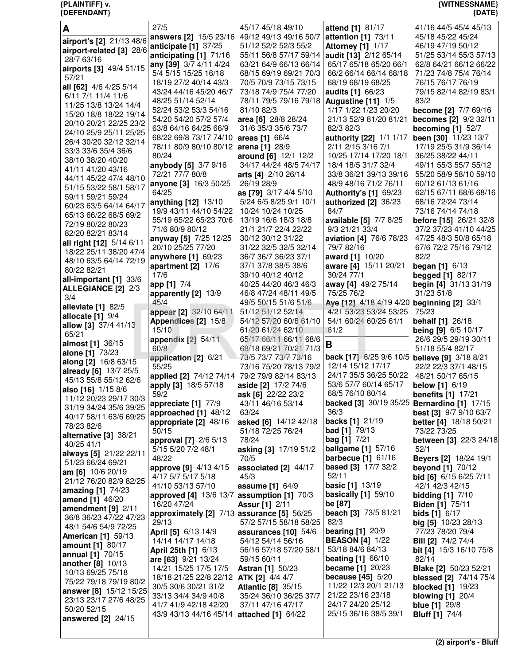| {DEFENDANT}                                           |                                                    |                                              |                                                          | ${$ (DATE)                                 |
|-------------------------------------------------------|----------------------------------------------------|----------------------------------------------|----------------------------------------------------------|--------------------------------------------|
| A                                                     | 27/5                                               | 45/17 45/18 49/10                            | attend [1] 81/17                                         | 41/16 44/5 45/4 45/13                      |
| airport's [2] 21/13 48/6                              | answers [2] 15/5 23/16                             | 49/12 49/13 49/16 50/7                       | attention [1] 73/11                                      | 45/18 45/22 45/24                          |
| airport-related [3] 28/6                              | anticipate [1] 37/25                               | 51/12 52/2 52/3 55/2                         | <b>Attorney [1] 1/17</b>                                 | 46/19 47/19 50/12                          |
| 28/7 63/16                                            | anticipating [1] 71/16                             | 55/11 56/8 57/17 59/14 audit [13] 2/12 65/14 |                                                          | 51/25 53/14 55/3 57/13                     |
| airports [3] 49/4 51/15                               | any [39] 3/7 4/11 4/24                             | 63/21 64/9 66/13 66/14                       | 65/17 65/18 65/20 66/1                                   | 62/8 64/21 66/12 66/22                     |
| 57/21                                                 | 5/4 5/15 15/25 16/18                               | 68/15 69/19 69/21 70/3                       | 66/2 66/14 66/14 68/18                                   | 71/23 74/8 75/4 76/14                      |
| all [62] 4/6 4/25 5/14                                | 18/19 27/2 40/14 43/3                              | 70/5 70/9 73/15 73/15                        | 68/19 68/19 68/25                                        | 76/15 76/17 76/19                          |
| 6/11 7/1 11/4 11/6                                    | 43/24 44/16 45/20 46/7                             | 73/18 74/9 75/4 77/20                        | audits [1] 66/23                                         | 79/15 82/14 82/19 83/1                     |
| 11/25 13/8 13/24 14/4                                 | 48/25 51/14 52/14                                  | 78/11 79/5 79/16 79/18                       | Augustine [11] 1/5                                       | 83/2                                       |
| 15/20 18/8 18/22 19/14                                | 52/24 53/2 53/3 54/16                              | 81/10 82/3                                   | 1/17 1/22 1/23 20/20                                     | become [2] 7/7 69/16                       |
| 20/10 20/21 22/25 23/2                                | 54/20 54/20 57/2 57/4                              | area [6] 28/8 28/24                          | 21/13 52/9 81/20 81/21                                   | becomes [2] 9/2 32/11                      |
| 24/10 25/9 25/11 25/25                                | 63/8 64/16 64/25 66/9                              | 31/6 35/3 35/6 73/7                          | 82/3 82/3                                                | becoming $[1]$ 52/7                        |
| 26/4 30/20 32/12 32/14                                | 68/22 69/8 73/17 74/10                             | areas [1] 66/4                               | authority [22] 1/1 1/17                                  | been [30] 11/23 13/7                       |
| 33/3 33/6 35/4 36/6                                   | 78/11 80/9 80/10 80/12                             | arena [1] 28/9                               | 2/11 2/15 3/16 7/1                                       | 17/19 25/5 31/9 36/14                      |
| 38/10 38/20 40/20                                     | 80/24                                              | around [6] 12/1 12/2                         | 10/25 17/14 17/20 18/1                                   | 36/25 38/22 44/11                          |
| 41/11 41/20 43/16                                     | anybody [5] 3/7 9/16                               | 34/17 44/24 48/5 74/17                       | 18/4 18/5 31/7 32/4                                      | 49/11 55/3 55/7 55/12                      |
| 44/11 45/22 47/4 48/10                                | 72/21 77/7 80/8                                    | arts [4] 2/10 26/14                          | 33/8 36/21 39/13 39/16                                   | 55/20 58/9 58/10 59/10                     |
| 51/15 53/22 58/1 58/17                                | anyone [3] 16/3 50/25                              | 26/19 28/9                                   | 48/9 48/16 71/2 76/11                                    | 60/12 61/13 61/16                          |
| 59/11 59/21 59/24                                     | 64/25                                              | as [79] 3/17 4/4 5/10                        | <b>Authority's [1] 69/23</b>                             | 62/15 67/11 68/6 68/16                     |
| 60/23 63/5 64/14 64/17                                | anything [12] 13/10                                | 5/24 6/5 8/25 9/1 10/1                       | authorized [2] 36/23                                     | 68/16 72/24 73/14                          |
| 65/13 66/22 68/5 69/2                                 | 19/9 43/11 44/10 54/22                             | 10/24 10/24 10/25                            | 84/7                                                     | 73/16 74/14 74/18                          |
| 72/19 80/22 80/23                                     | 55/19 65/22 65/23 70/6                             | 13/19 16/6 18/3 18/8                         | available [5] 7/7 8/25                                   | before [15] 26/21 32/8                     |
| 82/20 82/21 83/14                                     | 71/6 80/9 80/12                                    | 21/1 21/7 22/4 22/22                         | 9/3 21/21 33/4                                           | 37/2 37/23 41/10 44/25                     |
| all right [12] 5/14 6/11                              | anyway [5] 7/25 12/25                              | 30/12 30/12 31/22                            | aviation [4] 76/6 78/23                                  | 47/25 48/3 50/8 65/18                      |
| 18/22 25/11 38/20 47/4                                | 20/10 25/25 77/20                                  | 31/22 32/5 32/5 32/14                        | 79/7 82/16                                               | 67/6 72/2 75/16 79/12                      |
| 48/10 63/5 64/14 72/19                                | anywhere [1] 69/23                                 | 36/7 36/7 36/23 37/1                         | award [1] 10/20                                          | 82/2                                       |
| 80/22 82/21                                           | apartment [2] 17/6<br>17/6                         | 37/1 37/8 38/5 38/6                          | aware [4] 15/11 20/21<br>30/24 77/1                      | <b>began</b> [1] $6/13$                    |
| all-important [1] 33/6                                | app [1] 7/4                                        | 39/10 40/12 40/12<br>40/25 44/20 46/3 46/3   | away [4] 49/2 75/14                                      | begged [1] 82/17<br>begin [4] 31/13 31/19  |
| <b>ALLEGIANCE [2] 2/3</b>                             | apparently [2] 13/9                                | 46/8 47/24 48/11 49/5                        | 75/25 76/2                                               | 31/23 51/8                                 |
| 3/4                                                   | 45/4                                               | 49/5 50/15 51/6 51/6                         | Aye [12] 4/18 4/19 4/20 beginning [2] 33/1               |                                            |
| alleviate [1] 82/5                                    | appear [2] 32/10 64/11                             | 51/12 51/12 52/14                            | 4/21 53/23 53/24 53/25                                   | 75/23                                      |
| allocate $[1]$ $9/4$                                  | Appendices [2] 15/8                                | 54/12 57/20 60/8 61/10                       | 54/1 60/24 60/25 61/1                                    | <b>behalf</b> [1] 26/18                    |
| allow [3] 37/4 41/13                                  | 15/10                                              | 61/20 61/24 62/10                            | 61/2                                                     | <b>being [9] 6/5 10/17</b>                 |
| 65/21                                                 | appendix [2] 54/11                                 | 65/17 66/11 66/11 68/6                       |                                                          | 26/6 29/5 29/19 30/11                      |
| almost [1] 36/15                                      | 60/8                                               | 68/18 69/21 70/21 71/3                       | В                                                        | 51/18 55/4 82/17                           |
| alone [1] 73/23                                       | application [2] 6/21                               | 73/5 73/7 73/7 73/16                         | back [17] 6/25 9/6 10/5 believe [9] 3/18 8/21            |                                            |
| along [2] 16/8 63/15<br>already [6] 13/7 25/5         | 55/25                                              | 73/16 75/20 78/13 79/2                       | 12/14 15/12 17/17                                        | 22/2 22/3 37/1 48/15                       |
| 45/13 55/8 55/12 62/6                                 | applied [2] 74/12 74/14                            | 79/2 79/9 82/14 83/13                        | 24/17 35/5 36/25 50/22                                   | 48/21 50/17 65/15                          |
| <b>also</b> [16] 1/15 8/6                             | apply [3] 18/5 57/18                               | aside [2] 17/2 74/6                          | 53/6 57/7 60/14 65/17                                    | <b>below</b> [1] 6/19                      |
| 11/12 20/23 29/17 30/3                                | 59/2                                               | ask [6] 22/22 23/2                           | 68/5 76/10 80/14                                         | <b>benefits</b> [1] 17/21                  |
| 31/19 34/24 35/6 39/25                                | appreciate [1] 77/9                                | 43/11 46/16 53/14                            | backed [3] 30/19 35/25 Bernardino [1] 17/15              |                                            |
| 40/17 58/11 63/6 69/25                                | approached [1] 48/12                               | 63/24                                        | 36/3                                                     | <b>best [3]</b> 9/7 9/10 63/7              |
| 78/23 82/6                                            | appropriate [2] 48/16                              | asked [6] 14/12 42/18                        | backs [1] 21/19                                          | <b>better</b> [4] 18/18 50/21              |
| alternative [3] 38/21                                 | 50/15                                              | 51/18 72/25 76/24                            | <b>bad</b> [1] 79/13                                     | 73/22 73/25                                |
| 40/25 41/1                                            | approval [7] 2/6 5/13                              | 78/24                                        | <b>bag</b> [1] $7/21$                                    | between [3] 22/3 24/18                     |
| always [5] 21/22 22/11                                | 5/15 5/20 7/2 48/1                                 | asking [3] 17/19 51/2                        | <b>ballgame</b> [1] 57/16<br><b>barbecue</b> $[1]$ 61/16 | 52/1                                       |
| 51/23 66/24 69/21                                     | 48/22                                              | 70/5                                         | <b>based</b> [3] 17/7 32/2                               | <b>Beyers [2] 18/24 19/1</b>               |
| am [6] 10/6 20/19                                     | <b>approve [9]</b> 4/13 4/15<br>4/17 5/7 5/17 5/18 | associated $[2]$ 44/17<br>45/3               | 52/11                                                    | beyond [1] 70/12<br>bid [6] 6/15 6/25 7/11 |
| 21/12 76/20 82/9 82/25                                | 41/10 53/13 57/10                                  | <b>assume</b> $[1] 64/9$                     | <b>basic</b> [1] 13/19                                   | 42/1 42/3 42/15                            |
| amazing $[1]$ 74/23                                   | approved [4] 13/6 13/7                             | assumption [1] 70/3                          | basically $[1]$ 59/10                                    | bidding $[1]$ $7/10$                       |
| amend [1] 46/20                                       | 16/20 47/24                                        | <b>Assur [1] 2/11</b>                        | be [87]                                                  | <b>Biden [1] 75/11</b>                     |
| amendment $[9]$ 2/11                                  | approximately [2] 7/13 assurance [5] 56/25         |                                              | beach [3] 73/5 81/21                                     | <b>bids</b> [1] $6/17$                     |
| 36/8 36/23 47/22 47/23                                | 29/13                                              | 57/2 57/15 58/18 58/25                       | 82/3                                                     | big [5] 10/23 28/13                        |
| 48/1 54/6 54/9 72/25                                  | April [5] 6/13 14/9                                | assurances $[10]$ 54/6                       | bearing $[1]$ 20/9                                       | 77/23 78/20 79/4                           |
| <b>American [1] 59/13</b>                             | 14/14 14/17 14/18                                  | 54/12 54/14 56/16                            | <b>BEASON</b> [4] 1/22                                   | <b>Bill [2]</b> 74/2 74/4                  |
| amount [1] 80/17                                      | April 25th [1] 6/13                                | 56/16 57/18 57/20 58/1                       | 53/18 84/6 84/13                                         | <b>bit [4]</b> 15/3 16/10 75/8             |
| <b>annual</b> [1] 70/15<br><b>another</b> $[8]$ 10/13 | are [63] 9/21 13/24                                | 59/15 60/11                                  | beating $[1]$ 66/10                                      | 82/14                                      |
| 10/13 69/25 75/18                                     | 14/21 15/25 17/5 17/5                              | <b>Astran [1] 50/23</b>                      | <b>became</b> $[1]$ 20/23                                | <b>Blake [2] 50/23 52/21</b>               |
| 75/22 79/18 79/19 80/2                                | 18/18 21/25 22/8 22/12                             | <b>ATK [2]</b> 4/4 4/7                       | <b>because</b> [45] $5/20$                               | <b>blessed</b> [2] 74/14 75/4              |
| answer [8] 15/12 15/25                                | 30/5 30/6 30/21 31/2                               | <b>Atlantic [8] 35/15</b>                    | 11/22 12/3 20/1 21/13                                    | <b>blocked</b> [1] 19/23                   |
| 23/13 23/17 27/6 48/25                                | 33/13 34/4 34/9 40/8                               | 35/24 36/10 36/25 37/7                       | 21/22 23/16 23/18                                        | blowing $[1]$ 20/4                         |
|                                                       | 41/7 41/9 42/18 42/20                              | 37/11 47/16 47/17                            | 24/17 24/20 25/12                                        | blue $1129/8$                              |

**{PLAINTIFF} v. {WITNESSNAME}**

 50/20 52/15 **answered [2]** 24/15 41/7 41/9 42/18 42/20

43/9 43/13 44/16 45/14 **attached [1]** 64/22

37/11 47/16 47/17

25/15 36/16 38/5 39/1

**blue [1]** 29/8 **Bluff [1]** 74/4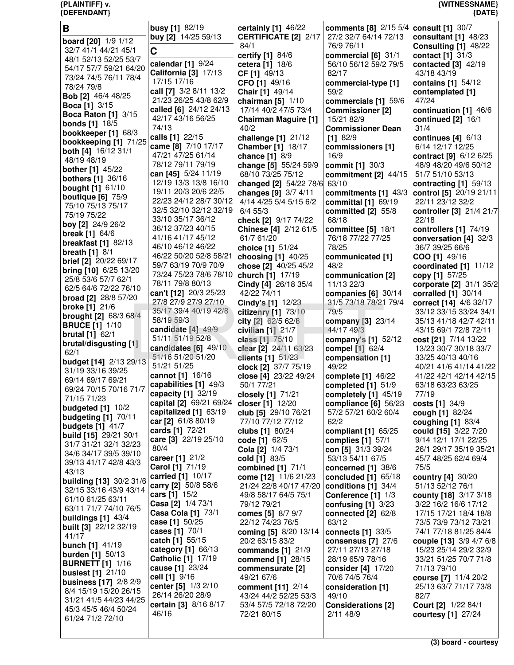| В                                                     | <b>busy</b> [1] 82/19<br>buy [2] 14/25 59/13   | certainly [1] 46/22<br><b>CERTIFICATE [2] 2/17</b> | comments [8] 2/15 5/4 consult [1] 30/7<br>27/2 32/7 64/14 72/13 | consultant [1] 48/23                           |
|-------------------------------------------------------|------------------------------------------------|----------------------------------------------------|-----------------------------------------------------------------|------------------------------------------------|
| board [20] 1/9 1/12<br>32/7 41/1 44/21 45/1           |                                                | 84/1                                               | 76/9 76/11                                                      | Consulting [1] 48/22                           |
| 48/1 52/13 52/25 53/7                                 | C                                              | certify [1] 84/6                                   | commercial $[6]$ 31/1                                           | contact [1] 31/3                               |
| 54/17 57/7 59/21 64/20                                | calendar [1] 9/24                              | cetera [1] 18/6                                    | 56/10 56/12 59/2 79/5                                           | contacted [3] 42/19                            |
| 73/24 74/5 76/11 78/4                                 | California [3] 17/13<br>17/15 17/16            | CF [1] 49/13                                       | 82/17                                                           | 43/18 43/19                                    |
| 78/24 79/8                                            | call [7] 3/2 8/11 13/2                         | CFO [1] 49/16<br>Chair [1] 49/14                   | commercial-type [1]<br>59/2                                     | contains [1] 54/12<br>contemplated [1]         |
| Bob [2] 46/4 48/25                                    | 21/23 26/25 43/8 62/9                          | chairman $[5]$ 1/10                                | commercials [1] 59/6                                            | 47/24                                          |
| <b>Boca [1]</b> 3/15                                  | called [6] 24/12 24/13                         | 17/14 40/2 47/5 73/4                               | <b>Commissioner [2]</b>                                         | continuation [1] 46/6                          |
| <b>Boca Raton [1] 3/15</b><br><b>bonds</b> [1] 18/5   | 42/17 43/16 56/25                              | <b>Chairman Maguire [1]</b>                        | 15/21 82/9                                                      | continued [2] 16/1                             |
| bookkeeper [1] 68/3                                   | 74/13                                          | 40/2                                               | <b>Commissioner Dean</b>                                        | 31/4                                           |
| bookkeeping [1] 71/25                                 | calls [1] 22/15<br>came [8] 7/10 17/17         | challenge [1] 21/12                                | $[1]$ 82/9                                                      | continues [4] 6/13                             |
| both [4] 16/12 31/1                                   | 47/21 47/25 61/14                              | <b>Chamber [1] 18/17</b><br>chance [1] 8/9         | commissioners [1]<br>16/9                                       | 6/14 12/17 12/25<br>contract [9] 6/12 6/25     |
| 48/19 48/19                                           | 78/12 79/11 79/19                              | change [5] 55/24 59/9                              | commit [1] 30/3                                                 | 48/9 48/20 49/6 50/12                          |
| <b>bother</b> [1] 45/22                               | can [45] 5/24 11/19                            | 68/10 73/25 75/12                                  | commitment $[2]$ 44/15                                          | 51/7 51/10 53/13                               |
| <b>bothers</b> [1] 36/16<br><b>bought [1] 61/10</b>   | 12/19 13/3 13/8 16/10                          | changed [2] 54/22 78/6                             | 63/10                                                           | contracting [1] 59/13                          |
| boutique $[6]$ $75/9$                                 | 19/11 20/3 20/6 22/5                           | changes [9] 3/7 4/11                               | commitments [1] 43/3                                            | control [5] 20/19 21/11                        |
| 75/10 75/13 75/17                                     | 22/23 24/12 28/7 30/12                         | 4/14 4/25 5/4 5/15 6/2                             | committal $[1]$ 69/19                                           | 22/11 23/12 32/2                               |
| 75/19 75/22                                           | 32/5 32/10 32/12 32/19<br>33/10 35/17 36/12    | $6/4$ 55/3<br>check [2] 9/17 74/22                 | committed [2] 55/8<br>68/18                                     | controller [3] 21/4 21/7<br>22/18              |
| boy [2] 24/9 26/2                                     | 36/12 37/23 40/15                              | Chinese [4] 2/12 61/5                              | committee $[5]$ 18/1                                            | controllers $[1]$ 74/19                        |
| <b>break</b> [1] 64/6                                 | 41/16 41/17 45/12                              | 61/7 61/20                                         | 76/18 77/22 77/25                                               | conversation [4] 32/3                          |
| <b>breakfast</b> [1] 82/13<br>breath $[1]$ 8/1        | 46/10 46/12 46/22                              | choice [1] 51/24                                   | 78/25                                                           | 36/7 39/25 66/6                                |
| brief [2] 20/22 69/17                                 | 46/22 50/20 52/8 58/21                         | choosing $[1]$ 40/25                               | communicated [1]                                                | COO [1] 49/16                                  |
| <b>bring [10] 6/25 13/20</b>                          | 59/7 63/19 70/9 70/9<br>73/24 75/23 78/6 78/10 | chose [2] 40/25 45/2                               | 48/2                                                            | coordinated [1] 11/12                          |
| 25/8 53/6 57/7 62/1                                   | 78/11 79/8 80/13                               | church [1] 17/19<br>Cindy [4] 26/18 35/4           | communication [2]<br>11/13 22/3                                 | copy [1] 57/25<br>corporate [2] 31/1 35/2      |
| 62/5 64/6 72/22 76/10                                 | can't [12] 20/3 25/23                          | 42/22 74/11                                        | companies $[6]$ 30/14                                           | corralled $[1]$ 30/14                          |
| <b>broad [2]</b> 28/8 57/20<br><b>broke [1] 21/6</b>  | 27/8 27/9 27/9 27/10                           | Cindy's [1] 12/23                                  | 31/5 73/18 78/21 79/4                                           | correct [14] 4/6 32/17                         |
| <b>brought [2] 68/3 68/4</b>                          | 35/17 39/4 40/19 42/8                          | citizenry [1] 73/10                                | 79/5                                                            | 33/12 33/15 33/24 34/1                         |
| <b>BRUCE [1] 1/10</b>                                 | 58/19 59/3                                     | city [2] 62/5 62/8                                 | company [3] 23/14                                               | 35/13 41/18 42/7 42/11                         |
| <b>brutal</b> [1] 62/1                                | candidate [4] 49/9<br>51/11 51/19 52/8         | civilian $[1]$ 21/7<br>class [1] 75/10             | 44/17 49/3<br>company's [1] 52/12                               | 43/15 69/1 72/8 72/11<br>cost [21] 7/14 13/22  |
| brutal/disgusting [1]                                 | candidates [6] 49/10                           | clear [2] 24/11 63/23                              | compel [1] 62/4                                                 | 13/23 30/7 30/18 33/7                          |
| 62/1<br>budget [14] 2/13 29/13                        | 51/16 51/20 51/20                              | clients [1] 51/23                                  | compensation [1]                                                | 33/25 40/13 40/16                              |
| 31/19 33/16 39/25                                     | 51/21 51/25                                    | clock [2] 37/7 75/19                               | 49/22                                                           | 40/21 41/6 41/14 41/22                         |
| 69/14 69/17 69/21                                     | cannot [1] 16/16<br>capabilities [1] 49/3      | close [4] 23/22 49/24                              | complete [1] 46/22                                              | 41/22 42/1 42/14 42/15                         |
| 69/24 70/15 70/16 71/7                                | capacity [1] 32/19                             | 50/1 77/21<br>closely [1] 71/21                    | completed [1] 51/9<br>completely [1] 45/19                      | 63/18 63/23 63/25<br>77/19                     |
| /1/15 /1/23                                           | capital [2] 69/21 69/24                        | closer [1] 12/20                                   | compliance [6] 56/23                                            | costs [1] 34/9                                 |
| budgeted $[1]$ 10/2                                   | capitalized [1] 63/19                          | club [5] 29/10 76/21                               | 57/2 57/21 60/2 60/4                                            | cough [1] 82/24                                |
| <b>budgeting [1] 70/11</b><br><b>budgets</b> [1] 41/7 | car [2] 61/8 80/19                             | 77/10 77/12 77/12                                  | 62/2                                                            | coughing [1] 83/4                              |
| build [15] 29/21 30/1                                 | cards [1] 72/21                                | clubs [1] 80/24                                    | compliant [1] 65/25                                             | could [15] 3/22 7/20                           |
| 31/7 31/21 32/1 32/23                                 | care [3] 22/19 25/10<br>80/4                   | code [1] 62/5<br>Cola [2] 1/4 73/1                 | complies $[1]$ 57/1<br>con [5] 31/3 39/24                       | 9/14 12/1 17/1 22/25<br>26/1 29/17 35/19 35/21 |
| 34/6 34/17 39/5 39/10                                 | career [1] 21/2                                | cold [1] 83/5                                      | 53/13 54/11 67/5                                                | 45/7 48/25 62/4 69/4                           |
| 39/13 41/17 42/8 43/3                                 | Carol [1] 71/19                                | combined [1] 71/1                                  | concerned [1] 38/6                                              | 75/5                                           |
| 43/13<br><b>building [13]</b> 30/2 31/6               | carried [1] 10/17                              | come [12] 11/6 21/23                               | concluded [1] 65/18                                             | country [4] 30/20                              |
| 32/15 33/16 43/9 43/14                                | carry [2] 50/8 58/6                            | 21/24 22/8 40/17 47/20                             | conditions [1] 34/4                                             | 51/13 52/12 76/1                               |
| 61/10 61/25 63/11                                     | cars [1] 15/2<br>Casa [2] 1/4 73/1             | 49/8 58/17 64/5 75/1                               | Conference [1] 1/3                                              | county [18] 3/17 3/18                          |
| 63/11 71/7 74/10 76/5                                 | Casa Cola [1] 73/1                             | 79/12 79/21<br>comes [5] 8/7 9/7                   | confusing $[1]$ 3/23<br>connected $[2]$ 62/8                    | 3/22 16/2 16/6 17/12<br>17/15 17/21 18/4 18/8  |
| buildings $[1]$ 43/4                                  | case [1] 50/25                                 | 22/12 74/23 76/5                                   | 63/12                                                           | 73/5 73/9 73/12 73/21                          |
| <b>built [3]</b> 22/12 32/19<br>41/17                 | cases [1] 70/1                                 | coming [5] 8/20 13/14                              | connects $[1]$ 33/5                                             | 74/1 77/18 81/25 84/4                          |
| <b>bunch [1] 41/19</b>                                | catch [1] 55/15                                | 20/2 63/15 83/2                                    | consensus $[7]$ 27/6                                            | couple [13] 3/9 4/7 6/8                        |
| <b>burden</b> [1] $50/13$                             | category [1] 66/13<br>Catholic [1] 17/19       | commands $[1]$ 21/9                                | 27/11 27/13 27/18                                               | 15/23 25/14 29/2 32/9                          |
| <b>BURNETT [1] 1/16</b>                               | cause [1] 23/24                                | commend [1] 28/15<br>commensurate [2]              | 28/19 65/9 78/16<br>consider [4] 17/20                          | 33/21 51/25 70/7 71/8<br>71/13 79/10           |
| <b>busiest</b> [1] 21/10                              | cell [1] 9/16                                  | 49/21 67/6                                         | 70/6 74/5 76/4                                                  | course [7] 11/4 20/2                           |
| <b>business [17]</b> 2/8 2/9<br>8/4 15/19 15/20 26/15 | center [5] 1/3 2/10                            | <b>comment</b> [11] 2/14                           | consideration [1]                                               | 25/13 63/7 71/17 73/8                          |
| 31/21 41/5 44/23 44/25                                | 26/14 26/20 28/9                               | 43/24 44/2 52/25 53/3                              | 49/10                                                           | 82/7                                           |
| 45/3 45/5 46/4 50/24                                  | certain [3] 8/16 8/17                          | 53/4 57/5 72/18 72/20                              | <b>Considerations [2]</b>                                       | Court [2] 1/22 84/1                            |
| 61/24 71/2 72/10                                      | 46/16                                          | 72/21 80/15                                        | 2/11 48/9                                                       | courtesy [1] 27/24                             |
|                                                       |                                                |                                                    |                                                                 |                                                |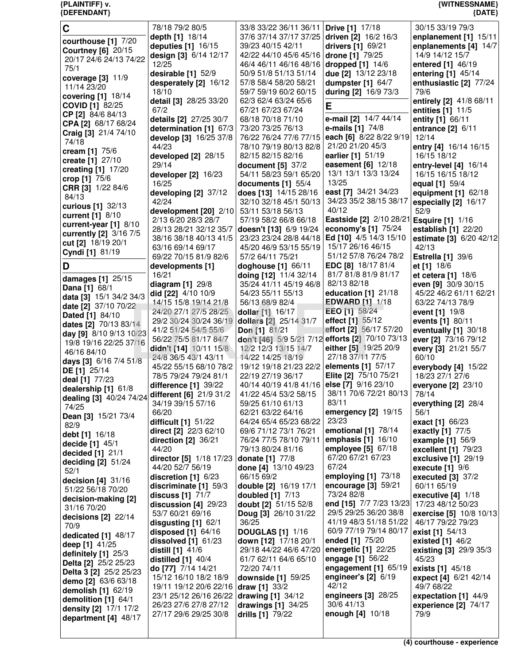| {DEFENDANT}                                       |                                                 |                                                                 |                                             | ${$ (DATE)                                 |
|---------------------------------------------------|-------------------------------------------------|-----------------------------------------------------------------|---------------------------------------------|--------------------------------------------|
| C                                                 | 78/18 79/2 80/5                                 | 33/8 33/22 36/11 36/11 <b>Drive [1]</b> 17/18                   |                                             | 30/15 33/19 79/3                           |
| courthouse [1] 7/20                               | depth [1] 18/14                                 | 37/6 37/14 37/17 37/25 driven [2] 16/2 16/3                     |                                             | enplanement [1] 15/11                      |
| <b>Courtney [6] 20/15</b>                         | deputies [1] 16/15                              | 39/23 40/15 42/11                                               | drivers [1] 69/21                           | enplanements [4] 14/7                      |
| 20/17 24/6 24/13 74/22                            | design [3] 6/14 12/17                           | 42/22 44/10 45/6 45/16                                          | drone [1] 79/25                             | 14/9 14/12 15/7                            |
| 75/1                                              | 12/25                                           | 46/4 46/11 46/16 48/16 <b>dropped [1]</b> 14/6                  |                                             | entered [1] 46/19                          |
| coverage $[3]$ 11/9                               | desirable [1] 52/9                              | 50/9 51/8 51/13 51/14                                           | due [2] 13/12 23/18                         | entering [1] 45/14                         |
| 11/14 23/20                                       | desperately [2] 16/12<br>18/10                  | 57/8 58/4 58/20 58/21<br>59/7 59/19 60/2 60/15                  | dumpster $[1]$ 64/7<br>during [2] 16/9 73/3 | enthusiastic [2] 77/24<br>79/6             |
| covering [1] 18/14                                | detail [3] 28/25 33/20                          | 62/3 62/4 63/24 65/6                                            |                                             | entirely [2] 41/8 68/11                    |
| <b>COVID [1] 82/25</b>                            | 67/2                                            | 67/21 67/23 67/24                                               | Е                                           | entities [1] 11/5                          |
| CP [2] 84/6 84/13                                 | details [2] 27/25 30/7                          | 68/18 70/18 71/10                                               | e-mail [2] 14/7 44/14                       | entity [1] 66/11                           |
| CPA [2] 68/17 68/24<br>Craig [3] 21/4 74/10       | determination [1] 67/3                          | 73/20 73/25 76/13                                               | e-mails $[1]$ 74/8                          | entrance [2] 6/11                          |
| 74/18                                             | develop [3] 16/25 37/8                          | 76/22 76/24 77/6 77/15                                          | each [6] 8/22 8/22 9/19                     | 12/14                                      |
| cream $[1]$ 75/6                                  | 44/23                                           | 78/10 79/19 80/13 82/8                                          | 21/20 21/20 45/3                            | entry [4] 16/14 16/15                      |
| create [1] 27/10                                  | developed [2] 28/15<br>29/14                    | 82/15 82/15 82/16                                               | earlier [1] 51/19<br>easement [6] 12/18     | 16/15 18/12                                |
| creating $[1]$ 17/20                              | developer [2] 16/23                             | document $[5]$ 37/2<br>54/11 58/23 59/1 65/20                   | 13/1 13/1 13/3 13/24                        | entry-level [4] 16/14<br>16/15 16/15 18/12 |
| crop [1] $75/6$                                   | 16/25                                           | documents $[1]$ 55/4                                            | 13/25                                       | equal [1] 59/4                             |
| CRR [3] 1/22 84/6                                 | developing [2] 37/12                            | does [13] 14/15 28/16                                           | east [7] 34/21 34/23                        | equipment [1] 62/18                        |
| 84/13                                             | 42/24                                           | 32/10 32/18 45/1 50/13                                          | 34/23 35/2 38/15 38/17                      | especially [2] 16/17                       |
| curious [1] 32/13<br>current [1] 8/10             | development [20] 2/10                           | 53/11 53/18 56/13                                               | 40/12                                       | 52/9                                       |
| current-year [1] 8/10                             | 2/13 6/20 28/3 28/7                             | 57/19 58/2 66/8 66/18                                           | Eastside [2] 2/10 28/21 Esquire [1] 1/16    |                                            |
| currently [2] 3/16 7/5                            | 28/13 28/21 32/12 35/7                          | doesn't [13] 6/9 19/24                                          | economy's [1] 75/24                         | establish [1] 22/20                        |
| cut [2] 18/19 20/1                                | 38/16 38/18 40/13 41/5                          | 23/23 23/24 28/8 44/18                                          | Ed [10] 4/5 14/3 15/10<br>15/17 26/16 46/15 | estimate [3] 6/20 42/12                    |
| Cyndi [1] 81/19                                   | 63/16 69/14 69/17<br>69/22 70/15 81/9 82/6      | 45/20 46/9 53/15 55/19<br>57/2 64/11 75/21                      | 51/12 57/8 76/24 78/2                       | 42/13<br><b>Estrella [1] 39/6</b>          |
| D                                                 | developments [1]                                | doghouse [1] 66/11                                              | EDC [8] 18/17 81/4                          | et [1] 18/6                                |
| damages [1] 25/15                                 | 16/21                                           | doing [12] 11/4 32/14                                           | 81/7 81/8 81/9 81/17                        | et cetera [1] 18/6                         |
| Dana [1] 68/1                                     | diagram $[1]$ 29/8                              | 35/24 41/11 45/19 46/8                                          | 82/13 82/18                                 | even [9] 30/9 30/15                        |
| data [3] 15/1 34/2 34/3                           | did [22] 4/10 10/9                              | 54/23 55/11 55/13                                               | education $[1]$ 21/18                       | 45/22 46/2 61/11 62/21                     |
| date [2] 37/10 70/22                              | 14/15 15/8 19/14 21/8                           | 56/13 68/9 82/4                                                 | <b>EDWARD</b> [1] 1/18                      | 63/22 74/13 78/9                           |
| Dated [1] 84/10                                   | 24/20 27/1 27/5 28/25<br>29/2 30/24 30/24 36/19 | dollar [1] 16/17<br>dollars [2] 25/14 31/7                      | <b>EEO</b> [1] 58/24<br>effect [1] 55/12    | event [1] 19/8<br>events [1] 80/11         |
| dates [2] 70/13 83/14                             | 41/2 51/24 54/5 55/6                            | Don [1] 81/21                                                   | effort [2] 56/17 57/20                      | eventually [1] 30/18                       |
| day [9] 8/10 9/13 10/23<br>19/8 19/16 22/25 37/16 | 56/22 75/5 81/17 84/7                           | don't [46] 5/9 5/21 7/12 efforts [2] 70/10 73/13                |                                             | ever [2] 73/16 79/12                       |
| 46/16 84/10                                       | didn't [14] 10/11 15/8                          | 12/2 12/3 13/15 14/7                                            | either [5] 19/25 20/9                       | every [3] 21/21 55/7                       |
| days [3] 6/16 7/4 5178                            | 24/8 36/5 43/1 43/11                            | 14/22 14/25 18/19                                               | 27/18 37/11 77/5                            | 60/10                                      |
| DE [1] 25/14                                      | 45/22 55/15 68/10 78/2                          | 19/12 19/18 21/23 22/2 elements [1] 57/17                       |                                             | everybody $[4]$ 15/22                      |
| deal [1] 77/23                                    | 78/5 79/24 79/24 81/1                           | 22/19 27/19 36/17<br>40/14 40/19 41/8 41/16 else [7] 9/16 23/10 | Elite [2] 75/10 75/21                       | 18/23 27/1 27/6                            |
| dealership [1] 61/8                               | difference [1] 39/22<br>different [6] 21/9 31/2 | 41/22 45/4 53/2 58/15                                           | 38/11 70/6 72/21 80/13                      | everyone [2] 23/10<br>78/14                |
| dealing [3] 40/24 74/24<br>74/25                  | 34/19 39/15 57/16                               | 59/25 61/10 61/13                                               | 83/11                                       | everything $[2]$ 28/4                      |
| Dean [3] 15/21 73/4                               | 66/20                                           | 62/21 63/22 64/16                                               | emergency $[2]$ 19/15                       | 56/1                                       |
| 82/9                                              | difficult [1] 51/22                             | 64/24 65/4 65/23 68/22                                          | 23/23                                       | exact [1] 66/23                            |
| debt [1] 16/18                                    | direct [2] 22/3 62/10                           | 69/6 71/12 73/1 76/21                                           | emotional [1] 78/14<br>emphasis $[1]$ 16/10 | exactly [1] 77/5                           |
| decide [1] 45/1                                   | direction [2] 36/21<br>44/20                    | 76/24 77/5 78/10 79/11<br>79/13 80/24 81/16                     | employee $[5]$ 67/18                        | example $[1]$ 56/9<br>excellent [1] 79/23  |
| decided [1] 21/1                                  | director [5] 1/18 17/23                         | donate [1] 77/8                                                 | 67/20 67/21 67/23                           | exclusive [1] 29/19                        |
| deciding $[2]$ 51/24<br>52/1                      | 44/20 52/7 56/19                                | done [4] 13/10 49/23                                            | 67/24                                       | execute $[1]$ $9/6$                        |
| decision $[4]$ 31/16                              | discretion $[1]$ 6/23                           | 66/15 69/2                                                      | employing [1] 73/18                         | executed $[3]$ 37/2                        |
| 51/22 56/18 70/20                                 | discriminate $[1]$ 59/3                         | double [2] 16/19 17/1                                           | encourage $[3]$ 59/21                       | 60/11 65/19                                |
| decision-making [2]                               | discuss $[1]$ $71/7$                            | doubled [1] 7/13                                                | 73/24 82/8<br>end [15] 7/7 7/23 13/23       | executive $[4]$ 1/18<br>17/23 48/12 50/23  |
| 31/16 70/20                                       | discussion [4] 29/23<br>53/7 60/21 69/16        | doubt [2] 51/15 52/8<br>Doug [3] 26/10 31/22                    | 29/5 29/25 36/20 38/8                       | exercise [5] 10/8 10/13                    |
| decisions $[2]$ 22/14<br>70/9                     | disgusting [1] 62/1                             | 36/25                                                           | 41/19 48/3 51/18 51/22                      | 46/17 79/22 79/23                          |
| dedicated [1] 48/17                               | disposed $[1]$ 64/16                            | <b>DOUGLAS [1] 1/16</b>                                         | 60/9 77/19 79/14 80/17                      | exist [1] 54/13                            |
| deep [1] 41/25                                    | dissolved $[1]$ 61/23                           | down [12] 17/18 20/1                                            | ended [1] 75/20                             | existed $[1]$ 46/2                         |
| definitely [1] 25/3                               | <b>distill</b> [1] 41/6                         | 29/18 44/22 46/6 47/20                                          | energetic [1] 22/25                         | existing [3] 29/9 35/3                     |
| Delta [2] 25/2 25/23                              | distilled $[1]$ 40/4<br>do [77] 7/14 14/21      | 61/7 62/11 64/6 65/10<br>72/20 74/11                            | engage [1] 56/22<br>engagement [1] 65/19    | 45/23<br>exists [1] 45/18                  |
| Delta 3 [2] 25/2 25/23                            | 15/12 16/10 18/2 18/9                           | downside [1] 59/25                                              | engineer's $[2]$ 6/19                       | expect [4] 6/21 42/14                      |
| demo [2] 63/6 63/18<br>demolish $[1]$ 62/19       | 19/11 19/12 20/6 22/16                          | draw [1] $33/2$                                                 | 42/12                                       | 49/7 68/22                                 |
| demolition [1] 64/1                               | 23/1 25/12 26/16 26/22                          | drawing $[1]$ 34/12                                             | engineers [3] 28/25                         | expectation [1] 44/9                       |
| density [2] 17/1 17/2                             | 26/23 27/6 27/8 27/12                           | drawings [1] 34/25                                              | 30/6 41/13                                  | experience [2] 74/17                       |
| department [4] 48/17                              | 27/17 29/6 29/25 30/8                           | drills [1] 79/22                                                | enough [4] 10/18                            | 79/9                                       |
|                                                   |                                                 |                                                                 |                                             |                                            |

## **{PLAINTIFF} v. {WITNESSNAME}**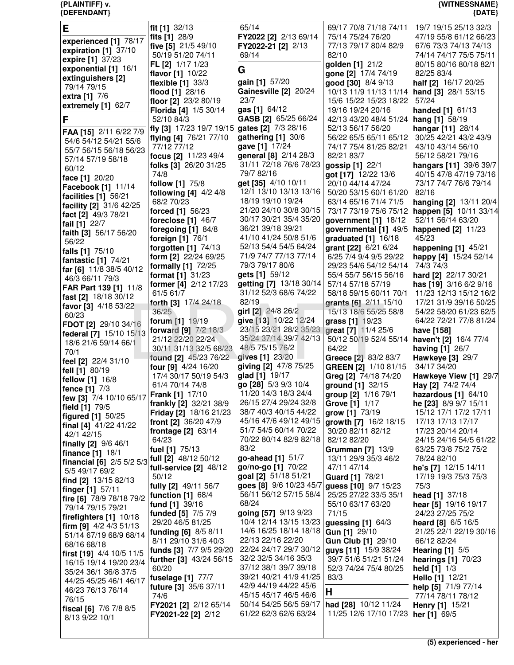## {PLAINTIFF} v.<br>{DEFENDANT}

# {WITNESSNAME}<br>{DATE}

| Е                                              | fit [1] 32/13                            | 65/14                                       | 69/17 70/8 71/18 74/11                          | 19/7 19/15 25/13 32/3                        |
|------------------------------------------------|------------------------------------------|---------------------------------------------|-------------------------------------------------|----------------------------------------------|
| experienced [1] 78/17                          | fits [1] 28/9                            | FY2022 [2] 2/13 69/14                       | 75/14 75/24 76/20                               | 47/19 55/8 61/12 66/23                       |
| expiration [1] 37/10                           | five [5] 21/5 49/10                      | FY2022-21 [2] 2/13                          | 77/13 79/17 80/4 82/9                           | 67/6 73/3 74/13 74/13                        |
| expire [1] 37/23                               | 50/19 51/20 74/11                        | 69/14                                       | 82/10                                           | 74/14 74/17 75/5 75/11                       |
| exponential [1] 16/1                           | FL [2] 1/17 1/23                         |                                             | golden [1] 21/2                                 | 80/15 80/16 80/18 82/1                       |
| extinguishers [2]                              | flavor [1] 10/22                         | G                                           | gone [2] 17/4 74/19                             | 82/25 83/4                                   |
| 79/14 79/15                                    | flexible [1] 33/3                        | gain [1] 57/20                              | good [30] 8/4 9/13                              | half [2] 16/17 20/25                         |
| extra [1] 7/6                                  | flood [1] 28/16                          | Gainesville [2] 20/24                       | 10/13 11/9 11/13 11/14                          | hand [3] 28/1 53/15                          |
| extremely [1] 62/7                             | floor [2] 23/2 80/19                     | 23/7                                        | 15/6 15/22 15/23 18/22                          | 57/24                                        |
|                                                | Florida [4] 1/5 30/14                    | gas [1] 64/12                               | 19/16 19/24 20/16                               | handed [1] 61/13                             |
| F                                              | 52/10 84/3                               | GASB [2] 65/25 66/24                        | 42/13 43/20 48/4 51/24                          | hang [1] 58/19                               |
| FAA [15] 2/11 6/22 7/9                         | fly [3] 17/23 19/7 19/15                 | gates [2] 7/3 28/16                         | 52/13 56/17 56/20                               | hangar [11] 28/14                            |
| 54/6 54/12 54/21 55/6                          | flying [4] 76/21 77/10                   | gathering [1] 30/6                          | 56/22 65/5 65/11 65/12                          | 30/25 42/21 43/2 43/9                        |
| 55/7 56/15 56/18 56/23                         | 77/12 77/12                              | gave [1] 17/24                              | 74/17 75/4 81/25 82/21                          | 43/10 43/14 56/10                            |
| 57/14 57/19 58/18                              | focus [2] 11/23 49/4                     | general [8] 2/14 28/3                       | 82/21 83/7                                      | 56/12 58/21 79/16                            |
| 60/12                                          | folks [3] 26/20 31/25                    | 31/11 72/18 76/6 78/23                      | gossip [1] 22/1                                 | hangars [11] 39/6 39/7                       |
| face [1] 20/20                                 | 74/8                                     | 79/7 82/16                                  | got [17] 12/22 13/6                             | 40/15 47/8 47/19 73/16                       |
| Facebook [1] 11/14                             | follow [1] 75/8                          | get [35] 4/10 10/11                         | 20/10 44/14 47/24                               | 73/17 74/7 76/6 79/14                        |
| facilities [1] 56/21                           | following $[4]$ 4/2 4/8                  | 12/1 13/10 13/13 13/16<br>18/19 19/10 19/24 | 50/20 53/15 60/1 61/20                          | 82/16                                        |
| facility [2] 31/6 42/25                        | 68/2 70/23                               | 21/20 24/10 30/8 30/15                      | 63/14 65/16 71/4 71/5<br>73/17 73/19 75/6 75/12 | hanging [2] 13/11 20/4                       |
| fact [2] 49/3 78/21                            | forced [1] 56/23                         | 30/17 30/21 35/4 35/20                      |                                                 | happen [5] 10/11 33/14<br>52/11 56/14 63/20  |
| fail [1] 22/7                                  | foreclose $[1]$ 46/7                     | 36/21 39/18 39/21                           | government [1] 18/12                            |                                              |
| faith [3] 56/17 56/20                          | foregoing $[1]$ 84/8<br>foreign [1] 76/1 | 41/10 41/24 50/8 51/6                       | governmental $[1]$ 49/5<br>graduated [1] 16/18  | happened [2] 11/23<br>45/23                  |
| 56/22                                          | forgotten $[1]$ $74/13$                  | 52/13 54/4 54/5 64/24                       | grant [22] 6/21 6/24                            | happening [1] 45/21                          |
| falls [1] 75/10                                | form [2] 22/24 69/25                     | 71/9 74/7 77/13 77/14                       | 6/25 7/4 9/4 9/5 29/22                          | happy [4] 15/24 52/14                        |
| fantastic [1] 74/21                            | formally [1] 72/25                       | 79/3 79/17 80/6                             | 29/23 54/6 54/12 54/14                          | 74/3 74/3                                    |
| far [6] 11/8 38/5 40/12                        | format [1] 31/23                         | gets [1] 59/12                              | 55/4 55/7 56/15 56/16                           | hard [2] 22/17 30/21                         |
| 46/3 66/11 79/3                                | former [4] 2/12 17/23                    | getting [7] 13/18 30/14                     | 57/14 57/18 57/19                               | has [19] 3/16 6/2 9/16                       |
| FAR Part 139 [1] 11/8                          | 61/5 61/7                                | 31/12 52/3 68/6 74/22                       | 58/18 59/15 60/11 70/1                          | 11/23 12/13 15/12 16/2                       |
| fast [2] 18/18 30/12                           | forth [3] 17/4 24/18                     | 82/19                                       | grants [6] 2/11 15/10                           | 17/21 31/9 39/16 50/25                       |
| favor [3] 4/18 53/22                           | 36/25                                    | girl [2] 24/8 26/2                          | 15/13 18/6 55/25 58/8                           | 54/22 58/20 61/23 62/5                       |
| 60/23                                          | forum [1] 19/19                          | give [13] 10/22 12/24                       | grass [1] 19/23                                 | 64/22 72/21 77/8 81/24                       |
| FDOT [2] 29/10 34/16                           | <b>forward</b> [9] 7/2 18/3              | 23/15 23/21 28/2 35/23                      | great [7] 11/4 25/6                             | have [158]                                   |
| federal [7] 15/10 15/13                        | 21/12 22/20 22/24                        | 35/24 37/14 39/7 42/13                      | 50/12 50/19 52/4 55/14                          | haven't [2] 16/4 77/4                        |
| 18/6 21/6 59/14 66/1<br>70/1                   | 30/11 31/13 32/5 68/23                   | 48/5 75/15 76/2                             | 64/22                                           | having [1] 26/7                              |
| feel [2] 22/4 31/10                            | found [2] 45/23 76/22                    | gives [1] 23/20                             | Greece [2] 83/2 83/7                            | Hawkeye [3] 29/7                             |
| fell [1] 80/19                                 | four [9] 4/24 16/20                      | giving [2] 47/8 75/25                       | GREEN [2] 1/10 81/15                            | 34/17 34/20                                  |
| fellow [1] 16/8                                | 17/4 30/17 50/19 54/3                    | glad [1] 19/17                              | Greg [2] 74/18 74/20                            | Hawkeye View [1] 29/7                        |
| fence [1] 7/3                                  | 61/4 70/14 74/8                          | go [28] 5/3 9/3 10/4                        | ground [1] 32/15                                | Hay [2] 74/2 74/4                            |
| few [3] 7/4 10/10 65/17                        | Frank [1] 17/10                          | 11/20 14/3 18/3 24/4                        | group [2] 1/16 79/1                             | hazardous [1] 64/10                          |
| field [1] 79/5                                 | frankly [2] 32/21 38/9                   | 26/15 27/4 29/24 32/8                       | Grove [1] 1/17                                  | he [23] 8/9 9/7 15/11                        |
| figured [1] 50/25                              | Friday [2] 18/16 21/23                   | 38/7 40/3 40/15 44/22                       | grow [1] 73/19                                  | 15/12 17/1 17/2 17/11                        |
| final [4] 41/22 41/22                          | front [2] 36/20 47/9                     | 45/16 47/6 49/12 49/15                      | growth [7] 16/2 18/15                           | 17/13 17/13 17/17                            |
| 42/1 42/15                                     | frontage $[2]$ 63/14                     | 51/7 54/5 60/14 70/22                       | 30/20 82/11 82/12                               | 17/23 20/14 20/14                            |
| finally [2] 9/6 46/1                           | 64/23                                    | 70/22 80/14 82/9 82/18                      | 82/12 82/20                                     | 24/15 24/16 54/5 61/22                       |
| <b>finance</b> $[1]$ 18/1                      | fuel [1] 75/13                           | 83/2                                        | <b>Grumman [7] 13/9</b>                         | 63/25 73/8 75/2 75/2                         |
| financial [6] 2/5 5/2 5/3 full [2] 48/12 50/12 |                                          | go-ahead [1] 51/7<br>go/no-go [1] 70/22     | 13/11 29/9 35/3 46/2<br>47/11 47/14             | 78/24 82/10                                  |
| 5/5 49/17 69/2                                 | full-service $[2]$ 48/12<br>50/12        | goal [2] 51/18 51/21                        | Guard [1] 78/21                                 | he's [7] 12/15 14/11<br>17/19 19/3 75/3 75/3 |
| find [2] 13/15 82/13                           | fully [2] 49/11 56/7                     | goes [8] 9/6 10/23 45/7                     | guess [10] 9/7 15/23                            | 75/3                                         |
| finger [1] 57/11                               | function $[1]$ 68/4                      | 56/11 56/12 57/15 58/4                      | 25/25 27/22 33/5 35/1                           | head [1] 37/18                               |
| fire [6] 78/9 78/18 79/2                       | fund [1] 39/16                           | 68/24                                       | 55/10 63/17 63/20                               | <b>hear</b> [5] $19/16$ 19/17                |
| 79/14 79/15 79/21                              | funded [5] 7/5 7/9                       | going [57] 9/13 9/23                        | 71/15                                           | 24/23 27/25 75/2                             |
| firefighters [1] 10/18                         | 29/20 46/5 81/25                         | 10/4 12/14 13/15 13/23                      | guessing $[1]$ 64/3                             | heard [8] 6/5 16/5                           |
| firm [9] $4/2$ $4/3$ 51/13                     | funding [6] 8/5 8/11                     | 14/6 16/25 18/14 18/18   Gun [1] 29/10      |                                                 | 21/25 22/1 22/19 30/16                       |
| 51/14 67/19 68/9 68/14                         | 8/11 29/10 31/6 40/3                     | 22/13 22/16 22/20                           | Gun Club [1] 29/10                              | 66/12 82/24                                  |
| 68/16 68/18                                    | funds [3] 7/7 9/5 29/20                  | 22/24 24/17 29/7 30/12                      | <b>guys [11]</b> 15/9 38/24                     | Hearing $[1]$ 5/5                            |
| first [19] 4/4 10/5 11/5                       | further [3] 43/24 56/15                  | 32/2 32/5 34/16 35/3                        | 39/7 51/6 51/21 51/24                           | <b>hearings [1] 70/23</b>                    |
| 16/15 19/14 19/20 23/4<br>35/24 36/1 36/8 37/5 | 60/20                                    | 37/12 38/1 39/7 39/18                       | 52/3 74/24 75/4 80/25                           | <b>held</b> $[1]$ $1/3$                      |
| 44/25 45/25 46/1 46/17                         | fuselage [1] 77/7                        | 39/21 40/21 41/9 41/25                      | 83/3                                            | Hello [1] 12/21                              |
| 46/23 76/13 76/14                              | future [3] 35/6 37/11                    | 42/9 44/19 44/22 45/6                       |                                                 | help [5] 71/9 77/14                          |
| 76/15                                          | 74/6                                     | 45/15 45/17 46/5 46/6                       | Н                                               | 77/14 78/11 78/12                            |
| fiscal [6] $7/6$ $7/8$ $8/5$                   | FY2021 [2] 2/12 65/14                    | 50/14 54/25 56/5 59/17                      | had [28] 10/12 11/24                            | Henry [1] 15/21                              |
| 8/13 9/22 10/1                                 | <b>FY2021-22 [2]</b> 2/12                | 61/22 62/3 62/6 63/24                       | 11/25 12/6 17/10 17/23                          | her [1] $69/5$                               |
|                                                |                                          |                                             |                                                 |                                              |
|                                                |                                          |                                             |                                                 |                                              |

(5) experienced - her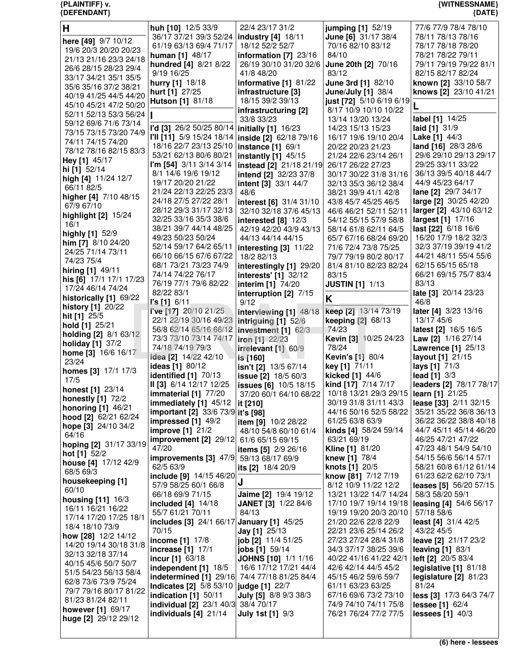## {PLAINTIFF} v.<br>{DEFENDANT}

{WITNESSNAME}<br>{DATE}

| H                                               | huh [10] 12/5 33/9                              | 22/4 23/17 31/2                               | jumping [1] 52/19                                             | 77/6 77/9 78/4 78/10                      |
|-------------------------------------------------|-------------------------------------------------|-----------------------------------------------|---------------------------------------------------------------|-------------------------------------------|
|                                                 | 36/17 37/21 39/3 52/24                          | <b>industry [4] 18/11</b>                     | June [6] 31/17 38/4                                           | 78/11 78/13 78/16                         |
| here [49] 9/7 10/12                             | 61/19 63/13 69/4 71/17                          | 18/12 52/2 52/7                               | 70/16 82/10 83/12                                             | 78/17 78/18 78/20                         |
| 19/6 20/3 20/20 20/23<br>21/13 21/16 23/3 24/18 | human [1] 48/17                                 | information $[7]$ 23/16                       | 84/10                                                         | 78/21 78/22 79/11                         |
| 26/6 28/15 28/23 29/4                           | hundred [4] 8/21 8/22                           | 26/19 30/10 31/20 32/6                        | June 20th [2] 70/16                                           | 79/11 79/19 79/22 81/1                    |
| 33/17 34/21 35/1 35/5                           | 9/19 16/25                                      | 41/8 48/20                                    | 83/12                                                         | 82/15 82/17 82/24                         |
| 35/6 35/16 37/2 38/21                           | hurry [1] 18/18                                 | informative [1] 81/22                         | June 3rd [1] 82/10                                            | known [2] 33/10 58/7                      |
| 40/19 41/25 44/5 44/20                          | hurt [1] 27/25                                  | infrastructure [3]                            | <b>June/July [1] 38/4</b>                                     | knows [2] 23/10 41/21                     |
| 45/10 45/21 47/2 50/20                          | Hutson [1] 81/18                                | 18/15 39/2 39/13                              | just [72] 5/10 6/19 6/19                                      |                                           |
| 52/11 52/13 53/3 56/24                          |                                                 | infrastructuring [2]                          | 8/17 10/9 10/10 10/22                                         |                                           |
| 59/12 69/6 71/6 73/14                           |                                                 | 33/8 33/23                                    | 13/14 13/20 13/24                                             | label [1] 14/25                           |
| 73/15 73/15 73/20 74/9                          | l'd [3] 26/2 50/25 80/14                        | initially [1] 16/23                           | 14/23 15/13 15/23                                             | laid $[1]$ 31/9                           |
| 74/11 74/15 74/20                               | I'll [11] 5/9 15/24 18/14                       | <b>inside [2]</b> 62/18 79/16                 | 16/17 19/6 19/10 20/4                                         | Lake [1] 44/3                             |
| 78/12 78/16 82/15 83/3                          | 18/16 22/7 23/13 25/10                          | instance [1] 69/1                             | 20/22 20/23 21/23                                             | land [16] 28/3 28/6                       |
| Hey [1] 45/17                                   | 53/21 62/13 80/6 80/21                          | <b>instantly [1] 45/15</b>                    | 21/24 22/6 23/14 26/1                                         | 29/6 29/10 29/13 29/17                    |
| hi [1] 52/14                                    | I'm [54] 3/11 3/14 3/14                         | instead [2] 21/18 21/19                       | 26/17 26/22 27/23                                             | 29/25 33/11 33/22                         |
| high [4] 11/24 12/7                             | 8/1 14/6 19/6 19/12<br>19/17 20/20 21/22        | intend [2] 32/23 37/8<br>intent [3] 33/1 44/7 | 30/17 30/22 31/8 31/16                                        | 36/13 39/5 40/18 44/7<br>44/9 45/23 64/17 |
| 66/11 82/5                                      | 21/24 22/13 22/25 23/3                          | 48/6                                          | 32/13 35/3 36/12 38/4<br>38/21 39/9 41/1 42/8                 | lane [2] 29/7 34/17                       |
| higher [4] 7/10 48/15                           | 24/18 27/5 27/22 28/1                           | interest [6] 31/4 31/10                       | 43/8 45/7 45/25 46/5                                          | large [2] 30/25 42/20                     |
| 67/9 67/10                                      | 28/12 29/3 31/17 32/13                          | 32/10 32/18 37/6 45/13                        | 46/6 46/21 52/11 52/11                                        | larger [2] 43/10 63/12                    |
| highlight [2] 15/24                             | 32/25 33/16 35/3 38/6                           | interested $[8]$ 12/3                         | 54/12 55/15 57/9 58/8                                         | largest [1] 17/16                         |
| 16/1                                            | 38/21 39/7 44/14 48/25                          | 42/19 42/20 43/9 43/13                        | 58/14 61/8 62/11 64/5                                         | last [22] 6/18 16/6                       |
| highly [1] 52/9                                 | 49/23 50/23 50/24                               | 44/13 44/14 44/15                             | 65/7 67/16 68/24 69/20                                        | 16/20 17/9 18/2 32/3                      |
| him [7] 8/10 24/20                              | 52/14 59/17 64/2 65/11                          | interesting $[3]$ 11/22                       | 71/6 72/4 73/8 75/25                                          | 32/3 37/19 39/19 41/2                     |
| 24/25 71/14 73/11<br>74/23 75/4                 | 66/10 66/15 67/6 67/22                          | 18/2 82/13                                    | 79/7 79/19 80/2 80/17                                         | 44/21 48/11 55/4 55/6                     |
|                                                 | 68/1 73/21 73/23 74/9                           | interestingly [1] 29/20                       | 81/4 81/10 82/23 82/24                                        | 62/15 65/15 65/18                         |
| hiring [1] 49/11<br>his [6] 17/1 17/1 17/23     | 74/14 74/22 76/17                               | <b>interests'</b> [1] 32/12                   | 83/15                                                         | 66/21 69/15 75/7 83/4                     |
| 17/24 46/14 74/24                               | 76/19 77/1 79/6 82/22                           | interim [1] 74/20                             | <b>JUSTIN [1] 1/13</b>                                        | 83/13                                     |
| historically [1] 69/22                          | 82/22 83/1                                      | interruption [2] 7/15                         | K                                                             | late [3] 20/14 23/23                      |
| <b>history</b> [1] 20/22                        | $\Gamma s$ [1] 6/11                             | 9/12                                          |                                                               | 46/8                                      |
| hit [1] 25/5                                    | <b>i've</b> [17] 20/10 21/25                    | interviewing [1] 48/18                        | keep [2] 13/14 73/19                                          | later [4] 3/23 13/16                      |
| hold [1] 25/21                                  | 22/1 22/19 30/16 49/23                          | intriguing [1] 52/6                           | keeping [2] 68/13                                             | 13/17 45/6                                |
| holding [2] 8/1 63/12                           | 56/8 62/14 65/16 66/12                          | investment [1] 62/3                           | 74/23                                                         | latest [2] 16/5 16/5                      |
| holiday [1] 37/2                                | 73/3 73/10 73/14 74/17<br>74/18 74/19 79/3      | iron [1] 22/23                                | Kevin [3] 10/25 24/23<br>78/24                                | Law [2] 1/16 27/14                        |
| home [3] 16/6 16/17                             | idea [2] 14/22 42/10                            | irrelevant [1] 60/9                           | Kevin's [1] 80/4                                              | Lawrence [1] 25/13<br>layout [1] 21/15    |
| 23/24                                           | ideas [1] 80/12                                 | is [160]<br>isn't [2] 13/5 67/14              | key [1] 71/11                                                 | lays [1] 71/3                             |
| homes [3] 17/1 17/3                             | identified [1] 70/13                            | <b>issue [2]</b> 18/5 60/3                    | kicked [1] 44/6                                               | lead $[1]$ 3/3                            |
| 17/5                                            | II [3] 6/14 12/17 12/25                         | <b>issues [6]</b> 10/5 18/15                  | kind [17] 7/14 7/17                                           | leaders [2] 78/17 78/17                   |
| <b>honest</b> [1] 23/14                         | immaterial [1] 77/20                            |                                               | 37/20 60/1 64/10 68/22 10/18 13/21 29/3 29/15 learn [1] 21/25 |                                           |
| <b>honestly [1] 72/2</b>                        | immediately $[1]$ 45/12                         | it $[210]$                                    | 30/19 31/8 31/11 43/3                                         | lease [33] 2/11 32/15                     |
| <b>honoring</b> [1] 46/21                       | important [2] 33/6 73/9 it's [98]               |                                               | 44/16 50/16 52/5 58/22                                        | 35/21 35/22 36/8 36/13                    |
| hood [2] 62/21 62/24                            | impressed $[1]$ 49/2                            | item [9] 10/2 28/22                           | 61/25 63/8 63/9                                               | 36/22 36/22 38/8 40/18                    |
| hope [3] 24/10 34/2                             | improve $[1]$ 21/2                              | 48/10 54/8 60/10 61/4                         | kinds [4] 58/24 59/14                                         | 44/7 45/11 45/14 46/20                    |
| 64/16<br>hoping [2] 31/17 33/19                 | improvement [2] 29/12 61/6 65/15 69/15          |                                               | 63/21 69/19                                                   | 46/25 47/21 47/22                         |
| hot $[1]$ 52/2                                  | 47/20                                           | items [5] 2/9 26/16                           | <b>Kline [1] 81/20</b>                                        | 47/23 48/1 54/9 54/10                     |
| house $[4]$ 17/12 42/9                          | improvements [3] 47/9 59/13 68/17 69/9          |                                               | <b>knew [1] 78/4</b>                                          | 54/15 56/6 56/14 57/1                     |
| 68/5 69/3                                       | 62/5 63/9                                       | <b>its [2]</b> 18/4 20/9                      | <b>knots [1] 20/5</b>                                         | 58/21 60/8 61/12 61/14                    |
| housekeeping [1]                                | include [9] 14/15 46/20<br>57/9 58/25 60/1 66/8 | J                                             | know [81] 7/12 7/19                                           | 61/23 62/2 62/10 73/1                     |
| 60/10                                           | 66/18 69/9 71/15                                | Jaime [2] 19/4 19/12                          | 8/12 10/9 11/22 12/2<br>13/21 13/22 14/7 14/24                | leases [5] 56/20 57/15<br>58/3 58/20 59/1 |
| housing [11] 16/3                               | included $[4]$ 14/18                            | JANET [3] 1/22 84/6                           | 17/10 19/7 19/14 19/18                                        | leasing [4] 54/6 56/17                    |
| 16/11 16/21 16/22                               | 55/7 61/21 70/11                                | 84/13                                         | 19/19 19/20 20/3 20/10                                        | 57/18 58/6                                |
| 17/14 17/20 17/25 18/1                          | includes [3] 24/1 66/17 January [1] 45/25       |                                               | 21/20 22/6 22/8 22/9                                          | least [4] 31/4 42/5                       |
| 18/4 18/10 73/9                                 | 70/15                                           | <b>Jay [1] 25/13</b>                          | 22/21 23/6 25/14 26/2                                         | 43/22 45/5                                |
| how [28] 12/2 14/12                             | income [1] 17/8                                 | job [2] 11/4 51/25                            | 27/23 27/24 28/4 31/8                                         | leave [2] 21/17 23/2                      |
| 14/20 19/14 30/18 31/8                          | <b>increase</b> [1] 17/1                        | <b>jobs</b> [1] 59/14                         | 34/3 37/17 38/25 39/6                                         | leaving $[1]$ 83/1                        |
| 32/13 32/18 37/14                               | <b>incur</b> [1] $63/18$                        | <b>JOHNS [10]</b> 1/1 1/16                    | 40/22 41/16 41/22 42/1                                        | <b>left</b> [2] $20/583/4$                |
| 40/15 45/6 50/7 50/7                            | independent [1] 18/5                            | 16/6 17/12 17/21 44/4                         | 42/6 42/14 44/5 45/2                                          | legislative [1] 81/18                     |
| 51/5 54/23 56/13 58/4<br>62/8 73/6 73/9 75/24   | indetermined [1] 29/16 74/4 77/18 81/25 84/4    |                                               | 45/15 46/2 59/6 59/7                                          | legislature $[2]$ 81/23                   |
| 79/7 79/16 80/17 81/22                          | Indicates [2] 5/8 53/10 judge [1] 22/7          |                                               | 61/11 63/23 63/25                                             | 81/24                                     |
| 81/23 81/24 82/11                               | <b>indication</b> [1] 50/11                     | July [5] 8/8 9/3 38/3                         | 67/16 69/6 73/2 73/10                                         | less [3] 17/3 64/3 74/7                   |
| however [1] 69/17                               | individual [2] 23/1 40/3 38/4 70/17             |                                               | 74/9 74/10 74/11 75/8                                         | <b>lessee</b> $[1] 62/4$                  |
| huge [2] 29/12 29/12                            | individuals $[4]$ 21/14                         | <b>July 1st [1] 9/3</b>                       | 76/21 76/24 77/2 77/5                                         | lessees $[1]$ 40/3                        |
|                                                 |                                                 |                                               |                                                               |                                           |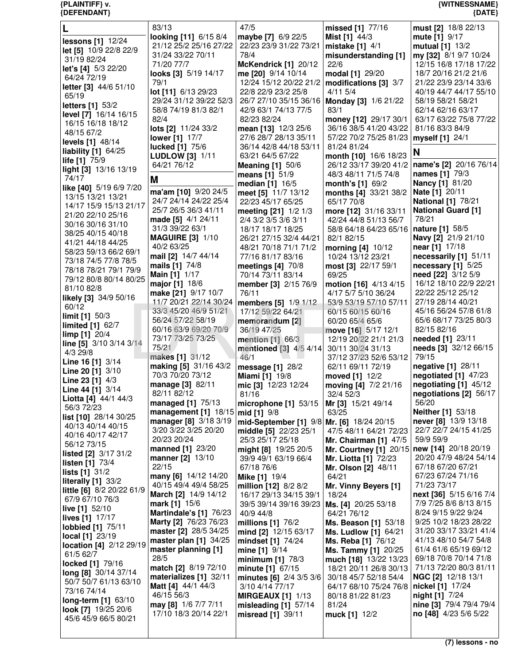| {DEFENDANT}                                 |                                                 |                                              |                                                   | ${$ (DATE)                                      |
|---------------------------------------------|-------------------------------------------------|----------------------------------------------|---------------------------------------------------|-------------------------------------------------|
|                                             | 83/13                                           | 47/5                                         | missed [1] 77/16                                  | must [2] 18/8 22/13                             |
|                                             | looking [11] 6/15 8/4                           | maybe [7] 6/9 22/5                           | Mist [1] 44/3                                     | mute $[1]$ 9/17                                 |
| lessons [1] 12/24                           | 21/12 25/2 25/16 27/22                          | 22/23 23/9 31/22 73/21                       | mistake $[1]$ 4/1                                 | mutual [1] 13/2                                 |
| let [5] 10/9 22/8 22/9                      | 31/24 33/22 70/11                               | 78/4                                         | misunderstanding [1]                              | my [32] 8/1 9/7 10/24                           |
| 31/19 82/24                                 | 71/20 77/7                                      | McKendrick [1] 20/12                         | 22/6                                              | 12/15 16/8 17/18 17/22                          |
| let's [4] 5/3 22/20                         | looks [3] 5/19 14/17                            | me [20] 9/14 10/14                           | modal [1] 29/20                                   | 18/7 20/16 21/2 21/6                            |
| 64/24 72/19                                 | 79/1                                            | 12/24 15/12 20/22 21/2                       | modifications [3] 3/7                             | 21/22 23/9 23/14 33/6                           |
| letter [3] 44/6 51/10<br>65/19              | lot [11] 6/13 29/23                             | 22/8 22/9 23/2 25/8                          | $4/11$ 5/4                                        | 40/19 44/7 44/17 55/10                          |
| <b>letters [1] 53/2</b>                     | 29/24 31/12 39/22 52/3                          | 26/7 27/10 35/15 36/16                       | <b>Monday [3] 1/6 21/22</b>                       | 58/19 58/21 58/21                               |
| level [7] 16/14 16/15                       | 58/8 74/19 81/3 82/1                            | 42/9 63/1 74/13 77/5                         | 83/1                                              | 62/14 62/16 63/17                               |
| 16/15 16/18 18/12                           | 82/4                                            | 82/23 82/24                                  | money [12] 29/17 30/1                             | 63/17 63/22 75/8 77/22                          |
| 48/15 67/2                                  | lots [2] 11/24 33/2                             | mean [13] 12/3 25/6                          | 36/16 38/5 41/20 43/22                            | 81/16 83/3 84/9                                 |
| levels [1] 48/14                            | <b>lower</b> [1] 17/7                           | 27/6 28/7 28/13 35/11                        | 57/22 70/2 75/25 81/23                            | myself [1] 24/1                                 |
| liability $[1]$ 64/25                       | <b>lucked</b> [1] 75/6                          | 36/14 42/8 44/18 53/11                       | 81/24 81/24                                       | N                                               |
| life [1] 75/9                               | <b>LUDLOW</b> [3] 1/11                          | 63/21 64/5 67/22                             | month [10] 16/6 18/23                             |                                                 |
| light [3] 13/16 13/19                       | 64/21 76/12                                     | <b>Meaning [1] 50/6</b>                      | 26/12 33/17 39/20 41/2                            | name's [2] 20/16 76/14                          |
| 74/17                                       | M                                               | means [1] 51/9                               | 48/3 48/11 71/5 74/8                              | names [1] 79/3                                  |
| like [40] 5/19 6/9 7/20                     | ma'am [10] 9/20 24/5                            | median [1] 16/5                              | month's [1] 69/2                                  | <b>Nancy</b> [1] 81/20                          |
| 13/15 13/21 13/21                           | 24/7 24/14 24/22 25/4                           | meet [5] 11/7 13/12                          | months [4] 33/21 38/2<br>65/17 70/8               | Nate [1] 20/11<br><b>National [1] 78/21</b>     |
| 14/17 15/9 15/13 21/17                      | 25/7 26/5 36/3 41/11                            | 22/23 45/17 65/25                            |                                                   | <b>National Guard [1]</b>                       |
| 21/20 22/10 25/16                           | made [5] 4/1 24/11                              | meeting [21] 1/2 1/3<br>2/4 3/2 3/5 3/6 3/11 | more [12] 31/16 33/11<br>42/24 44/8 51/13 56/7    | 78/21                                           |
| 30/16 30/16 31/10                           | 31/3 39/22 63/1                                 | 18/17 18/17 18/25                            | 58/8 64/18 64/23 65/16                            | <b>nature</b> [1] 58/5                          |
| 38/25 40/15 40/18                           | <b>MAGUIRE [3] 1/10</b>                         | 26/21 27/15 32/4 44/21                       | 82/1 82/15                                        | Navy [2] 21/9 21/10                             |
| 41/21 44/18 44/25                           | 40/2 63/25                                      | 48/21 70/18 71/1 71/2                        | morning [4] 10/12                                 | near [1] 17/18                                  |
| 58/23 59/13 66/2 69/1                       | mail [2] 14/7 44/14                             | 77/16 81/17 83/16                            | 10/24 13/12 23/21                                 | necessarily [1] 51/11                           |
| 73/18 74/5 77/8 78/5                        | mails [1] 74/8                                  | meetings [4] 70/8                            | most [3] 22/17 59/1                               | necessary [1] 5/25                              |
| 78/18 78/21 79/1 79/9                       | <b>Main [1] 1/17</b>                            | 70/14 73/11 83/14                            | 69/25                                             | need [22] 3/12 5/9                              |
| 79/12 80/8 80/14 80/25                      | major [1] 18/6                                  | member [3] 2/15 76/9                         | motion [16] 4/13 4/15                             | 16/12 18/10 22/9 22/21                          |
| 81/10 82/8                                  | make [21] 9/17 10/7                             | 76/11                                        | 4/17 5/7 5/10 36/24                               | 22/22 25/12 25/12                               |
| likely [3] 34/9 50/16<br>60/12              | 11/7 20/21 22/14 30/24                          | members [5] 1/9 1/12                         | 53/9 53/19 57/10 57/11                            | 27/19 28/14 40/21                               |
| limit $[1]$ 50/3                            | 33/3 45/20 46/9 51/21                           | 17/12 59/22 64/21                            | 60/15 60/15 60/16                                 | 45/16 56/24 57/8 61/8                           |
| limited [1] 62/7                            | 56/24 57/22 58/19                               | memorandum [2]                               | 60/20 65/4 65/6                                   | 65/6 68/17 73/25 80/3                           |
| $\lim p [1] 20/4$                           | 60/16 63/9 69/20 70/9                           | 36/19 47/25                                  | move [16] 5/17 12/1                               | 82/15 82/16                                     |
| line [5] 3/10 3/14 3/14                     | 73/17 73/25 73/25                               | mention $[1]$ 66/3                           | 12/19 20/22 21/1 21/3                             | needed [1] 23/11                                |
| 4/3 29/8                                    | 75/21                                           | mentioned [3] 4/5 4/14                       | 30/11 30/24 31/13                                 | needs [3] 32/12 66/15                           |
| Line 16 [1] 3/14                            | makes [1] 31/12                                 | 46/1                                         | 37/12 37/23 52/6 53/12                            | 79/15                                           |
| <b>Line 20 [1]</b> $3/10$                   | making [5] 31/16 43/2<br>70/3 70/20 73/12       | message [1] 28/2                             | 62/11 69/11 72/19                                 | negative [1] 28/11<br>negotiated [1] 47/23      |
| Line 23 [1] 4/3                             |                                                 | <b>Miami</b> [1] 19/8                        | moved [1] 12/2                                    |                                                 |
| <b>Line 44 [1]</b> $3/14$                   | <b>manage [3]</b> 82/11<br>82/11 82/12          | mic [3] 12/23 12/24<br>81/16                 | moving [4] 7/2 21/16<br>32/4 52/3                 | negotiating [1] 45/12<br>negotiations [2] 56/17 |
| Liotta [4] 44/1 44/3                        | managed [1] 75/13                               | microphone [1] 53/15                         | Mr [3] 15/21 49/14                                | 56/20                                           |
| 56/3 72/23                                  | management $[1]$ 18/15                          | mid [1] 9/8                                  | 63/25                                             | Neither [1] 53/18                               |
| list [10] 28/14 30/25                       | manager [8] 3/18 3/19                           | mid-September [1] 9/8 Mr. [6] 18/24 20/15    |                                                   | never [8] 13/9 13/18                            |
| 40/13 40/14 40/15                           | 3/20 3/22 3/25 20/20                            | middle [5] 22/23 25/1                        | 47/5 48/11 64/21 72/23                            | 22/7 22/7 24/15 41/25                           |
| 40/16 40/17 42/17                           | 20/23 20/24                                     | 25/3 25/17 25/18                             | Mr. Chairman [1] 47/5                             | 59/9 59/9                                       |
| 56/12 73/15<br><b>listed [2]</b> 3/17 31/2  | manned [1] 23/20                                | might [8] 19/25 20/5                         | Mr. Courtney [1] 20/15                            | new [14] 20/18 20/19                            |
| listen [1] 73/4                             | manner [2] 13/10                                | 39/9 49/1 63/19 66/4                         | Mr. Liotta [1] 72/23                              | 20/20 47/9 48/24 54/14                          |
| lists [1] 31/2                              | 22/15                                           | 67/18 76/6                                   | Mr. Olson [2] 48/11                               | 67/18 67/20 67/21                               |
| literally $[1]$ 33/2                        | many [6] 14/12 14/20                            | <b>Mike [1] 19/4</b>                         | 64/21                                             | 67/23 67/24 71/16                               |
| little [6] 8/2 20/22 61/9                   | 40/15 49/4 49/4 58/25                           | million [12] 8/2 8/2                         | Mr. Vinny Beyers [1]                              | 71/23 73/17                                     |
| 67/9 67/10 76/3                             | March [2] 14/9 14/12                            | 16/17 29/13 34/15 39/1                       | 18/24                                             | next [36] 5/15 6/16 7/4                         |
| live [1] 52/10                              | mark [1] 15/6                                   | 39/5 39/14 39/16 39/23                       | Ms. [4] 20/25 53/18                               | 7/9 7/25 8/6 8/13 8/15                          |
| lives [1] 17/17                             | Martindale's [1] 76/23<br>Marty [2] 76/23 76/23 | 40/9 44/8                                    | 64/21 76/12                                       | 8/24 9/15 9/22 9/24<br>9/25 10/2 18/23 28/22    |
| lobbied [1] 75/11                           | master [2] 28/5 34/25                           | millions [1] 76/2                            | Ms. Beason [1] 53/18                              | 31/20 33/17 33/21 41/4                          |
| local [1] 23/19                             | master plan $[1]$ 34/25                         | mind [2] 12/15 63/17<br>mindset [1] 74/24    | <b>Ms. Ludlow [1] 64/21</b><br>Ms. Reba [1] 76/12 | 41/13 48/10 54/7 54/8                           |
| location [4] 2/12 29/19                     | master planning [1]                             | mine [1] 9/14                                | Ms. Tammy [1] 20/25                               | 61/4 61/6 65/19 69/12                           |
| 61/5 62/7                                   | 28/5                                            | minimum $[1]$ 78/3                           | much [18] 13/22 13/23                             | 69/18 70/8 70/14 71/8                           |
| locked [1] 79/16                            | match [2] 8/19 72/10                            | minute [1] 67/15                             | 18/21 20/11 26/8 30/13                            | 71/13 72/20 80/3 81/11                          |
| long [8] 30/14 37/14                        | materializes $[1]$ 32/11                        | minutes [6] 2/4 3/5 3/6                      | 30/18 45/7 52/18 54/4                             | NGC [2] 12/18 13/1                              |
| 50/7 50/7 61/13 63/10                       | <b>Matt</b> [4] $44/1$ $44/3$                   | 3/10 4/14 77/17                              | 64/17 68/10 75/24 76/8                            | nickel [1] 17/24                                |
| 73/16 74/14                                 | 46/15 56/3                                      | <b>MIRGEAUX [1] 1/13</b>                     | 80/18 81/22 81/23                                 | night [1] 7/24                                  |
| long-term [1] 63/10                         | may [8] 1/6 7/7 7/11                            | misleading $[1]$ 57/14                       | 81/24                                             | nine [3] 79/4 79/4 79/4                         |
| look [7] 19/25 20/6<br>45/6 45/9 66/5 80/21 | 17/10 18/3 20/14 22/1                           | misread [1] 39/11                            | muck [1] 12/2                                     | no [48] 4/23 5/6 5/22                           |
|                                             |                                                 |                                              |                                                   |                                                 |

**{PLAINTIFF} v. {WITNESSNAME}**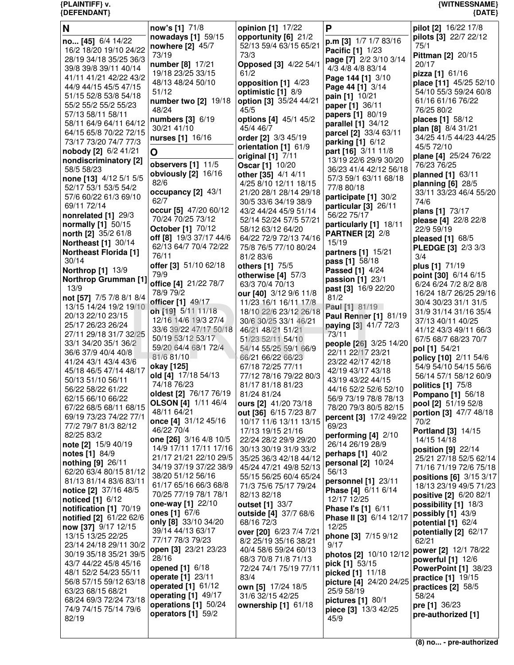| N                                                          | now's [1] 71/8                                       | opinion [1] 17/22                               | P                                           | pilot [2] 16/22 17/8                            |
|------------------------------------------------------------|------------------------------------------------------|-------------------------------------------------|---------------------------------------------|-------------------------------------------------|
| no [45] 6/4 14/22                                          | nowadays [1] 59/15                                   | opportunity [6] 21/2                            | p.m [3] 1/7 1/7 83/16                       | pilots [3] 22/7 22/12                           |
| 16/2 18/20 19/10 24/22                                     | nowhere [2] 45/7                                     | 52/13 59/4 63/15 65/21                          | <b>Pacific [1] 1/23</b>                     | 75/1                                            |
| 28/19 34/18 35/25 36/3                                     | 73/19                                                | 73/3                                            | page [7] 2/2 3/10 3/14                      | <b>Pittman [2] 20/15</b>                        |
| 39/8 39/8 39/11 40/14                                      | number [8] 17/21<br>19/18 23/25 33/15                | Opposed [3] 4/22 54/1<br>61/2                   | 4/3 4/8 4/8 83/14                           | 20/17                                           |
| 41/11 41/21 42/22 43/2                                     | 48/13 48/24 50/10                                    | opposition [1] 4/23                             | Page 144 [1] 3/10                           | pizza [1] 61/16<br>place [11] 45/25 52/10       |
| 44/9 44/15 45/5 47/15                                      | 51/12                                                | optimistic [1] 8/9                              | Page 44 [1] 3/14                            | 54/10 55/3 59/24 60/8                           |
| 51/15 52/8 53/8 54/18                                      | number two [2] 19/18                                 | option [3] 35/24 44/21                          | pain [1] 10/21                              | 61/16 61/16 76/22                               |
| 55/2 55/2 55/2 55/23                                       | 48/24                                                | 45/5                                            | paper [1] 36/11                             | 76/25 80/2                                      |
| 57/13 58/11 58/11                                          | numbers [3] 6/19                                     | options [4] 45/1 45/2                           | papers [1] 80/19                            | places [1] 58/12                                |
| 58/11 64/9 64/11 64/12<br>64/15 65/8 70/22 72/15           | 30/21 41/10                                          | 45/4 46/7                                       | parallel [1] 34/12<br>parcel [2] 33/4 63/11 | plan [8] 8/4 31/21                              |
| 73/17 73/20 74/7 77/3                                      | nurses [1] 16/16                                     | order [2] 3/3 45/19                             | parking [1] 6/12                            | 34/25 41/5 44/23 44/25                          |
| nobody [2] 6/2 41/21                                       | Ο                                                    | orientation [1] 61/9                            | part [16] 3/11 11/8                         | 45/5 72/10                                      |
| nondiscriminatory [2]                                      |                                                      | original [1] 7/11                               | 13/19 22/6 29/9 30/20                       | plane [4] 25/24 76/22                           |
| 58/5 58/23                                                 | observers [1] 11/5                                   | <b>Oscar</b> [1] 10/20                          | 36/23 41/4 42/12 56/18                      | 76/23 76/25                                     |
| none [13] 4/12 5/1 5/5                                     | obviously [2] 16/16<br>82/6                          | other [35] 4/1 4/11                             | 57/3 59/1 63/11 68/18                       | planned [1] 63/11                               |
| 52/17 53/1 53/5 54/2                                       | occupancy [2] 43/1                                   | 4/25 8/10 12/11 18/15<br>21/20 28/1 28/14 29/18 | 77/8 80/18                                  | planning $[6]$ 28/5<br>33/11 33/23 46/4 55/20   |
| 57/6 60/22 61/3 69/10                                      | 62/7                                                 | 30/5 33/6 34/19 38/9                            | participate [1] 30/2                        | 74/6                                            |
| 69/11 72/14                                                | occur [5] 47/20 60/12                                | 43/2 44/24 45/9 51/14                           | particular [3] 26/11                        | plans [1] 73/17                                 |
| nonrelated [1] 29/3                                        | 70/24 70/25 73/12                                    | 52/14 52/24 57/5 57/21                          | 56/22 75/17                                 | please [4] 22/8 22/8                            |
| normally [1] 50/15                                         | October [1] 70/12                                    | 58/12 63/12 64/20                               | particularly [1] 18/11                      | 22/9 59/19                                      |
| north [2] 35/2 61/8                                        | off [8] 19/3 37/17 44/6                              | 64/22 72/9 72/13 74/16                          | <b>PARTNER [2] 2/8</b>                      | pleased [1] 68/5                                |
| <b>Northeast [1] 30/14</b><br><b>Northeast Florida [1]</b> | 62/13 64/7 70/4 72/22                                | 75/8 76/5 77/10 80/24                           | 15/19<br>partners [1] 15/21                 | PLEDGE [3] 2/3 3/3                              |
| 30/14                                                      | 76/11                                                | 81/2 83/6                                       | <b>pass</b> [1] 58/18                       | 3/4                                             |
| <b>Northrop [1] 13/9</b>                                   | offer [3] 51/10 62/18                                | others [1] 75/5                                 | <b>Passed [1] 4/24</b>                      | plus [1] 71/19                                  |
| <b>Northrop Grumman [1]</b>                                | 79/9                                                 | otherwise $[4]$ 57/3                            | passion [1] 23/1                            | point [30] 6/14 6/15                            |
| 13/9                                                       | office [4] 21/22 78/7<br>78/9 79/2                   | 63/3 70/4 70/13                                 | past [3] 16/9 22/20                         | 6/24 6/24 7/2 8/2 8/8                           |
| not [57] 7/5 7/8 8/1 8/4                                   | officer [1] 49/17                                    | our [40] 3/12 9/6 11/8<br>11/23 16/1 16/11 17/8 | 81/2                                        | 16/24 18/7 26/25 29/16<br>30/4 30/23 31/1 31/5  |
| 13/15 14/24 19/2 19/10                                     | oh [19] 5/11 11/18                                   | 18/10 22/6 23/12 26/18                          | Paul [1] 81/19                              | 31/9 31/14 31/16 35/4                           |
| 20/13 22/10 23/15                                          | 12/16 14/6 19/3 27/4                                 | 30/6 30/25 33/1 46/21                           | Paul Renner [1] 81/19                       | 37/13 40/11 40/25                               |
| 25/17 26/23 26/24                                          | 33/6 39/22 47/17 50/18                               | 46/21 48/21 51/21                               | paying [3] 41/7 72/3                        | 41/12 43/3 49/11 66/3                           |
| 27/11 29/18 31/7 32/25                                     | 50/19 53/12 53/17                                    | 51/23 52/11 54/10                               | 73/11                                       | 67/5 68/7 68/23 70/7                            |
| 33/1 34/20 35/1 36/2<br>36/6 37/9 40/4 40/8                | 59/20 64/4 68/1 72/4                                 | 54/14 55/25 59/1 66/9                           | people [26] 3/25 14/20<br>22/11 22/17 23/21 | pol [1] 54/21                                   |
| 41/24 43/1 43/4 43/6                                       | 81/6 81/10                                           | 66/21 66/22 66/23                               | 23/22 42/17 42/18                           | policy [10] 2/11 54/6                           |
| 45/18 46/5 47/14 48/17                                     | okay [125]                                           | 67/18 72/25 77/11                               | 42/19 43/17 43/18                           | 54/9 54/10 54/15 56/6                           |
| 50/13 51/10 56/11                                          | old [4] 17/18 54/13                                  | 77/12 78/16 79/22 80/3                          | 43/19 43/22 44/15                           | 56/14 57/1 58/12 60/9                           |
| 56/22 58/22 61/22                                          | 74/18 76/23                                          | 81/17 81/18 81/23                               | 44/16 52/2 52/6 52/10                       | politics [1] 75/8                               |
| 62/15 66/10 66/22                                          | oldest [2] 76/17 76/19<br><b>OLSON</b> [4] 1/11 46/4 | 81/24 81/24<br>ours [2] 41/20 73/18             | 56/9 73/19 78/8 78/13                       | <b>Pompano</b> [1] 56/18<br>pool [2] 51/19 52/8 |
| 67/22 68/5 68/11 68/15                                     | 48/11 64/21                                          | out [36] 6/15 7/23 8/7                          | 78/20 79/3 80/5 82/15                       | portion [3] 47/7 48/18                          |
| 69/19 73/23 74/22 77/1                                     | once [4] 31/12 45/16                                 | 10/17 11/6 13/11 13/15                          | percent [3] 17/2 49/22                      | 70/2                                            |
| 77/2 79/7 81/3 82/12                                       | 46/22 70/4                                           | 17/13 19/15 21/16                               | 69/23                                       | <b>Portland</b> [3] 14/15                       |
| 82/25 83/2                                                 | one [26] 3/16 4/8 10/5                               | 22/24 28/2 29/9 29/20                           | performing $[4]$ 2/10<br>26/14 26/19 28/9   | 14/15 14/18                                     |
| note [2] 15/9 40/19<br><b>notes</b> [1] 84/9               | 14/9 17/11 17/11 17/16                               | 30/13 30/19 31/9 33/2                           | perhaps [1] 40/2                            | position [9] 22/14                              |
| nothing $[9]$ 26/11                                        | 21/17 21/21 22/10 29/5                               | 35/25 36/3 42/18 44/12                          | personal [2] 10/24                          | 25/21 27/18 52/5 62/14                          |
| 62/20 63/4 80/15 81/12                                     | 34/19 37/19 37/22 38/9                               | 45/24 47/21 49/8 52/13                          | 56/13                                       | 71/16 71/19 72/6 75/18                          |
| 81/13 81/14 83/6 83/11                                     | 38/20 51/12 56/16                                    | 55/15 56/25 60/4 65/24                          | personnel [1] 23/11                         | positions [6] 3/15 3/17                         |
| notice [2] 37/16 48/5                                      | 61/17 65/16 66/3 68/8<br>70/25 77/19 78/1 78/1       | 71/3 75/6 75/17 79/24<br>82/13 82/18            | Phase [4] 6/11 6/14                         | 18/13 23/19 49/5 71/23                          |
| noticed [1] 6/12                                           | one-way [1] 22/10                                    | outset [1] 33/7                                 | 12/17 12/25                                 | positive [2] 6/20 82/1<br>possibility [1] 18/3  |
| notification [1] 70/19                                     | ones [1] $67/6$                                      | outside [4] 37/7 68/6                           | Phase I's [1] 6/11                          | possibly [1] 43/9                               |
| notified [2] 61/22 62/6                                    | only [8] 33/10 34/20                                 | 68/16 72/3                                      | Phase II [3] 6/14 12/17                     | potential [1] 62/4                              |
| now [37] 9/17 12/15                                        | 39/14 44/13 63/17                                    | over [20] 6/23 7/4 7/21                         | 12/25                                       | potentially [2] 62/17                           |
| 13/15 13/25 22/25                                          | 77/17 78/3 79/23                                     | 8/2 25/19 35/16 38/21                           | phone [3] 7/15 9/12<br>9/17                 | 62/21                                           |
| 23/14 24/18 29/11 30/2<br>30/19 35/18 35/21 39/5           | open [3] 23/21 23/23                                 | 40/4 58/6 59/24 60/13                           | photos [2] 10/10 12/12                      | power [2] 12/1 78/22                            |
| 43/7 44/22 45/8 45/16                                      | 28/16                                                | 68/3 70/8 71/8 71/13                            | pick [1] 53/15                              | powerful [1] 12/6                               |
| 48/1 52/2 54/23 55/11                                      | opened [1] 6/18                                      | 72/24 74/1 75/19 77/11                          | picked [1] 11/18                            | <b>PowerPoint [1] 38/23</b>                     |
| 56/8 57/15 59/12 63/18                                     | operate [1] 23/11                                    | 83/4                                            | picture [4] 24/20 24/25                     | practice [1] 19/15                              |
| 63/23 68/15 68/21                                          | operated $[1]$ 61/12<br>operating [1] 49/17          | own [5] 17/24 18/5<br>31/6 32/15 42/25          | 25/9 58/19                                  | practices [2] 58/5<br>58/24                     |
| 68/24 69/3 72/24 73/18                                     | operations [1] 50/24                                 | ownership [1] 61/18                             | pictures $[1]$ 80/1                         | pre [1] 36/23                                   |
| 74/9 74/15 75/14 79/6                                      | operators [1] 59/2                                   |                                                 | piece [3] 13/3 42/25                        | pre-authorized [1]                              |
| 82/19                                                      |                                                      |                                                 | 45/9                                        |                                                 |
|                                                            |                                                      |                                                 |                                             |                                                 |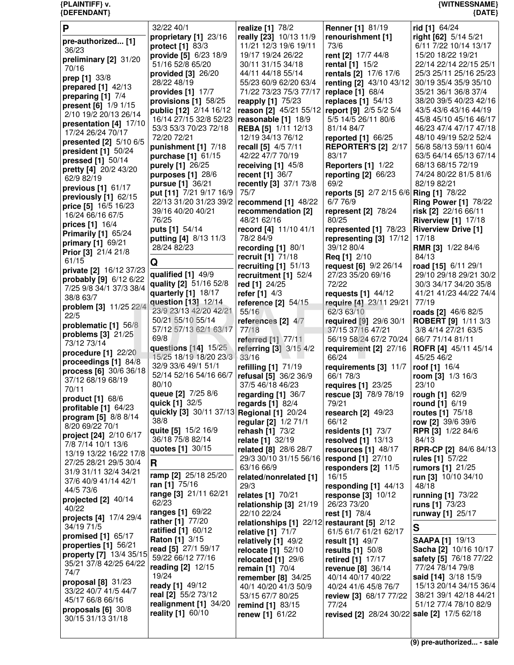| P                              | 32/22 40/1                                   | realize [1] 78/2                              | <b>Renner</b> [1] 81/19                     | rid [1] 64/24                |
|--------------------------------|----------------------------------------------|-----------------------------------------------|---------------------------------------------|------------------------------|
|                                | proprietary [1] 23/16                        | really [23] 10/13 11/9                        | renourishment [1]                           | right [62] 5/14 5/21         |
| pre-authorized [1]             |                                              |                                               |                                             |                              |
| 36/23                          | protect [1] 83/3                             | 11/21 12/3 19/6 19/11                         | 73/6                                        | 6/11 7/22 10/14 13/17        |
| preliminary [2] 31/20          | provide [5] 6/23 18/9                        | 19/17 19/24 26/22                             | rent [2] 17/7 44/8                          | 15/20 18/22 19/21            |
| 70/16                          | 51/16 52/8 65/20                             | 30/11 31/15 34/18                             | rental [1] 15/2                             | 22/14 22/14 22/15 25/1       |
|                                | provided [3] 26/20                           | 44/11 44/18 55/14                             | rentals [2] 17/6 17/6                       | 25/3 25/11 25/16 25/23       |
| prep [1] 33/8                  | 28/22 48/19                                  | 55/23 60/9 62/20 63/4                         | renting [2] 43/10 43/12                     | 30/19 35/4 35/9 35/10        |
| prepared $[1]$ 42/13           |                                              |                                               |                                             |                              |
| preparing [1] 7/4              | provides [1] 17/7                            | 71/22 73/23 75/3 77/17                        | replace [1] 68/4                            | 35/21 36/1 36/8 37/4         |
| present [6] 1/9 1/15           | provisions [1] 58/25                         | reapply [1] 75/23                             | replaces $[1]$ 54/13                        | 38/20 39/5 40/23 42/16       |
|                                | public [12] 2/14 16/12                       | reason [2] 45/21 55/12 report [9] 2/5 5/2 5/4 |                                             | 43/5 43/6 43/16 44/19        |
| 2/10 19/2 20/13 26/14          | 16/14 27/15 32/8 52/23                       | reasonable [1] 18/9                           | 5/5 14/5 26/11 80/6                         | 45/8 45/10 45/16 46/17       |
| presentation [4] 17/10         | 53/3 53/3 70/23 72/18                        | <b>REBA [5] 1/11 12/13</b>                    | 81/14 84/7                                  | 46/23 47/4 47/17 47/18       |
| 17/24 26/24 70/17              | 72/20 72/21                                  | 12/19 34/13 76/12                             |                                             | 48/10 49/19 52/2 52/4        |
| presented [2] 5/10 6/5         |                                              |                                               | reported [1] 66/25                          |                              |
| president [1] 50/24            | punishment [1] 7/18                          | recall [5] 4/5 7/11                           | <b>REPORTER'S [2] 2/17</b>                  | 56/8 58/13 59/11 60/4        |
| pressed [1] 50/14              | purchase [1] 61/15                           | 42/22 47/7 70/19                              | 83/17                                       | 63/5 64/14 65/13 67/14       |
|                                | purely [1] 26/25                             | receiving $[1]$ 45/8                          | <b>Reporters [1] 1/22</b>                   | 68/13 68/15 72/19            |
| pretty [4] 20/2 43/20          | purposes [1] 28/6                            | recent [1] 36/7                               | reporting $[2]$ 66/23                       | 74/24 80/22 81/5 81/6        |
| 62/9 82/19                     | <b>pursue</b> [1] 36/21                      | recently [3] 37/1 73/8                        | 69/2                                        | 82/19 82/21                  |
| previous $[1]$ 61/17           |                                              |                                               |                                             |                              |
| previously [1] 62/15           | put [11] 7/21 9/17 16/9                      | 75/7                                          | reports [5] 2/7 2/15 6/6 Ring [1] 78/22     |                              |
| price [5] 16/5 16/23           | 22/13 31/20 31/23 39/2   recommend [1] 48/22 |                                               | 6/7 76/9                                    | <b>Ring Power [1] 78/22</b>  |
| 16/24 66/16 67/5               | 39/16 40/20 40/21                            | recommendation [2]                            | represent [2] 78/24                         | risk [2] 22/16 66/11         |
|                                | 76/25                                        | 48/21 62/16                                   | 80/25                                       | <b>Riverview [1] 17/18</b>   |
| prices [1] 16/4                | puts [1] 54/14                               | record [4] 11/10 41/1                         | represented [1] 78/23                       | <b>Riverview Drive [1]</b>   |
| <b>Primarily [1] 65/24</b>     | putting [4] 8/13 11/3                        | 78/2 84/9                                     | representing $[3]$ 17/12                    | 17/18                        |
| primary [1] 69/21              |                                              |                                               |                                             |                              |
| Prior [3] 21/4 21/8            | 28/24 82/23                                  | recording [1] 80/1                            | 39/12 80/4                                  | <b>RMR [3] 1/22 84/6</b>     |
| 61/15                          |                                              | recruit [1] 71/18                             | <b>Req [1] 2/10</b>                         | 84/13                        |
|                                | Q                                            | recruiting $[1]$ 51/13                        | request [6] 9/2 26/14                       | road [15] 6/11 29/1          |
| private [2] 16/12 37/23        | qualified [1] 49/9                           | recruitment [1] 52/4                          | 27/23 35/20 69/16                           | 29/10 29/18 29/21 30/2       |
| probably [9] 6/12 6/22         | quality [2] 51/16 52/8                       | red [1] 24/25                                 | 72/22                                       | 30/3 34/17 34/20 35/8        |
| 7/25 9/8 34/1 37/3 38/4        | quarterly [1] 18/17                          | refer $[1]$ 4/3                               | requests $[1]$ 44/12                        | 41/21 41/23 44/22 74/4       |
| 38/8 63/7                      | question [13] 12/14                          |                                               |                                             | 77/19                        |
| problem [3] 11/25 22/4         |                                              | reference [2] 54/15                           | require [4] 23/11 29/21                     |                              |
| 22/5                           | 23/9 23/13 42/20 42/21                       | 55/16                                         | 62/3 63/10                                  | roads [2] 46/6 82/5          |
| problematic [1] 56/8           | 50/21 55/10 55/14                            | references [2] 4/7                            | required [9] 29/6 30/1                      | <b>ROBERT [9] 1/11 3/3</b>   |
|                                | 57/12 57/13 62/1 63/17                       | 77/18                                         | 37/15 37/16 47/21                           | 3/8 4/14 27/21 63/5          |
| problems $[3]$ 21/25           | 69/8                                         | <b>referred</b> [1] 77/11                     | 56/19 58/24 67/2 70/24                      | 66/7 71/14 81/11             |
| 73/12 73/14                    | questions [14] 15/25                         | referring [3] 3/15 4/2                        | requirement [2] 27/16                       | ROFR [4] 45/11 45/14         |
| procedure [1] 22/20            | 15/25 18/19 18/20 23/3                       | 33/16                                         | 66/24                                       | 45/25 46/2                   |
| proceedings [1] 84/8           | 32/9 33/6 49/1 51/1                          |                                               | requirements [3] 11/7                       |                              |
| process [6] 30/6 36/18         | 52/14 52/16 54/16 66/7                       | refilling [1] 71/19                           |                                             | roof [1] 16/4                |
| 37/12 68/19 68/19              |                                              | refusal [5] 36/2 36/9                         | 66/1 78/3                                   | room [3] 1/3 16/3            |
| 70/11                          | 80/10                                        | 37/5 46/18 46/23                              | requires [1] 23/25                          | 23/10                        |
|                                | queue [2] 7/25 8/6                           | regarding [1] 36/7                            | rescue [3] 78/9 78/19                       | rough [1] 62/9               |
| product [1] 68/6               | quick [1] 32/5                               | regards $[1]$ 82/4                            | 79/21                                       | round [1] 6/19               |
| profitable $[1]$ 64/23         | quickly [3] 30/11 37/13 Regional [1] 20/24   |                                               | research $[2]$ 49/23                        | routes [1] 75/18             |
| program [5] 8/8 8/14           | 38/8                                         |                                               | 66/12                                       |                              |
| 8/20 69/22 70/1                |                                              | regular [2] 1/2 71/1                          |                                             | row [2] 39/6 39/6            |
| project [24] 2/10 6/17         | quite [5] 15/2 16/9                          | rehash [1] 73/2                               | residents $[1]$ 73/7                        | <b>RPR [3] 1/22 84/6</b>     |
| 7/8 7/14 10/1 13/6             | 36/18 75/8 82/14                             | <b>relate</b> [1] 32/19                       | resolved $[1]$ 13/13                        | 84/13                        |
| 13/19 13/22 16/22 17/8         | quotes [1] 30/15                             | related [8] 28/6 28/7                         | resources $[1]$ 48/17                       | <b>RPR-CP [2] 84/6 84/13</b> |
|                                |                                              | 29/3 30/10 31/15 56/16                        | respond [1] 27/10                           | rules [1] 57/22              |
| 27/25 28/21 29/5 30/4          | R                                            | 63/16 66/9                                    | responders [2] 11/5                         | rumors [1] 21/25             |
| 31/9 31/11 32/4 34/21          | ramp [2] 25/18 25/20                         | related/nonrelated [1]                        | 16/15                                       | run [3] 10/10 34/10          |
| 37/6 40/9 41/14 42/1           | ran [1] 75/16                                | 29/3                                          | responding $[1]$ 44/13                      | 48/18                        |
| 44/5 73/6                      | range [3] 21/11 62/21                        |                                               |                                             |                              |
| projected $[2]$ 40/14          | 62/23                                        | relates [1] 70/21                             | response $[3]$ 10/12                        | running [1] 73/22            |
| 40/22                          |                                              | relationship [3] 21/19                        | 26/23 73/20                                 | runs [1] 73/23               |
| projects [4] 17/4 29/4         | ranges [1] 69/22                             | 22/10 22/24                                   | rest [1] 78/4                               | runway [1] 25/17             |
| 34/19 71/5                     | rather [1] 77/20                             | relationships [1] 22/12 restaurant [5] 2/12   |                                             |                              |
|                                | <b>ratified</b> [1] 60/12                    | relative [1] 71/7                             | 61/5 61/7 61/21 62/17                       | $\mathbf S$                  |
| promised $[1]$ 65/17           | <b>Raton [1] 3/15</b>                        | relatively $[1]$ 49/2                         | <b>result [1] 49/7</b>                      | <b>SAAPA [1] 19/13</b>       |
| properties [1] 56/21           | read [5] 27/1 59/17                          | relocate [1] 52/10                            | <b>results [1] 50/8</b>                     | Sacha [2] 10/16 10/17        |
| <b>property</b> [7] 13/4 35/15 | 59/22 66/12 77/16                            | relocated [1] 29/6                            | retired [1] 17/17                           | safety [5] 76/18 77/22       |
| 35/21 37/8 42/25 64/22         | <b>reading [2] 12/15</b>                     |                                               |                                             | 77/24 78/14 79/8             |
| 74/7                           | 19/24                                        | remain [1] 70/4                               | revenue [8] 36/14                           |                              |
| proposal $[8]$ 31/23           |                                              | remember [8] 34/25                            | 40/14 40/17 40/22                           | said [14] 3/18 15/9          |
| 33/22 40/7 41/5 44/7           | ready [1] 49/12                              | 40/1 40/20 41/3 50/9                          | 40/24 41/6 45/8 76/7                        | 15/13 20/14 34/15 36/4       |
| 45/17 66/8 66/16               | real [2] 55/2 73/12                          | 53/15 67/7 80/25                              | <b>review [3]</b> 68/17 77/22               | 38/21 39/1 42/18 44/21       |
|                                | realignment [1] 34/20                        | remind [1] 83/15                              | 77/24                                       | 51/12 77/4 78/10 82/9        |
| proposals $[6]$ 30/8           | reality [1] 60/10                            | renew [1] 61/22                               | revised [2] 28/24 30/22 sale [2] 17/5 62/18 |                              |
| 30/15 31/13 31/18              |                                              |                                               |                                             |                              |
|                                |                                              |                                               |                                             |                              |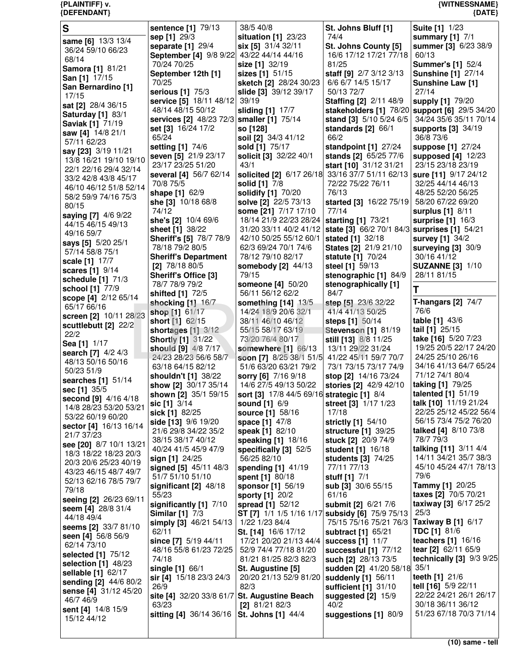| S                                                | sentence [1] 79/13                           | 38/5 40/8                                       | St. Johns Bluff [1]           | <b>Suite [1] 1/23</b>                         |
|--------------------------------------------------|----------------------------------------------|-------------------------------------------------|-------------------------------|-----------------------------------------------|
|                                                  | sep [1] 29/3                                 | situation [1] 23/23                             | 74/4                          | summary [1] 7/1                               |
| same [6] 13/3 13/4                               | separate [1] 29/4                            | six [5] 31/4 32/11                              | St. Johns County [5]          | summer [3] 6/23 38/9                          |
| 36/24 59/10 66/23                                | September [4] 9/8 9/22 43/22 44/14 44/16     |                                                 | 16/6 17/12 17/21 77/18        | 60/13                                         |
| 68/14                                            | 70/24 70/25                                  | size [1] 32/19                                  | 81/25                         | <b>Summer's [1] 52/4</b>                      |
| Samora [1] 81/21                                 | September 12th [1]                           | sizes [1] 51/15                                 | staff [9] 2/7 3/12 3/13       | <b>Sunshine [1] 27/14</b>                     |
| San [1] 17/15                                    | 70/25                                        | sketch [2] 28/24 30/23                          | 6/6 6/7 14/5 15/17            | Sunshine Law [1]                              |
| San Bernardino [1]                               | serious [1] 75/3                             | slide [3] 39/12 39/17                           | 50/13 72/7                    | 27/14                                         |
| 17/15                                            | service [5] 18/11 48/12                      | 39/19                                           | <b>Staffing [2] 2/11 48/9</b> | supply [1] 79/20                              |
| sat [2] 28/4 36/15                               | 48/14 48/15 50/12                            | sliding [1] 17/7                                |                               | stakeholders [1] 78/20 support [6] 29/5 34/20 |
| <b>Saturday [1] 83/1</b>                         | services [2] 48/23 72/3 smaller [1] 75/14    |                                                 | stand [3] 5/10 5/24 6/5       | 34/24 35/6 35/11 70/14                        |
| <b>Saviak [1] 71/19</b>                          |                                              |                                                 |                               |                                               |
| saw [4] 14/8 21/1                                | set [3] 16/24 17/2                           | so [128]                                        | standards $[2]$ 66/1          | supports [3] 34/19<br>36/8 73/6               |
| 57/11 62/23                                      | 65/24                                        | soil [2] 34/3 41/12                             | 66/2                          |                                               |
| say [23] 3/19 11/21                              | setting [1] 74/6                             | sold [1] 75/17                                  | standpoint [1] 27/24          | suppose [1] 27/24                             |
| 13/8 16/21 19/10 19/10                           | seven [5] 21/9 23/17                         | solicit [3] 32/22 40/1                          | stands [2] 65/25 77/6         | supposed [4] 12/23                            |
| 22/1 22/16 29/4 32/14                            | 23/17 23/25 51/20                            | 43/1                                            | start [10] 31/12 31/21        | 23/15 23/18 23/19                             |
| 33/2 42/8 43/8 45/17                             | several [4] 56/7 62/14                       | solicited [2] 6/17 26/18 33/16 37/7 51/11 62/13 |                               | sure [11] 9/17 24/12                          |
| 46/10 46/12 51/8 52/14                           | 70/8 75/5                                    | solid [1] 7/8                                   | 72/22 75/22 76/11             | 32/25 44/14 46/13                             |
| 58/2 59/9 74/16 75/3                             | shape [1] 62/9                               | solidify [1] 70/20                              | 76/13                         | 48/25 52/20 56/25                             |
| 80/15                                            | she [3] 10/18 68/8                           | solve [2] 22/5 73/13                            | started [3] 16/22 75/19       | 58/20 67/22 69/20                             |
| saying [7] 4/6 9/22                              | 74/12                                        | some [21] 7/17 17/10                            | 77/14                         | surplus [1] 8/11                              |
| 44/15 46/15 49/13                                | she's [2] 10/4 69/6                          | 18/14 21/9 22/23 28/24                          | starting [1] 73/21            | surprise [1] 16/3                             |
| 49/16 59/7                                       | sheet [1] 38/22                              | 31/20 33/11 40/2 41/12                          | state [3] 66/2 70/1 84/3      | surprises [1] 54/21                           |
| says [5] 5/20 25/1                               | <b>Sheriff's [5] 78/7 78/9</b>               | 42/10 50/25 55/12 60/1                          | stated [1] 32/18              | survey [1] 34/2                               |
| 57/14 58/8 75/1                                  | 78/18 79/2 80/5                              | 62/3 69/24 70/1 74/6                            | States [2] 21/9 21/10         | surveying $[3]$ 30/9                          |
| scale [1] 17/7                                   | <b>Sheriff's Department</b>                  | 78/12 79/10 82/17                               | statute [1] 70/24             | 30/16 41/12                                   |
| scares [1] 9/14                                  | [2] $78/1880/5$                              | somebody [2] 44/13                              | steel [1] 59/13               | <b>SUZANNE [3] 1/10</b>                       |
| schedule [1] 71/3                                | Sheriff's Office [3]                         | 79/15                                           | stenographic [1] 84/9         | 28/11 81/15                                   |
| school [1] 77/9                                  | 78/7 78/9 79/2                               | someone [4] 50/20                               | stenographically [1]          | т                                             |
| scope [4] 2/12 65/14                             | shifted [1] 72/5                             | 56/11 56/12 62/2                                | 84/7                          |                                               |
| 65/17 66/16                                      | shocking [1] 16/7                            | something [14] 13/5                             | step [5] 23/6 32/22           | T-hangars $[2]$ 74/7                          |
| screen [2] 10/11 28/23                           | shop [1] 61/17                               | 14/24 18/9 20/6 32/1                            | 41/4 41/13 50/25              | 76/6                                          |
| scuttlebutt [2] 22/2                             | short [1] 62/15                              | 38/11 46/10 46/12                               | steps [1] 50/14               | table [1] 43/6                                |
| 22/2                                             | shortages [1] 3/12                           | 55/15 58/17 63/19                               | <b>Stevenson [1] 81/19</b>    | tail [1] 25/15                                |
| Sea [1] 1/17                                     | <b>Shortly [1] 31/22</b>                     | 73/20 76/4 80/17                                | still [13] 8/8 11/25          | take [16] 5/20 7/23                           |
| search [7] 4/2 4/3                               | should [9] 4/8 7/17                          | somewhere [1] 66/13                             | 13/11 29/22 31/24             | 19/25 20/5 22/17 24/20                        |
| 48/13 50/16 50/16                                | 24/23 28/23 56/6 58/7                        | soon [7] 8/25 38/1 51/5                         | 41/22 45/11 59/7 70/7         | 24/25 25/10 26/16                             |
| 50/23 51/9                                       | 63/18 64/15 82/12                            | 51/6 63/20 63/21 79/2                           | 73/1 73/15 73/17 74/9         | 34/16 41/13 64/7 65/24                        |
| searches [1] 51/14                               | shouldn't [1] 38/22                          | sorry [6] 7/16 9/18                             | stop [2] 14/16 73/24          | 71/12 74/1 80/4                               |
| sec [1] 35/5                                     | show [2] 30/17 35/14                         | 14/6 27/5 49/13 50/22                           | stories [2] 42/9 42/10        | taking [1] 79/25                              |
| second [9] 4/16 4/18                             | shown [2] 35/1 59/15                         | sort [3] 17/8 44/5 69/16 strategic [1] 8/4      |                               | talented [1] 51/19                            |
| 14/8 28/23 53/20 53/21                           | sic [1] 3/14                                 | <b>sound [1] 6/9</b>                            | street [3] 1/17 1/23          | talk [10] 11/19 21/24                         |
| 53/22 60/19 60/20                                | sick [1] 82/25                               | source [1] 58/16                                | 17/18                         | 22/25 25/12 45/22 56/4                        |
| sector [4] 16/13 16/14                           | side [13] 9/6 19/20                          | space [1] 47/8                                  | strictly [1] 54/10            | 56/15 73/4 75/2 76/20                         |
| 21/7 37/23                                       | 21/6 29/8 34/22 35/2                         | speak [1] 82/10                                 | structure [1] 39/25           | talked [4] 8/10 73/8                          |
|                                                  | 38/15 38/17 40/12                            | speaking [1] 18/16                              | stuck [2] 20/9 74/9           | 78/7 79/3                                     |
| see [20] 8/7 10/1 13/21<br>18/3 18/22 18/23 20/3 | 40/24 41/5 45/9 47/9                         | specifically [3] 52/5                           | student [1] 16/18             | talking [11] 3/11 4/4                         |
| 20/3 20/6 25/23 40/19                            | sign $[1]$ 24/25                             | 56/25 82/10                                     | <b>students [3] 74/25</b>     | 14/11 34/21 35/7 38/3                         |
| 43/23 46/15 48/7 49/7                            | signed [5] 45/11 48/3                        | spending [1] 41/19                              | 77/11 77/13                   | 45/10 45/24 47/1 78/13                        |
| 52/13 62/16 78/5 79/7                            | 51/7 51/10 51/10                             | spent [1] 80/18                                 | stuff [1] 7/1                 | 79/6                                          |
| 79/18                                            | significant [2] 48/18                        | sponsor [1] 56/19                               | sub [3] 30/6 55/15            | Tammy [1] 20/25                               |
| seeing [2] 26/23 69/11                           | 55/23                                        | sporty [1] 20/2                                 | 61/16                         | taxes [2] 70/5 70/21                          |
|                                                  | significantly [1] 7/10                       | spread [1] 52/12                                | submit [2] 6/21 7/6           | taxiway [3] 6/17 25/2                         |
| seem [4] $28/8$ 31/4<br>44/18 49/4               | <b>Similar [1] 7/3</b>                       | ST [7] 1/1 1/5 1/16 1/17 subsidy [6] 75/9 75/13 |                               | 25/3                                          |
| seems [2] 33/7 81/10                             | simply [3] 46/21 54/13                       | 1/22 1/23 84/4                                  | 75/15 75/16 75/21 76/3        | Taxiway B [1] 6/17                            |
| seen [4] 56/8 56/9                               | 62/11                                        | St. [14] 16/6 17/12                             | subtract [1] 65/21            | <b>TDC [1] 81/6</b>                           |
| 62/14 73/10                                      | since [7] 5/19 44/11                         | 17/21 20/20 21/13 44/4                          | success $[1]$ 11/7            | teachers [1] 16/16                            |
|                                                  | 48/16 55/8 61/23 72/25                       | 52/9 74/4 77/18 81/20                           | successful [1] 77/12          | tear [2] 62/11 65/9                           |
| selected [1] 75/12                               | 74/18                                        | 81/21 81/25 82/3 82/3                           | such [2] 28/13 73/5           | technically $[3]$ $9/3$ $9/25$                |
| selection [1] 48/23<br>sellable [1] 62/17        | single [1] 66/1                              | St. Augustine [5]                               | sudden [2] 41/20 58/18 35/1   |                                               |
| sending [2] 44/6 80/2                            | sir [4] $15/18$ 23/3 24/3                    | 20/20 21/13 52/9 81/20                          | suddenly [1] 56/11            | teeth [1] 21/6                                |
| sense [4] 31/12 45/20                            | 26/9                                         | 82/3                                            | sufficient [1] 31/10          | tell [16] 5/9 22/11                           |
| 46/7 46/9                                        | site [4] 32/20 33/8 61/7 St. Augustine Beach |                                                 | suggested $[2]$ 15/9          | 22/22 24/21 26/1 26/17                        |
| sent [4] 14/8 15/9                               | 63/23                                        | [2] $81/2182/3$                                 | 40/2                          | 30/18 36/11 36/12                             |
| 15/12 44/12                                      | sitting [4] 36/14 36/16                      | <b>St. Johns [1] 44/4</b>                       | suggestions [1] 80/9          | 51/23 67/18 70/3 71/14                        |
|                                                  |                                              |                                                 |                               |                                               |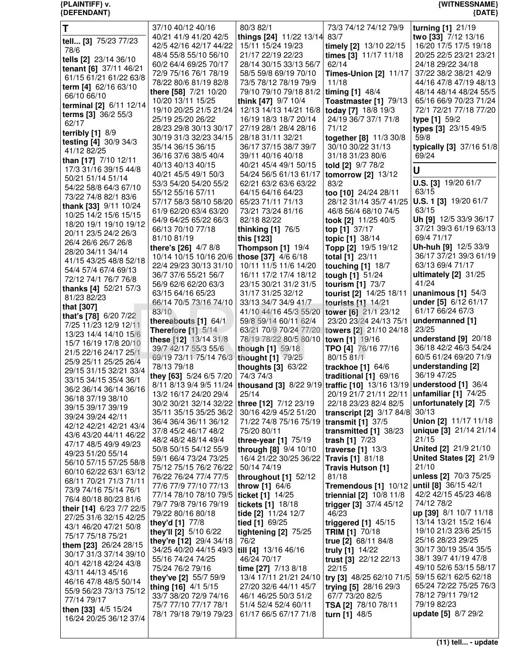## {PLAINTIFF} v.<br>{DEFENDANT}

# {WITNESSNAME}<br>{DATE}

| T                            | 37/10 40/12 40/16                              | 80/3 82/1                    | 73/3 74/12 74/12 79/9                                                                        | turning [1] 21/19          |
|------------------------------|------------------------------------------------|------------------------------|----------------------------------------------------------------------------------------------|----------------------------|
|                              | 40/21 41/9 41/20 42/5                          | things [24] 11/22 13/14 83/7 |                                                                                              | two [33] 7/12 13/16        |
| tell [3] 75/23 77/23         | 42/5 42/16 42/17 44/22                         | 15/11 15/24 19/23            | timely [2] 13/10 22/15                                                                       | 16/20 17/5 17/5 19/18      |
| 78/6                         |                                                | 21/17 22/19 22/23            |                                                                                              |                            |
| tells [2] 23/14 36/10        | 48/4 55/8 55/10 56/10                          |                              | times [3] 11/17 11/18                                                                        | 20/25 22/5 23/21 23/21     |
| tenant [6] 37/11 46/21       | 60/2 64/4 69/25 70/17                          | 28/14 30/15 33/13 56/7       | 62/14                                                                                        | 24/18 29/22 34/18          |
| 61/15 61/21 61/22 63/8       | 72/9 75/16 76/1 78/19                          | 58/5 59/8 69/19 70/10        | <b>Times-Union [2] 11/17</b>                                                                 | 37/22 38/2 38/21 42/9      |
| term [4] 62/16 63/10         | 78/22 80/6 81/19 82/8                          | 73/5 78/12 78/19 79/9        | 11/18                                                                                        | 44/16 47/8 47/19 48/13     |
|                              | there [58] 7/21 10/20                          | 79/10 79/10 79/18 81/2       | timing $[1]$ 48/4                                                                            | 48/14 48/14 48/24 55/5     |
| 66/10 66/10                  | 10/20 13/11 15/25                              | think [47] 9/7 10/4          | Toastmaster [1] 79/13                                                                        | 65/16 66/9 70/23 71/24     |
| terminal [2] 6/11 12/14      | 19/10 20/25 21/5 21/24                         | 12/13 14/13 14/21 16/8       | today [7] 18/8 19/3                                                                          | 72/1 72/21 77/18 77/20     |
| terms [3] 36/2 55/3          |                                                |                              |                                                                                              |                            |
| 62/17                        | 25/19 25/20 26/22                              | 16/19 18/3 18/7 20/14        | 24/19 36/7 37/1 71/8                                                                         | type [1] 59/2              |
| terribly $[1]$ 8/9           | 28/23 29/8 30/13 30/17                         | 27/19 28/1 28/4 28/16        | 71/12                                                                                        | types [3] 23/15 49/5       |
|                              | 30/19 31/3 32/23 34/15                         | 28/18 31/11 32/21            | together [8] 11/3 30/8                                                                       | 59/8                       |
| testing [4] 30/9 34/3        | 35/14 36/15 36/15                              | 36/17 37/15 38/7 39/7        | 30/10 30/22 31/13                                                                            | typically [3] 37/16 51/8   |
| 41/12 82/25                  | 36/16 37/6 38/5 40/4                           | 39/11 40/16 40/18            | 31/18 31/23 80/6                                                                             | 69/24                      |
| than [17] 7/10 12/11         |                                                |                              |                                                                                              |                            |
| 17/3 31/16 39/15 44/8        | 40/13 40/13 40/15                              | 40/21 45/4 49/1 50/15        | told [2] 9/7 78/2                                                                            | U                          |
| 50/21 51/14 51/14            | 40/21 45/5 49/1 50/3                           | 54/24 56/5 61/13 61/17       | tomorrow [2] 13/12                                                                           |                            |
| 54/22 58/8 64/3 67/10        | 53/3 54/20 54/20 55/2                          | 62/21 63/2 63/6 63/22        | 83/2                                                                                         | U.S. [3] 19/20 61/7        |
|                              | 55/12 55/16 57/11                              | 64/15 64/16 64/23            | too [10] 24/24 28/11                                                                         | 63/15                      |
| 73/22 74/8 82/1 83/6         | 57/17 58/3 58/10 58/20                         | 65/23 71/11 71/13            | 28/12 31/14 35/7 41/25                                                                       | U.S. 1 [3] 19/20 61/7      |
| thank [33] 9/11 10/24        | 61/9 62/20 63/4 63/20                          | 73/21 73/24 81/16            | 46/8 56/4 68/10 74/5                                                                         | 63/15                      |
| 10/25 14/2 15/6 15/15        |                                                |                              |                                                                                              | Uh [9] 12/5 33/9 36/17     |
| 18/20 19/1 19/10 19/12       | 64/9 64/25 65/22 66/3                          | 82/18 82/22                  | took [2] 11/25 40/5                                                                          |                            |
| 20/11 23/5 24/2 26/3         | 66/13 70/10 77/18                              | thinking $[1]$ 76/5          | top [1] 37/17                                                                                | 37/21 39/3 61/19 63/13     |
| 26/4 26/6 26/7 26/8          | 81/10 81/19                                    | this [123]                   | topic [1] 38/14                                                                              | 69/4 71/17                 |
|                              | there's [26] 4/7 8/8                           | Thompson $[1]$ 19/4          | Topp [2] 19/5 19/12                                                                          | Uh-huh [9] 12/5 33/9       |
| 28/20 34/11 34/14            | 10/14 10/15 10/16 20/6                         | those [37] 4/6 6/18          | total [1] 23/11                                                                              | 36/17 37/21 39/3 61/19     |
| 41/15 43/25 48/8 52/18       | 22/4 29/23 30/13 31/10                         | 10/11 11/5 11/6 14/20        | touching [1] 18/7                                                                            | 63/13 69/4 71/17           |
| 54/4 57/4 67/4 69/13         | 36/7 37/6 55/21 56/7                           | 16/11 17/2 17/4 18/12        |                                                                                              | ultimately $[2]$ 31/25     |
| 72/12 74/1 76/7 76/8         |                                                |                              | tough [1] 51/24                                                                              | 41/24                      |
| thanks [4] 52/21 57/3        | 56/9 62/6 62/20 63/3                           | 23/15 30/21 31/2 31/5        | tourism [1] 73/7                                                                             |                            |
| 81/23 82/23                  | 63/15 64/16 65/23                              | 31/17 31/25 32/12            | tourist [2] 14/25 18/11                                                                      | unanimous $[1]$ 54/3       |
|                              | 66/14 70/5 73/16 74/10                         | 33/13 34/7 34/9 41/7         | tourists [1] 14/21                                                                           | under [5] 6/12 61/17       |
| that [307]                   | 83/10                                          | 41/10 44/16 45/3 55/20       | tower [6] 21/1 23/12                                                                         | 61/17 66/24 67/3           |
| that's [78] 6/20 7/22        | thereabouts [1] 64/1                           | 59/8 59/14 60/11 62/4        | 23/20 23/24 24/13 75/1                                                                       | undermanned [1]            |
| 7/25 11/23 12/9 12/11        | Therefore $[1]$ 5/14                           | 63/21 70/9 70/24 77/20       | towers [2] 21/10 24/18                                                                       | 23/25                      |
| 13/23 14/4 14/10 15/6        | these [12] 13/14 31/8                          | 78/19 78/22 80/5 80/10       | town [1] 19/16                                                                               | understand $[9]$ 20/18     |
| 15/7 16/19 17/8 20/10        |                                                |                              |                                                                                              |                            |
| 21/5 22/16 24/17 25/1        | 39/7 42/17 55/3 55/6                           | though [1] 59/18             | TPO [4] 76/16 77/16                                                                          | 36/18 42/2 46/3 54/24      |
| 25/9 25/11 25/25 26/4        | 69/19 73/11 75/14 76/3                         | thought [1] 79/25            | 80/15 81/1                                                                                   | 60/5 61/24 69/20 71/9      |
| 29/15 31/15 32/21 33/4       | 78/13 79/18                                    | thoughts $[3]$ 63/22         | trackhoe [1] 64/6                                                                            | understanding [2]          |
|                              | they [63] 5/24 6/5 7/20                        | 74/3 74/3                    | traditional [1] 69/16                                                                        | 36/19 47/25                |
| 33/15 34/15 35/4 36/1        |                                                |                              | 8/11 8/13 9/4 9/5 11/24  thousand [3] 8/22 9/19 traffic [10] 13/16 13/19 understood [1] 36/4 |                            |
| 36/2 36/14 36/14 36/16       | 13/2 16/17 24/20 29/4                          | 25/14                        | 20/19 21/7 21/11 22/11   unfamiliar [1] 74/25                                                |                            |
| 36/18 37/19 38/10            | 30/2 30/21 32/14 32/22   three [12] 7/12 23/19 |                              | 22/18 23/23 82/4 82/5                                                                        | unfortunately [2] 7/5      |
| 39/15 39/17 39/19            |                                                |                              |                                                                                              | 30/13                      |
| 39/24 39/24 42/11            | 35/11 35/15 35/25 36/2                         | 30/16 42/9 45/2 51/20        | transcript $[2]$ 3/17 84/8                                                                   |                            |
| 42/12 42/21 42/21 43/4       | 36/4 36/4 36/11 36/12                          | 71/22 74/8 75/16 75/19       | transmit [1] 37/5                                                                            | Union [2] 11/17 11/18      |
| 43/6 43/20 44/11 46/22       | 37/8 45/2 46/17 48/2                           | 75/20 80/11                  | transmitted [1] 38/23                                                                        | unique [3] 21/14 21/14     |
| 47/17 48/5 49/9 49/23        | 48/2 48/2 48/14 49/4                           | three-year $[1]$ 75/19       | trash $[1]$ 7/23                                                                             | 21/15                      |
|                              | 50/8 50/15 54/12 55/9                          | through [8] 9/4 10/10        | traverse $[1]$ 13/3                                                                          | United [2] 21/9 21/10      |
| 49/23 51/20 55/14            | 59/1 66/4 73/24 73/25                          | 16/4 21/22 30/25 36/22       | <b>Travis [1] 81/18</b>                                                                      | United States [2] 21/9     |
| 56/10 57/15 57/25 58/8       | 75/12 75/15 76/2 76/22                         | 50/14 74/19                  | Travis Hutson [1]                                                                            | 21/10                      |
| 60/10 62/22 63/1 63/12       | 76/22 76/24 77/4 77/5                          | throughout $[1]$ 52/12       | 81/18                                                                                        | unless [2] 70/3 75/25      |
| 68/11 70/21 71/3 71/11       |                                                |                              |                                                                                              | until [8] 36/15 42/1       |
| 73/9 74/16 75/14 76/1        | 77/6 77/9 77/10 77/13                          | throw [1] 64/6               | Tremendous [1] 10/12                                                                         |                            |
| 76/4 80/18 80/23 81/6        | 77/14 78/10 78/10 79/5   ticket [1] 14/25      |                              | triennial [2] 10/8 11/8                                                                      | 42/2 42/15 45/23 46/8      |
| their [14] 6/23 7/7 22/5     | 79/7 79/8 79/16 79/19                          | <b>tickets</b> [1] 18/18     | trigger [3] 37/4 45/12                                                                       | 74/12 78/2                 |
|                              | 79/22 80/16 80/18                              | tide [2] 11/24 12/7          | 46/23                                                                                        | up [39] 8/1 10/7 11/18     |
| 27/25 31/6 32/15 42/25       | they'd [1] 77/8                                | tied [1] 69/25               | triggered $[1]$ 45/15                                                                        | 13/14 13/21 15/2 16/4      |
| 43/1 46/20 47/21 50/8        | they'll [2] 5/10 6/22                          | tightening $[2]$ 75/25       | <b>TRIM [1] 70/18</b>                                                                        | 19/10 21/3 23/6 25/15      |
| 75/17 75/18 75/21            | they're [12] 29/4 34/18                        | 76/2                         | true [2] 68/11 84/8                                                                          | 25/16 28/23 29/25          |
| <b>them [23]</b> 26/24 28/15 |                                                |                              |                                                                                              | 30/17 30/19 35/4 35/5      |
| 30/17 31/3 37/14 39/10       | 34/25 40/20 44/15 49/3                         | till [4] 13/16 46/16         | truly [1] 14/22                                                                              |                            |
| 40/1 42/18 42/24 43/8        | 55/16 74/24 74/25                              | 46/24 70/17                  | trust [3] 22/12 22/13                                                                        | 38/1 39/7 41/19 47/8       |
| 43/11 44/13 45/16            | 75/24 76/2 79/16                               | time [27] 7/13 8/18          | 22/15                                                                                        | 49/10 52/6 53/15 58/17     |
| 46/16 47/8 48/5 50/14        | they've [2] 55/7 59/9                          | 13/4 17/11 21/21 24/10       | try [3] 48/25 62/10 71/5                                                                     | 59/15 62/1 62/5 62/18      |
|                              | thing [16] 4/1 5/15                            | 27/20 32/6 44/11 45/7        | trying [5] 28/16 29/3                                                                        | 65/24 72/22 75/25 76/3     |
| 55/9 56/23 73/13 75/12       | 33/7 38/20 72/9 74/16                          | 46/1 46/25 50/3 51/2         | 67/7 73/20 82/5                                                                              | 78/12 79/11 79/12          |
| 77/14 79/17                  | 75/7 77/10 77/17 78/1                          | 51/4 52/4 52/4 60/11         | TSA [2] 78/10 78/11                                                                          | 79/19 82/23                |
| then [33] 4/5 15/24          | 78/1 79/18 79/19 79/23                         | 61/17 66/5 67/17 71/8        | turn [1] 48/5                                                                                | <b>update [5] 8/7 29/2</b> |
| 16/24 20/25 36/12 37/4       |                                                |                              |                                                                                              |                            |
|                              |                                                |                              |                                                                                              |                            |

 $(11)$  tell... - update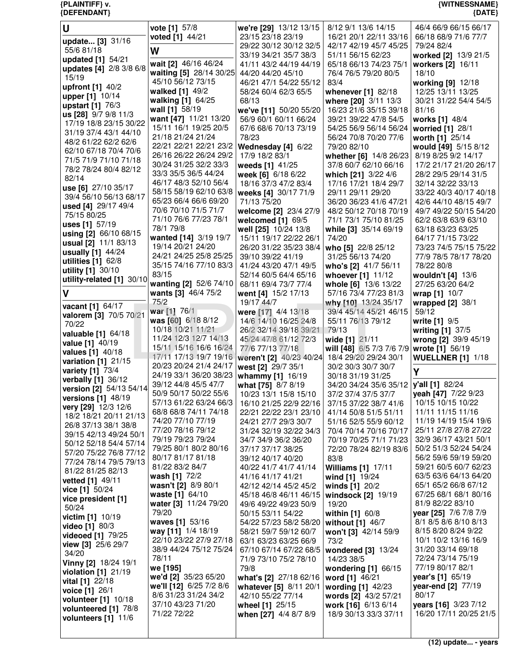| U                                               | vote [1] 57/8                                    | we're [29] 13/12 13/15                                                 | 8/12 9/1 13/6 14/15                              | 46/4 66/9 66/15 66/17                           |
|-------------------------------------------------|--------------------------------------------------|------------------------------------------------------------------------|--------------------------------------------------|-------------------------------------------------|
| update [3] 31/16                                | voted [1] 44/21                                  | 23/15 23/18 23/19                                                      | 16/21 20/1 22/11 33/16                           | 66/18 68/9 71/6 77/7                            |
| 55/6 81/18                                      | W                                                | 29/22 30/12 30/12 32/5<br>33/19 34/21 35/7 38/3                        | 42/17 42/19 45/7 45/25<br>51/11 56/15 62/23      | 79/24 82/4<br>worked [2] 13/9 21/5              |
| updated [1] 54/21                               | wait [2] 46/16 46/24                             | 41/11 43/2 44/19 44/19                                                 | 65/18 66/13 74/23 75/1                           | workers [2] 16/11                               |
| updates [4] 2/8 3/8 6/8<br>15/19                | waiting [5] 28/14 30/25                          | 44/20 44/20 45/10                                                      | 76/4 76/5 79/20 80/5                             | 18/10                                           |
| upfront [1] 40/2                                | 45/10 56/12 73/15                                | 46/21 47/1 54/22 55/12                                                 | 83/4                                             | working [9] 12/18                               |
| upper [1] 10/14                                 | walked [1] 49/2<br>walking [1] 64/25             | 58/24 60/4 62/3 65/5<br>68/13                                          | whenever [1] 82/18                               | 12/25 13/11 13/25<br>30/21 31/22 54/4 54/5      |
| upstart [1] 76/3                                | wall [1] 58/19                                   | we've [11] 50/20 55/20                                                 | where [20] 3/11 13/3<br>16/23 21/6 35/15 39/18   | 81/16                                           |
| us [28] 9/7 9/8 11/3                            | want [47] 11/21 13/20                            | 56/9 60/1 60/11 66/24                                                  | 39/21 39/22 47/8 54/5                            | works [1] 48/4                                  |
| 17/19 18/8 23/15 30/22<br>31/19 37/4 43/1 44/10 | 15/11 16/1 19/25 20/5                            | 67/6 68/6 70/13 73/19                                                  | 54/25 56/9 56/14 56/24                           | worried [1] 28/1                                |
| 48/2 61/22 62/2 62/6                            | 21/18 21/24 21/24                                | 78/23                                                                  | 56/24 70/8 70/20 77/6                            | worth [1] 25/14                                 |
| 62/10 67/18 70/4 70/6                           | 22/21 22/21 22/21 23/2<br>26/16 26/22 26/24 29/2 | Wednesday [4] 6/22<br>17/9 18/2 83/1                                   | 79/20 82/10<br>whether [6] 14/8 26/23            | would [49] 5/15 8/12<br>8/19 8/25 9/2 14/17     |
| 71/5 71/9 71/10 71/18                           | 30/24 31/25 32/2 33/3                            | weeds [1] 41/25                                                        | 37/8 60/7 62/10 66/16                            | 17/2 21/17 21/20 26/17                          |
| 78/2 78/24 80/4 82/12<br>82/14                  | 33/3 35/5 36/5 44/24                             | week [6] 6/18 6/22                                                     | which [21] 3/22 4/6                              | 28/2 29/5 29/14 31/5                            |
| use [6] 27/10 35/17                             | 46/17 48/3 52/10 56/4                            | 18/16 37/3 47/2 83/4                                                   | 17/16 17/21 18/4 29/7                            | 32/14 32/22 33/13                               |
| 39/4 56/10 56/13 68/17                          | 58/15 58/19 62/10 63/8<br>65/23 66/4 66/6 69/20  | weeks [4] 30/17 71/9                                                   | 29/11 29/11 29/20                                | 33/22 40/3 40/17 40/18                          |
| used [4] 29/17 49/4                             | 70/6 70/10 71/5 71/7                             | 71/13 75/20<br>welcome [2] 23/4 27/9                                   | 36/20 36/23 41/6 47/21<br>48/2 50/12 70/18 70/19 | 42/6 44/10 48/15 49/7<br>49/7 49/22 50/15 54/20 |
| 75/15 80/25                                     | 71/10 76/6 77/23 78/1                            | welcomed $[1]$ 69/5                                                    | 71/1 73/1 75/10 81/25                            | 62/2 63/8 63/9 63/10                            |
| uses [1] 57/19<br>using [2] 66/10 68/15         | 78/1 79/8                                        | well [25] 10/24 13/8                                                   | while [3] 35/14 69/19                            | 63/18 63/23 63/25                               |
| usual [2] 11/1 83/13                            | wanted [14] 3/19 19/7                            | 15/11 19/17 22/22 26/1                                                 | 74/20                                            | 64/17 71/15 73/22                               |
| usually [1] 44/24                               | 19/14 20/21 24/20<br>24/21 24/25 25/8 25/25      | 26/20 31/22 35/23 38/4<br>39/10 39/22 41/19                            | who [5] 22/8 25/12<br>31/25 56/13 74/20          | 73/23 74/5 75/15 75/22<br>77/9 78/5 78/17 78/20 |
| utilities $[1]$ 62/8                            | 35/15 74/16 77/10 83/3                           | 41/24 43/20 47/1 49/5                                                  | who's [2] 41/7 56/11                             | 78/22 80/8                                      |
| utility [1] 30/10<br>utility-related [1] 30/10  | 83/15                                            | 52/14 60/5 64/4 65/16                                                  | whoever [1] 11/12                                | wouldn't [4] 13/6                               |
|                                                 | wanting [2] 52/6 74/10                           | 68/11 69/4 73/7 77/4                                                   | whole [6] 13/6 13/22                             | 27/25 63/20 64/2                                |
| $\mathsf{V}$                                    | wants [3] 46/4 75/2<br>75/2                      | went [4] 15/2 17/13                                                    | 57/16 73/4 77/23 81/3                            | wrap [1] 10/7                                   |
| vacant [1] 64/17                                | war [1] 76/1                                     | 19/17 44/7<br>were [17] 4/4 13/18                                      | why [10] 13/24 35/17<br>39/4 45/14 45/21 46/15   | wrapped $[2]$ 38/1<br>59/12                     |
| valorem [3] 70/5 70/21<br>70/22                 | was [60] 6/18 8/12                               | 14/6 14/10 16/25 24/8                                                  | 55/11 76/13 79/12                                | write [1] 9/5                                   |
| <b>valuable [1]</b> 64/18                       | 10/18 10/21 11/21                                | 26/2 32/14 39/18 39/21                                                 | 79/13                                            | writing [1] 37/5                                |
| value [1] 40/19                                 | 11/24 12/3 12/7 14/13<br>15/11 15/16 16/6 16/24  | 45/24 47/8 61/12 72/3<br>77/6 77/13 77/18                              | wide [1] 21/11                                   | wrong [2] 39/9 45/19                            |
| values [1] 40/18                                |                                                  | 17/11 17/13 19/7 19/16   weren't [2] 40/23 40/24 18/4 29/20 29/24 30/1 | will [48] 6/5 7/3 7/6 7/9                        | wrote [1] 56/19<br><b>WUELLNER [1] 1/18</b>     |
| variation [1] 21/15<br>variety [1] 73/4         | 20/23 20/24 21/4 24/17                           | west [2] 29/7 35/1                                                     | 30/2 30/3 30/7 30/7                              |                                                 |
| verbally [1] 36/12                              | 24/19 33/1 36/20 38/23                           | whammy [1] 16/19                                                       | 30/18 31/19 31/25                                | Υ                                               |
| version [2] 54/13 54/14                         | 39/12 44/8 45/5 47/7                             | what [75] 8/7 8/19                                                     | 34/20 34/24 35/6 35/12                           | y'all [1] 82/24                                 |
| versions [1] 48/19                              | 50/9 50/17 50/22 55/6<br>57/13 61/22 63/24 66/3  | 10/23 13/1 15/8 15/10<br>16/10 21/25 22/9 22/16                        | 37/2 37/4 37/5 37/7<br>37/15 37/22 38/7 41/6     | yeah [47] 7/22 9/23<br>10/15 10/15 10/22        |
| very [29] 12/3 12/6                             | 68/8 68/8 74/11 74/18                            | 22/21 22/22 23/1 23/10                                                 | 41/14 50/8 51/5 51/11                            | 11/11 11/15 11/16                               |
| 18/2 18/21 20/11 21/13<br>26/8 37/13 38/1 38/8  | 74/20 77/10 77/19                                | 24/21 27/7 29/3 30/7                                                   | 51/16 52/5 55/9 60/12                            | 11/19 14/19 15/4 19/6                           |
| 39/15 42/13 49/24 50/1                          | 77/20 78/16 79/12                                | 31/24 32/19 32/22 34/3                                                 | 70/4 70/14 70/16 70/17                           | 25/11 27/8 27/8 27/22                           |
| 50/12 52/18 54/4 57/14                          | 79/19 79/23 79/24<br>79/25 80/1 80/2 80/16       | 34/7 34/9 36/2 36/20<br>37/17 37/17 38/25                              | 70/19 70/25 71/1 71/23<br>72/20 78/24 82/19 83/6 | 32/9 36/17 43/21 50/1<br>50/2 51/3 52/24 54/24  |
| 57/20 75/22 76/8 77/12                          | 80/17 81/17 81/18                                | 39/12 40/17 40/20                                                      | 83/8                                             | 56/2 59/6 59/19 59/20                           |
| 77/24 78/14 79/5 79/13<br>81/22 81/25 82/13     | 81/22 83/2 84/7                                  | 40/22 41/7 41/7 41/14                                                  | <b>Williams [1] 17/11</b>                        | 59/21 60/5 60/7 62/23                           |
| <b>vetted [1]</b> 49/11                         | wash [1] 72/2                                    | 41/16 41/17 41/21                                                      | wind [1] 19/24                                   | 63/5 63/6 64/13 64/20                           |
| vice [1] 50/24                                  | wasn't [2] 8/9 80/1<br>waste [1] 64/10           | 42/12 42/14 45/2 45/2                                                  | winds [1] 20/2                                   | 65/1 65/2 66/8 67/12<br>67/25 68/1 68/1 80/16   |
| vice president [1]                              | water [3] 11/24 79/20                            | 45/18 46/8 46/11 46/15<br>49/6 49/22 49/23 50/9                        | windsock [2] 19/19<br>19/20                      | 81/9 82/22 83/10                                |
| 50/24<br>victim [1] 10/19                       | 79/20                                            | 50/15 53/11 54/22                                                      | within [1] 60/8                                  | year [25] 7/6 7/8 7/9                           |
| <b>video</b> [1] 80/3                           | waves [1] 53/16                                  | 54/22 57/23 58/2 58/20                                                 | without [1] 46/7                                 | 8/1 8/5 8/6 8/10 8/13                           |
| videoed [1] 79/25                               | way [11] 1/4 18/19<br>22/10 23/22 27/9 27/18     | 58/21 59/7 59/12 60/7                                                  | won't [3] 42/14 59/9                             | 8/15 8/20 8/24 9/22<br>10/1 10/2 13/16 16/9     |
| view [3] 25/6 29/7                              | 38/9 44/24 75/12 75/24                           | 63/1 63/23 63/25 66/9<br>67/10 67/14 67/22 68/5                        | 73/2<br>wondered [3] 13/24                       | 31/20 33/14 69/18                               |
| 34/20<br>Vinny [2] 18/24 19/1                   | 78/11                                            | 71/9 73/10 75/2 78/10                                                  | 14/23 38/5                                       | 72/24 73/14 75/19                               |
| violation $[1]$ 21/19                           | we [195]                                         | 79/8                                                                   | wondering $[1]$ 66/15                            | 77/19 80/17 82/1                                |
| vital [1] 22/18                                 | we'd [2] 35/23 65/20                             | what's [2] 27/18 62/16                                                 | word [1] 46/21                                   | year's [1] 65/19                                |
| voice [1] 26/1                                  | we'll [12] 6/25 7/2 8/6<br>8/6 31/23 31/24 34/2  | whatever [5] 8/11 20/1<br>42/10 55/22 77/14                            | wording [1] 42/23<br>words [2] 43/2 57/21        | year-end [2] 77/19<br>80/17                     |
| volunteer [1] 10/18                             | 37/10 43/23 71/20                                | wheel [1] 25/15                                                        | work [16] 6/13 6/14                              | years [16] 3/23 7/12                            |
| volunteered [1] 78/8<br>volunteers $[1]$ 11/6   | 71/22 72/22                                      | when [27] 4/4 8/7 8/9                                                  | 18/9 30/13 33/3 37/11                            | 16/20 17/11 20/25 21/5                          |
|                                                 |                                                  |                                                                        |                                                  |                                                 |